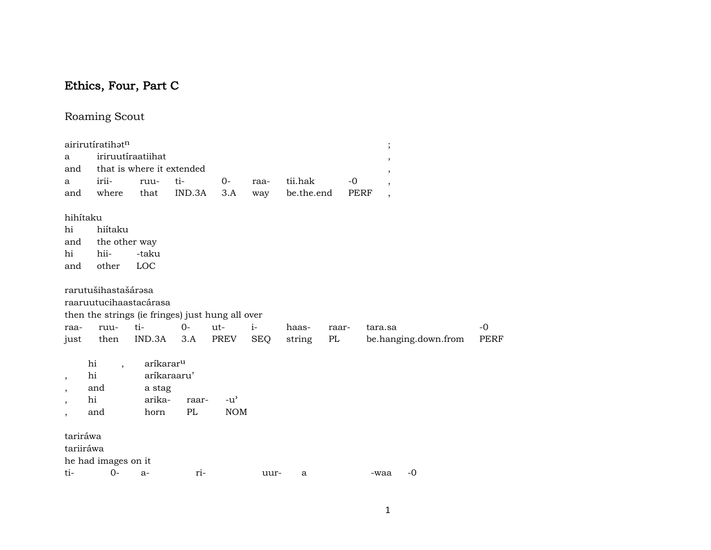# Ethics, Four, Part C

# Roaming Scout

| a<br>and                                                                                                     | airirutíratihatn                                         | iriruutíraatiihat<br>that is where it extended                                              |               |                             |                    |                       |             |              | $\vdots$<br>$\overline{ }$<br>$\overline{\phantom{a}}$ |                      |                     |
|--------------------------------------------------------------------------------------------------------------|----------------------------------------------------------|---------------------------------------------------------------------------------------------|---------------|-----------------------------|--------------------|-----------------------|-------------|--------------|--------------------------------------------------------|----------------------|---------------------|
| a<br>and                                                                                                     | irii-<br>where                                           | ruu-<br>that                                                                                | ti-<br>IND.3A | $O -$<br>3.A                | raa-<br>way        | tii.hak<br>be.the.end |             | $-0$<br>PERF | $\overline{\phantom{a}}$<br>$\overline{\phantom{a}}$   |                      |                     |
| hihítaku<br>hi<br>and<br>hi<br>and                                                                           | hiítaku<br>the other way<br>hii-<br>other                | -taku<br>LOC                                                                                |               |                             |                    |                       |             |              |                                                        |                      |                     |
| raa-<br>just                                                                                                 | rarutušihastašárəsa<br>ruu-<br>then                      | raaruutucihaastacárasa<br>then the strings (ie fringes) just hung all over<br>ti-<br>IND.3A | $0-$<br>3.A   | ut-<br>PREV                 | $i-$<br><b>SEQ</b> | haas-<br>string       | raar-<br>PL |              | tara.sa                                                | be.hanging.down.from | $-0$<br><b>PERF</b> |
| $\overline{\phantom{a}}$<br>$\overline{\phantom{a}}$<br>$\overline{\phantom{a}}$<br>$\overline{\phantom{a}}$ | hi<br>$\overline{\phantom{a}}$<br>hi<br>and<br>hi<br>and | aríkarar <sup>u</sup><br>aríkaraaru'<br>a stag<br>arika-<br>horn                            | raar-<br>PL   | $-u^{\prime}$<br><b>NOM</b> |                    |                       |             |              |                                                        |                      |                     |
| tariráwa<br>tariiráwa                                                                                        | he had images on it<br>$t$ i- $0$ - a-                   |                                                                                             | $T1-$         |                             | $1111r-$           | a                     |             |              | -waa                                                   | $-0$                 |                     |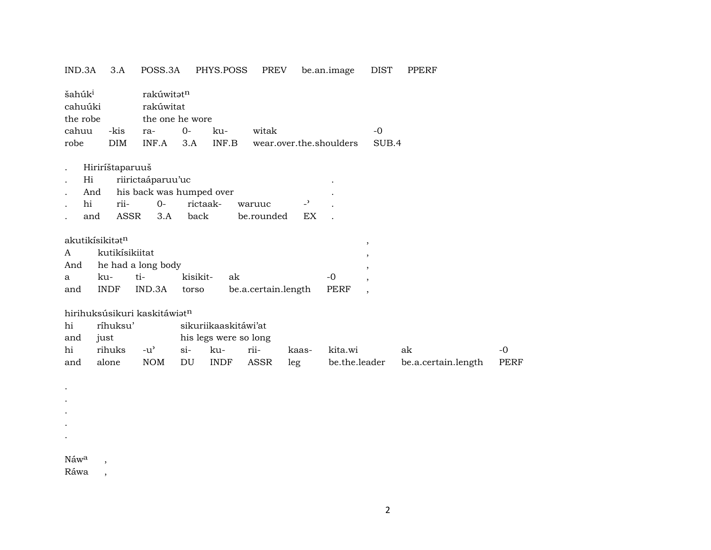#### IND.3A 3.A POSS.3A PHYS.POSS PREV be.an.image DIST PPERF

| šahúk <sup>i</sup><br>cahuúki<br>the robe<br>cahuu<br>robe | -kis<br><b>DIM</b> | rakúwitat <sup>n</sup><br>rakúwitat<br>ra-<br>INF.A | the one he wore<br>$0-$<br>3.A | ku-<br>INF.B          | witak               | wear.over.the.shoulders |               | $-0$<br>SUB.4            |                     |      |
|------------------------------------------------------------|--------------------|-----------------------------------------------------|--------------------------------|-----------------------|---------------------|-------------------------|---------------|--------------------------|---------------------|------|
|                                                            | Hiriríštaparuuš    |                                                     |                                |                       |                     |                         |               |                          |                     |      |
| Hi                                                         |                    | riirictaáparuu'uc                                   |                                |                       |                     |                         |               |                          |                     |      |
| And                                                        |                    | his back was humped over                            |                                |                       |                     |                         |               |                          |                     |      |
| hi                                                         | rii-               | $O-$                                                | rictaak-                       |                       | waruuc              | $\overline{a}$          |               |                          |                     |      |
| and                                                        | ASSR               | 3.A                                                 | back                           |                       | be.rounded          | EX                      |               |                          |                     |      |
| akutikísikitatn                                            |                    |                                                     |                                |                       |                     |                         |               |                          |                     |      |
| A                                                          | kutikísikiitat     |                                                     |                                |                       |                     |                         |               | $^\mathrm{^\mathrm{o}}$  |                     |      |
| And                                                        |                    | he had a long body                                  |                                |                       |                     |                         |               | $\overline{\phantom{a}}$ |                     |      |
| a                                                          | ku-                | ti-                                                 | kisikit-                       | ak                    |                     |                         | $-0$          | $\cdot$                  |                     |      |
|                                                            | <b>INDF</b>        | IND.3A                                              |                                |                       |                     |                         | <b>PERF</b>   | $\cdot$                  |                     |      |
| and                                                        |                    |                                                     | torso                          |                       | be.a.certain.length |                         |               | $\cdot$                  |                     |      |
|                                                            |                    | hirihuksúsikuri kaskitáwiat <sup>n</sup>            |                                |                       |                     |                         |               |                          |                     |      |
| hi                                                         | ríhuksu'           |                                                     |                                | sikuriikaaskitáwi'at  |                     |                         |               |                          |                     |      |
| and                                                        | just               |                                                     |                                | his legs were so long |                     |                         |               |                          |                     |      |
| hi                                                         | rihuks             | $-u^{\prime}$                                       | $\sin$                         | ku-                   | rii-                | kaas-                   | kita.wi       |                          | ak                  | $-0$ |
| and                                                        | alone              | <b>NOM</b>                                          | DU                             | <b>INDF</b>           | ASSR                | leg                     | be.the.leader |                          | be.a.certain.length | PERF |

Náw<sup>a</sup>,

. . . . .

Ráwa ,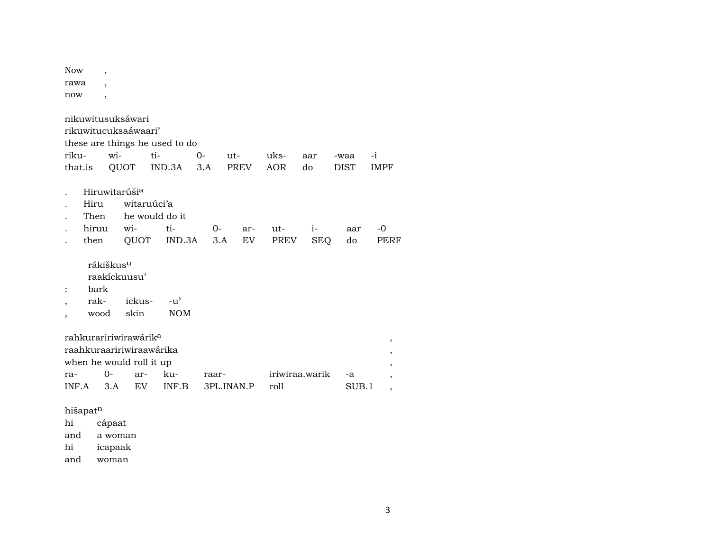| <b>Now</b>   |                                               |                |                                                                             |                                                   |             |                      |             |                    |                     |                     |
|--------------|-----------------------------------------------|----------------|-----------------------------------------------------------------------------|---------------------------------------------------|-------------|----------------------|-------------|--------------------|---------------------|---------------------|
| rawa         |                                               |                |                                                                             |                                                   |             |                      |             |                    |                     |                     |
| now          |                                               | $\overline{ }$ |                                                                             |                                                   |             |                      |             |                    |                     |                     |
| riku-        | that.is                                       | wi-            | nikuwitusuksáwari<br>rikuwitucuksaáwaari'<br>QUOT                           | these are things he used to do<br>$ti-$<br>IND.3A | $0-$<br>3.A | $ut-$<br><b>PREV</b> | uks-<br>AOR | aar<br>do          | -waa<br><b>DIST</b> | $-i$<br><b>IMPF</b> |
|              | Hiru<br>Then<br>hiruu<br>then                 |                | Hiruwitarúši <sup>a</sup><br>witaruúci'a<br>wi-<br>QUOT                     | he would do it<br>ti-<br>IND.3A                   | $O-$        | ar-<br>EV<br>3.A     | ut-<br>PREV | $i-$<br><b>SEQ</b> | aar<br>do           | -0<br>PERF          |
|              | rákiškus <sup>u</sup><br>bark<br>rak-<br>wood |                | raakíckuusu'<br>ickus-<br>skin                                              | $-u^{\prime}$<br><b>NOM</b>                       |             |                      |             |                    |                     |                     |
| ra-<br>INF.A |                                               | 0-<br>3.A      | rahkuraririwirawárik <sup>a</sup><br>when he would roll it up<br>ar-<br>EV. | raahkuraaririwiraawárika<br>ku-<br>INF.B          | raar-       | 3PL.INAN.P           | roll        | iriwiraa.warik     | -a<br>SUB.1         | $\, ,$<br>,<br>,    |

hišapat<sup>n</sup><br>hi cá

hi cápaat<br>and a woma

a woman

hi icapaak

and woman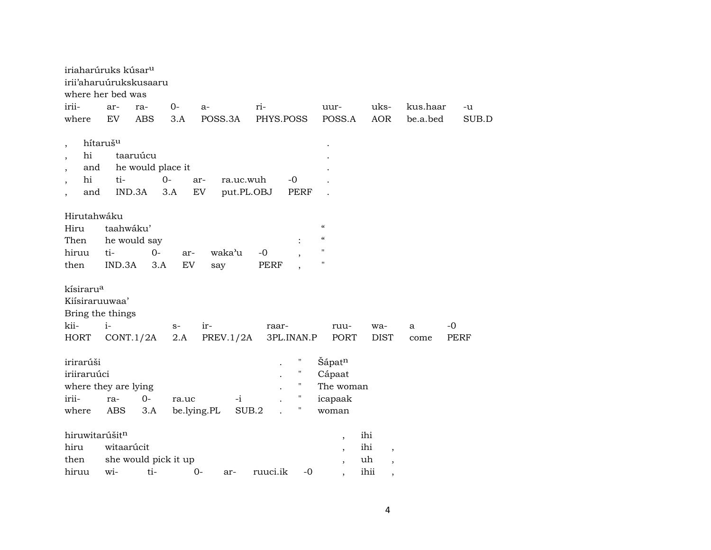| iriaharúruks kúsar <sup>u</sup><br>irii'aharuúrukskusaaru<br>where her bed was |                             |                                         |             |                                      |                   |                                                    |                                                                                  |                                                                                  |          |             |
|--------------------------------------------------------------------------------|-----------------------------|-----------------------------------------|-------------|--------------------------------------|-------------------|----------------------------------------------------|----------------------------------------------------------------------------------|----------------------------------------------------------------------------------|----------|-------------|
| irii-                                                                          | ar-                         | ra-                                     | $0-$        | $a-$                                 | ri-               |                                                    | uur-                                                                             | uks-                                                                             | kus.haar | -u          |
| where                                                                          | EV                          | <b>ABS</b>                              | 3.A         | POSS.3A                              | PHYS.POSS         |                                                    | POSS.A                                                                           | <b>AOR</b>                                                                       | be.a.bed | SUB.D       |
| $\cdot$<br>hi<br>and<br>hi<br>and<br>$\overline{ }$                            | hítaruš <sup>u</sup><br>ti- | taaruúcu<br>he would place it<br>IND.3A | $0-$<br>3.A | ar-<br>ra.uc.wuh<br>EV<br>put.PL.OBJ |                   | $-0$<br>PERF                                       |                                                                                  |                                                                                  |          |             |
| Hirutahwáku<br>Hiru<br>Then<br>hiruu<br>then                                   | taahwáku'<br>ti-<br>IND.3A  | he would say<br>$0-$<br>3.A             | ar-<br>EV   | waka'u<br>say                        | -0<br><b>PERF</b> |                                                    | $\epsilon$<br>$\epsilon\epsilon$<br>11<br>$\pmb{\mathsf{H}}$                     |                                                                                  |          |             |
| kísiraru <sup>a</sup><br>Kiísiraruuwaa'<br>Bring the things<br>kii-            | $i-$                        |                                         | $S-$        | ir-                                  | raar-             |                                                    | ruu-                                                                             | wa-                                                                              | a        | -0          |
| <b>HORT</b>                                                                    | CONT.1/2A                   |                                         | 2.A         | PREV.1/2A                            |                   | 3PL.INAN.P                                         | PORT                                                                             | <b>DIST</b>                                                                      | come     | <b>PERF</b> |
| irirarúši<br>iriiraruúci<br>where they are lying                               |                             |                                         |             |                                      |                   | Ħ<br>$\pmb{\mathsf{H}}$<br>$\pmb{\mathsf{H}}$<br>Π | Šápat <sup>n</sup><br>Cápaat<br>The woman                                        |                                                                                  |          |             |
| irii-                                                                          | ra-                         | $0-$                                    | ra.uc       | $-i$                                 |                   | 11                                                 | icapaak                                                                          |                                                                                  |          |             |
| where                                                                          | ABS                         | 3.A                                     | be.lying.PL |                                      | SUB.2             |                                                    | woman                                                                            |                                                                                  |          |             |
| hiruwitarúšitn<br>hiru<br>then<br>hiruu                                        | witaarúcit<br>wi-           | she would pick it up<br>ti-             |             | $0-$<br>ar-                          | ruuci.ik          | $-0$                                               | $\overline{\phantom{a}}$<br>$\overline{\phantom{a}}$<br>$\overline{\phantom{a}}$ | ihi<br>ihi<br>$\overline{\phantom{a}}$<br>uh<br>$\overline{\phantom{a}}$<br>ihii |          |             |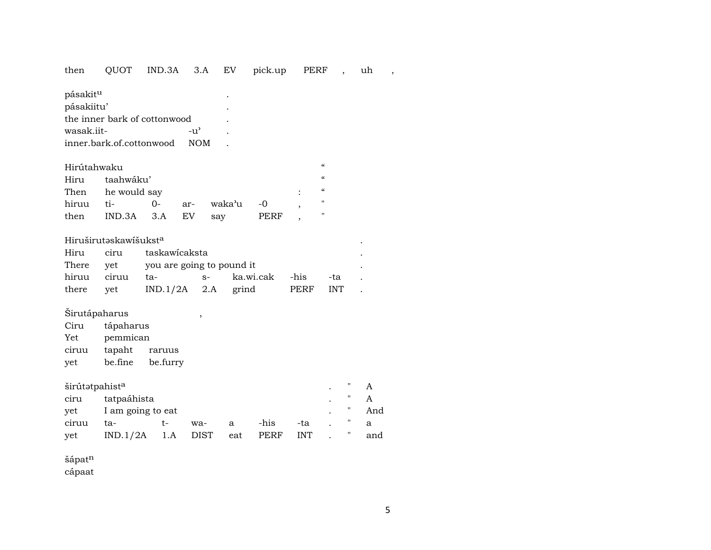# then QUOT IND.3A 3.A EV pick.up PERF , uh ,

| pásakit <sup>u</sup>         |            | ٠ |  |
|------------------------------|------------|---|--|
| pásakiitu'                   |            | ٠ |  |
| the inner bark of cottonwood |            |   |  |
| wasak iit-                   | $-11'$     |   |  |
| inner.bark.of.cottonwood     | <b>NOM</b> |   |  |
|                              |            |   |  |

|                   | Hirútahwaku         |  |  |            |      |  |   |  |  |  |  |
|-------------------|---------------------|--|--|------------|------|--|---|--|--|--|--|
| Hiru taahwáku'    |                     |  |  |            |      |  |   |  |  |  |  |
| Then he would say |                     |  |  |            |      |  |   |  |  |  |  |
|                   | hiruu ti-        0- |  |  | ar- waka'u | $-0$ |  | " |  |  |  |  |
|                   | then IND.3A 3.A EV  |  |  | sav        | PERF |  | " |  |  |  |  |

## HiruširutŸskawíšukst° .

|             |                                     | Hiru ciru taskawicaksta |                                           |  |  |  |  |  |
|-------------|-------------------------------------|-------------------------|-------------------------------------------|--|--|--|--|--|
|             | There yet you are going to pound it |                         |                                           |  |  |  |  |  |
| hiruu ciruu | ta- s-                              |                         | ka.wi.cak -his -ta                        |  |  |  |  |  |
|             |                                     |                         | there yet $IND.1/2A$ 2.A grind PERF INT . |  |  |  |  |  |

# Širutápaharus ,

| Ciru  | tápaharus |          |
|-------|-----------|----------|
| Yet   | pemmican  |          |
| ciruu | tapaht    | raruus   |
| yet   | be.fine   | be.furry |

| širútətpahist <sup>a</sup> |                   |      |             |     |      |            | " |     |
|----------------------------|-------------------|------|-------------|-----|------|------------|---|-----|
| ciru                       | tatpaáhista       |      |             |     |      |            | п |     |
| vet                        | I am going to eat | п    | And         |     |      |            |   |     |
| ciruu                      | ta-               | $t-$ | wa-         | a   | -his | -ta        |   | a   |
| vet                        | IND.1/2A          | 1.A  | <b>DIST</b> | eat | PERF | <b>INT</b> | " | and |

šápa $\mathfrak{t}^{\mathrm{n}}$ 

cápaat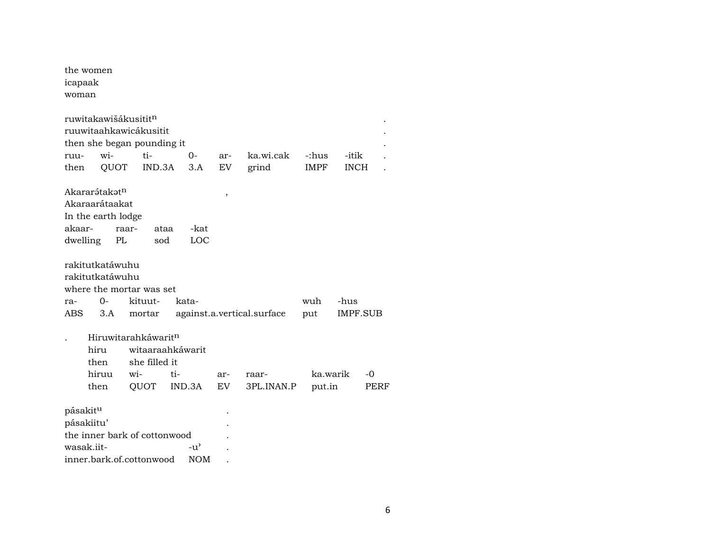| icapaak<br>woman | the women                                                                                                                                                                                                                                                                    |               |                   |           |                    |                      |                      |  |  |
|------------------|------------------------------------------------------------------------------------------------------------------------------------------------------------------------------------------------------------------------------------------------------------------------------|---------------|-------------------|-----------|--------------------|----------------------|----------------------|--|--|
| ruu-<br>then     | ruwitakawišákusitit <sup>n</sup><br>ruuwitaahkawicákusitit<br>then she began pounding it<br>wi-<br>QUOT                                                                                                                                                                      | ti-<br>IND.3A | $0-$<br>3.A       | ar-<br>EV | ka.wi.cak<br>grind | -:hus<br><b>IMPF</b> | -itik<br><b>INCH</b> |  |  |
|                  | Akararátakat <sup>n</sup><br>,<br>Akaraarátaakat<br>In the earth lodge<br>akaar-<br>raar-<br>-kat<br>ataa<br>dwelling<br>PL<br>LOC<br>sod                                                                                                                                    |               |                   |           |                    |                      |                      |  |  |
| ra-              | rakitutkatáwuhu<br>rakitutkatáwuhu<br>where the mortar was set<br>$O -$                                                                                                                                                                                                      | kituut-       | kata-             |           |                    | wuh                  | -hus                 |  |  |
|                  | 3.A<br>against.a.vertical.surface<br>IMPF.SUB<br>ABS.<br>put<br>mortar<br>Hiruwitarahkáwaritn<br>hiru<br>witaaraahkáwarit<br>she filled it<br>then<br>hiruu<br>wi-<br>ti-<br>ka.warik<br>-0<br>ar-<br>raar-<br>QUOT<br>IND.3A<br>EV.<br>3PL.INAN.P<br>put.in<br>then<br>PERF |               |                   |           |                    |                      |                      |  |  |
| pásakitu         | pásakiitu'<br>the inner bark of cottonwood<br>wasak.iit-<br>inner.bark.of.cottonwood                                                                                                                                                                                         |               | -น'<br><b>NOM</b> |           |                    |                      |                      |  |  |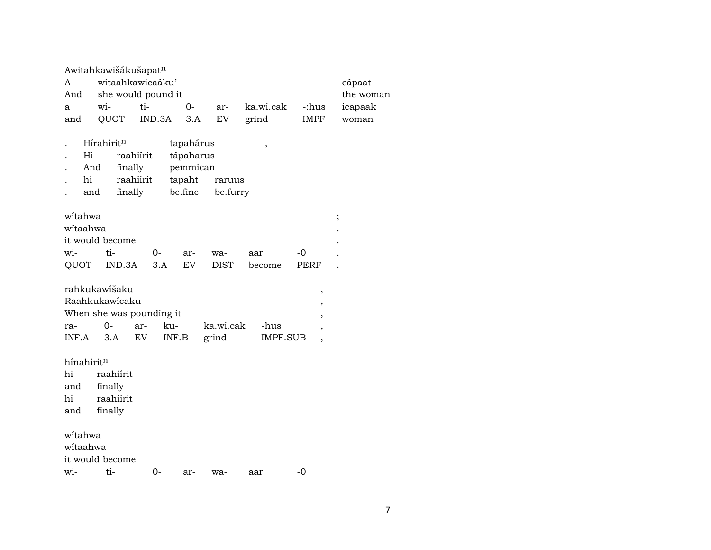|     | Awitahkawišákušapat <sup>n</sup> |                          |      |  |                     |      |         |  |  |
|-----|----------------------------------|--------------------------|------|--|---------------------|------|---------|--|--|
| A   | witaahkawicaáku'                 | cápaat                   |      |  |                     |      |         |  |  |
|     |                                  | And she would pound it   |      |  |                     |      |         |  |  |
| a   | $W1 -$                           | ti-                      | $O-$ |  | ar- ka.wi.cak -:hus |      | icapaak |  |  |
| and |                                  | QUOT IND.3A 3.A EV grind |      |  |                     | IMPF | woman   |  |  |
|     |                                  |                          |      |  |                     |      |         |  |  |

| $\sim$ | Hírahirit <sup>n</sup> |           | tapahárus |          |  |
|--------|------------------------|-----------|-----------|----------|--|
|        | Hi                     | raahiírit | tápaharus |          |  |
|        | And                    | finally   | pemmican  |          |  |
|        | hi                     | raahiirit | tapaht    | raruus   |  |
|        | and                    | finally   | be.fine   | be.furry |  |

| witahwa         |                                                                                                                                                                                                                                                                                                                                                                                |  |      |                                |       |  |
|-----------------|--------------------------------------------------------------------------------------------------------------------------------------------------------------------------------------------------------------------------------------------------------------------------------------------------------------------------------------------------------------------------------|--|------|--------------------------------|-------|--|
| witaahwa        |                                                                                                                                                                                                                                                                                                                                                                                |  |      |                                |       |  |
| it would become |                                                                                                                                                                                                                                                                                                                                                                                |  |      |                                |       |  |
|                 | $\overline{w}$ i- $\overline{u}$ $\overline{v}$ $\overline{v}$ $\overline{v}$ $\overline{v}$ $\overline{v}$ $\overline{v}$ $\overline{v}$ $\overline{v}$ $\overline{v}$ $\overline{v}$ $\overline{v}$ $\overline{v}$ $\overline{v}$ $\overline{v}$ $\overline{v}$ $\overline{v}$ $\overline{v}$ $\overline{v}$ $\overline{v}$ $\overline{v}$ $\overline{v}$ $\overline{v}$ $\$ |  | - wa | aar                            | $-()$ |  |
|                 |                                                                                                                                                                                                                                                                                                                                                                                |  |      | QUOT IND.3A 3.A EV DIST become | PERF  |  |

| rahkukawišaku             |  |                          |                |          |  |
|---------------------------|--|--------------------------|----------------|----------|--|
| Raahkukawicaku            |  |                          |                |          |  |
| When she was pounding it. |  |                          |                |          |  |
| ra- 0- ar- ku-            |  |                          | ka.wi.cak -hus |          |  |
|                           |  | $INF.A$ 3.A $EV$ $INF.B$ | grind          | IMPF.SUB |  |

hínahirit<sup>n</sup><br>hi raa raahiírit and finally raahiirit and finally wítahwa wítaahwa it would become

wi- ti- 0- ar- wa- aar -0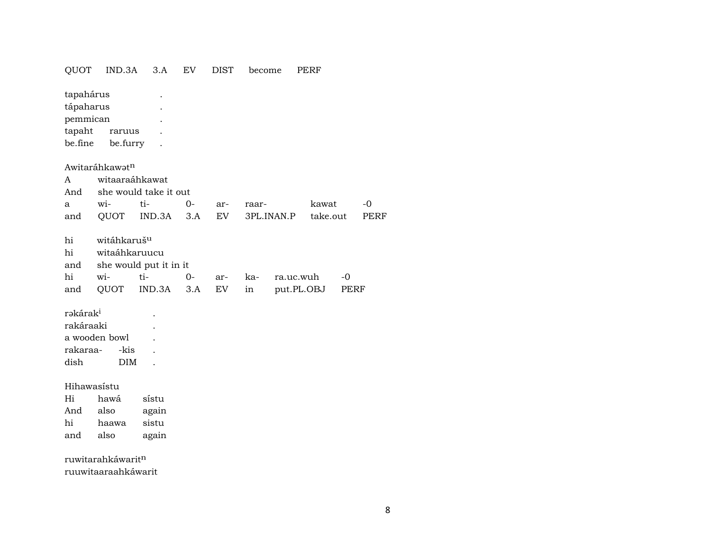| QUOT                 | IND.3A                     | 3.A                    | EV   | DIST       | become |            | PERF       |      |             |
|----------------------|----------------------------|------------------------|------|------------|--------|------------|------------|------|-------------|
| tapahárus            |                            |                        |      |            |        |            |            |      |             |
| tápaharus            |                            |                        |      |            |        |            |            |      |             |
| pemmican             |                            |                        |      |            |        |            |            |      |             |
| tapaht               | raruus                     |                        |      |            |        |            |            |      |             |
| be.fine              | be.furry                   |                        |      |            |        |            |            |      |             |
|                      |                            |                        |      |            |        |            |            |      |             |
|                      | Awitaráhkawət <sup>n</sup> |                        |      |            |        |            |            |      |             |
| A                    | witaaraáhkawat             |                        |      |            |        |            |            |      |             |
| And                  |                            | she would take it out  |      |            |        |            |            |      |             |
| a                    | wi-                        | ti-                    | $0-$ | ar-        | raar-  |            | kawat      |      | $-0$        |
| and                  | QUOT                       | IND.3A                 | 3.A  | ${\rm EV}$ |        | 3PL.INAN.P | take.out   |      | <b>PERF</b> |
| hi                   | witáhkaruš <sup>u</sup>    |                        |      |            |        |            |            |      |             |
| hi                   | witaáhkaruucu              |                        |      |            |        |            |            |      |             |
|                      |                            |                        |      |            |        |            |            |      |             |
| and                  |                            | she would put it in it |      |            |        |            |            |      |             |
| hi                   | wi-                        | ti-                    | 0-   | ar-        | ka-    | ra.uc.wuh  |            | $-0$ |             |
| and                  | QUOT                       | IND.3A                 | 3.A  | EV         | in     |            | put.PL.OBJ | PERF |             |
| rəkárak <sup>i</sup> |                            |                        |      |            |        |            |            |      |             |
| rakáraaki            |                            |                        |      |            |        |            |            |      |             |
|                      | a wooden bowl              |                        |      |            |        |            |            |      |             |
| rakaraa-             | -kis                       |                        |      |            |        |            |            |      |             |
| dish                 | <b>DIM</b>                 |                        |      |            |        |            |            |      |             |
|                      |                            |                        |      |            |        |            |            |      |             |
| Hihawasístu          |                            |                        |      |            |        |            |            |      |             |
| Hi                   | hawá                       | sístu                  |      |            |        |            |            |      |             |
| And                  | also                       | again                  |      |            |        |            |            |      |             |
| hi                   | haawa                      | sistu                  |      |            |        |            |            |      |             |
| and                  | also                       | again                  |      |            |        |            |            |      |             |
|                      |                            |                        |      |            |        |            |            |      |             |
|                      | ruwitarahkáwaritn          |                        |      |            |        |            |            |      |             |
|                      | ruuwitaaraahkáwarit        |                        |      |            |        |            |            |      |             |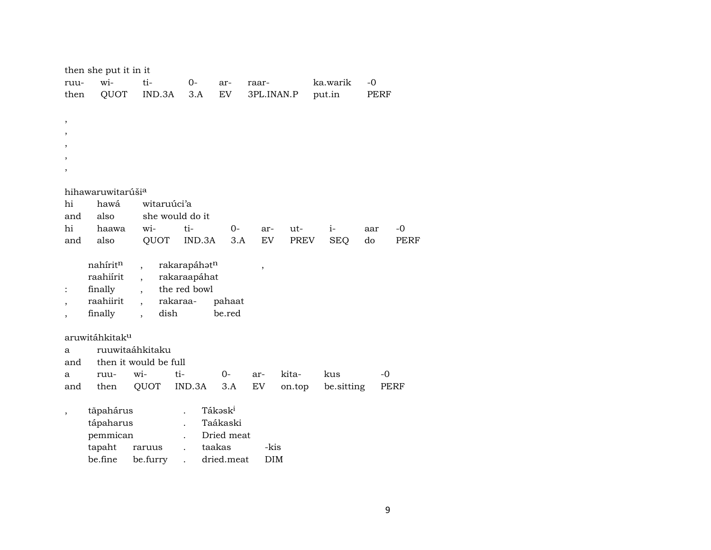|                | then she put it in it      |                              |                 |            |            |        |            |      |      |
|----------------|----------------------------|------------------------------|-----------------|------------|------------|--------|------------|------|------|
| ruu-           | wi-                        | ti-                          | $0-$            | ar-        | raar-      |        | ka.warik   | $-0$ |      |
| then           | QUOT                       | IND.3A                       | 3.A             | EV         | 3PL.INAN.P |        | put.in     | PERF |      |
|                |                            |                              |                 |            |            |        |            |      |      |
| $^\mathrm{,}$  |                            |                              |                 |            |            |        |            |      |      |
| $\cdot$        |                            |                              |                 |            |            |        |            |      |      |
|                |                            |                              |                 |            |            |        |            |      |      |
|                |                            |                              |                 |            |            |        |            |      |      |
|                |                            |                              |                 |            |            |        |            |      |      |
|                |                            |                              |                 |            |            |        |            |      |      |
|                | hihawaruwitarúšia          |                              |                 |            |            |        |            |      |      |
| hi             | hawá                       | witaruúci'a                  |                 |            |            |        |            |      |      |
| and            | also                       |                              | she would do it |            |            |        |            |      |      |
| hi             | haawa                      | wi-                          | ti-             | 0-         | ar-        | ut-    | $i-$       | aar  | -0   |
| and            | also                       | QUOT                         | IND.3A          | 3.A        | EV         | PREV   | <b>SEQ</b> | do   | PERF |
|                | nahíritn                   | $\ddot{\phantom{0}}$         | rakarapáhatn    |            |            |        |            |      |      |
|                | raahiírit                  | $\overline{\phantom{a}}$     | rakaraapáhat    |            | ,          |        |            |      |      |
| $\ddot{\cdot}$ | finally                    | $\ddot{\phantom{0}}$         | the red bowl    |            |            |        |            |      |      |
|                | raahiirit                  |                              | rakaraa-        | pahaat     |            |        |            |      |      |
|                | finally                    | dish<br>$\ddot{\phantom{0}}$ |                 | be.red     |            |        |            |      |      |
|                |                            |                              |                 |            |            |        |            |      |      |
|                | aruwitáhkitak <sup>u</sup> |                              |                 |            |            |        |            |      |      |
| a              |                            | ruuwitaáhkitaku              |                 |            |            |        |            |      |      |
| and            |                            | then it would be full        |                 |            |            |        |            |      |      |
| a              | ruu-                       | wi-                          | ti-             | $0-$       | ar-        | kita-  | kus        | $-0$ |      |
| and            | then                       | QUOT                         | IND.3A          | 3.A        | EV         | on.top | be.sitting |      | PERF |
|                |                            |                              |                 |            |            |        |            |      |      |
|                | tãpahárus                  |                              |                 | Tákaski    |            |        |            |      |      |
|                | tápaharus                  |                              |                 | Taákaski   |            |        |            |      |      |
|                | pemmican                   |                              |                 | Dried meat |            |        |            |      |      |

| tapaht raruus    | taakas         | -kis |
|------------------|----------------|------|
| be.fine be.furry | dried.meat DIM |      |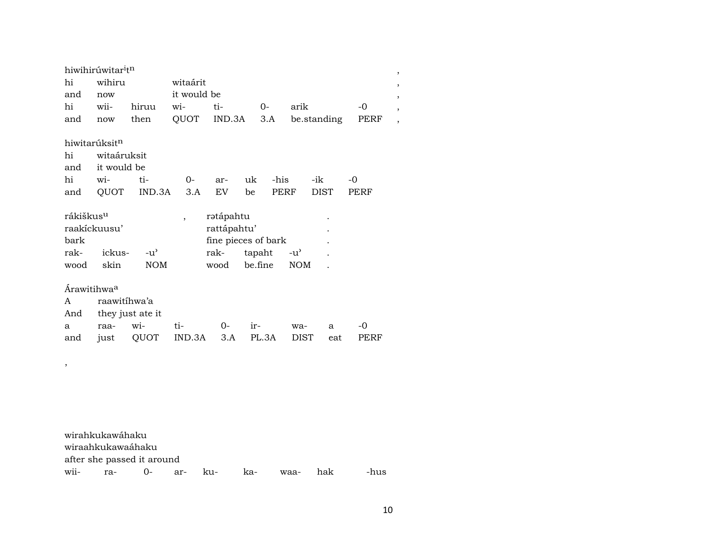|                         | hiwihirúwitar <sup>i</sup> t <sup>n</sup> |                  |                          |                     |         |      |               |             |      | , |
|-------------------------|-------------------------------------------|------------------|--------------------------|---------------------|---------|------|---------------|-------------|------|---|
| hi                      | wihiru                                    |                  | witaárit                 |                     |         |      |               |             |      |   |
| and                     | now                                       |                  | it would be              |                     |         |      |               |             |      | , |
| hi                      | wii-                                      | hiruu            | wi-                      | $ti-$               | $O -$   |      | arik          |             | $-0$ |   |
| and                     | now                                       | then             | QUOT                     | IND.3A              |         | 3.A  |               | be.standing | PERF |   |
|                         |                                           |                  |                          |                     |         |      |               |             |      |   |
|                         | hiwitarúksit <sup>n</sup>                 |                  |                          |                     |         |      |               |             |      |   |
| hi                      | witaáruksit                               |                  |                          |                     |         |      |               |             |      |   |
| and                     | it would be                               |                  |                          |                     |         |      |               |             |      |   |
| hi                      | wi-                                       | ti-              | 0-                       | ar-                 | uk      | -his |               | -ik         | $-0$ |   |
| and                     |                                           | QUOT IND.3A      | 3.A                      | EV <sub></sub>      | be      | PERF |               | <b>DIST</b> | PERF |   |
|                         |                                           |                  |                          |                     |         |      |               |             |      |   |
| rákiškus <sup>u</sup>   |                                           |                  | $\overline{\phantom{a}}$ | rətápahtu           |         |      |               |             |      |   |
|                         | raakickuusu'                              |                  |                          | rattápahtu'         |         |      |               |             |      |   |
| bark                    |                                           |                  |                          | fine pieces of bark |         |      |               |             |      |   |
| rak-                    | ickus-                                    | $-u^{\prime}$    |                          | rak-                | tapaht  |      | $-u^{\prime}$ |             |      |   |
| wood                    | skin                                      | <b>NOM</b>       |                          | wood                | be.fine |      | <b>NOM</b>    |             |      |   |
|                         |                                           |                  |                          |                     |         |      |               |             |      |   |
| Árawitihwa <sup>a</sup> |                                           |                  |                          |                     |         |      |               |             |      |   |
| A                       | raawitíhwa'a                              |                  |                          |                     |         |      |               |             |      |   |
| And                     |                                           | they just ate it |                          |                     |         |      |               |             |      |   |
| a                       | raa-                                      | wi-              | ti-                      | $0-$                | ir-     |      | wa-           | a           | -0   |   |
| and                     | just                                      | QUOT             | IND.3A                   | 3.A                 | PL.3A   |      | <b>DIST</b>   | eat         | PERF |   |
|                         |                                           |                  |                          |                     |         |      |               |             |      |   |

wirahkukawáhaku wiraahkukawaáhaku after she passed it around wii- ra- 0- ar- ku- ka- waa- hak -hus

,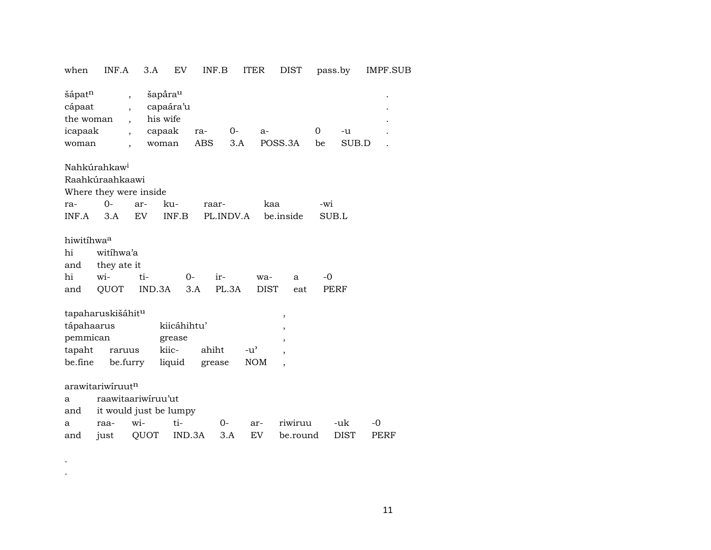| when                                              | INF.A                    | 3.A                       | EV                                                              | INF.B             |              | <b>ITER</b>   | DIST                     |                | pass.by     | IMPF.SUB |  |
|---------------------------------------------------|--------------------------|---------------------------|-----------------------------------------------------------------|-------------------|--------------|---------------|--------------------------|----------------|-------------|----------|--|
| šápatn<br>cápaat<br>the woman<br>icapaak<br>woman |                          | ,<br>$\ddot{\phantom{0}}$ | šapāra <sup>u</sup><br>capaára'u<br>his wife<br>capaak<br>woman | ra-<br><b>ABS</b> | $O -$<br>3.A | $a-$          | POSS.3A                  | $\Omega$<br>be | -u<br>SUB.D |          |  |
|                                                   | Nahkúrahkaw <sup>i</sup> |                           |                                                                 |                   |              |               |                          |                |             |          |  |
|                                                   | Raahkúraahkaawi          |                           |                                                                 |                   |              |               |                          |                |             |          |  |
|                                                   | Where they were inside   |                           |                                                                 |                   |              |               |                          |                |             |          |  |
| ra-                                               | $0-$                     | ar-                       | ku-                                                             | raar-             |              | kaa           |                          | -wi            |             |          |  |
| INF.A                                             | 3.A                      | EV                        | INF.B                                                           |                   | PL.INDV.A    |               | be.inside                | SUB.L          |             |          |  |
|                                                   |                          |                           |                                                                 |                   |              |               |                          |                |             |          |  |
| hiwitihwaa                                        |                          |                           |                                                                 |                   |              |               |                          |                |             |          |  |
| hi                                                | witihwa'a                |                           |                                                                 |                   |              |               |                          |                |             |          |  |
| and                                               | they ate it              |                           |                                                                 |                   |              |               |                          |                |             |          |  |
| hi                                                | wi-                      | ti-                       | $0-$                                                            | ir-               |              | wa-           | a                        | -0             |             |          |  |
| and                                               | QUOT                     | IND.3A                    |                                                                 | 3.A               | PL.3A        | <b>DIST</b>   | eat                      |                | <b>PERF</b> |          |  |
|                                                   |                          |                           |                                                                 |                   |              |               |                          |                |             |          |  |
|                                                   | tapaharuskišáhitu        |                           |                                                                 |                   |              |               | ,                        |                |             |          |  |
| tápahaarus                                        |                          |                           | kiicáhihtu'                                                     |                   |              |               | ,                        |                |             |          |  |
| pemmican                                          |                          |                           | grease                                                          |                   |              |               | $\overline{\phantom{a}}$ |                |             |          |  |
| tapaht                                            | raruus                   |                           | kiic-                                                           | ahiht             |              | $-u^{\prime}$ |                          |                |             |          |  |
| be.fine                                           |                          | be.furry                  | liquid                                                          | grease            |              | <b>NOM</b>    | $\overline{\phantom{a}}$ |                |             |          |  |
|                                                   |                          |                           |                                                                 |                   |              |               |                          |                |             |          |  |
|                                                   | arawitariwiruutn         |                           |                                                                 |                   |              |               |                          |                |             |          |  |
| a                                                 | raawitaariwiruu'ut       |                           |                                                                 |                   |              |               |                          |                |             |          |  |
| and                                               |                          |                           | it would just be lumpy                                          |                   |              |               |                          |                |             |          |  |
| a                                                 | raa-                     | wi-                       | ti-                                                             | 0-                |              | ar-           | riwiruu                  |                | -uk         | -0       |  |
| and                                               | just                     | QUOT                      | IND.3A                                                          |                   | 3.A          | EV            | be.round                 |                | DIST        | PERF     |  |

. .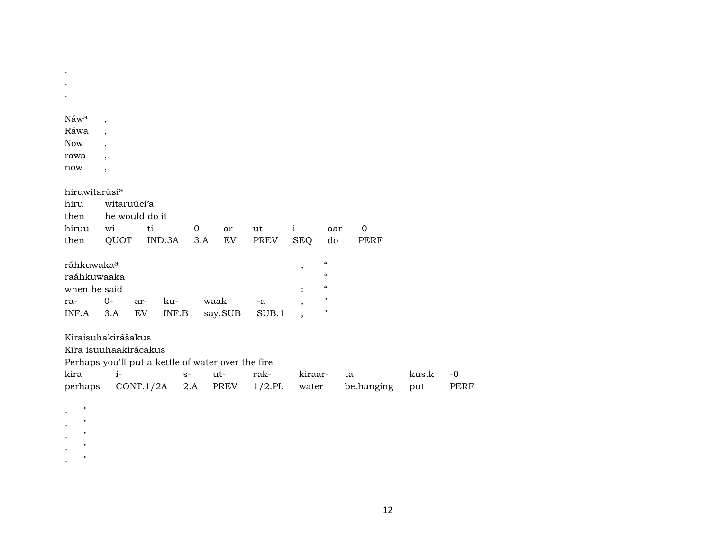| Náwa                      | $\overline{\phantom{a}}$                           |                                                      |      |         |             |                |                          |             |       |             |
|---------------------------|----------------------------------------------------|------------------------------------------------------|------|---------|-------------|----------------|--------------------------|-------------|-------|-------------|
| Ráwa                      | $\overline{\phantom{a}}$                           |                                                      |      |         |             |                |                          |             |       |             |
| <b>Now</b>                |                                                    |                                                      |      |         |             |                |                          |             |       |             |
| rawa                      | $\overline{\phantom{a}}$                           |                                                      |      |         |             |                |                          |             |       |             |
| now                       | $\overline{\phantom{a}}$                           |                                                      |      |         |             |                |                          |             |       |             |
|                           |                                                    |                                                      |      |         |             |                |                          |             |       |             |
| hiruwitarúsi <sup>a</sup> |                                                    |                                                      |      |         |             |                |                          |             |       |             |
| hiru                      | witaruúci'a                                        |                                                      |      |         |             |                |                          |             |       |             |
| then                      | he would do it                                     |                                                      |      |         |             |                |                          |             |       |             |
| hiruu                     | wi-                                                | ti-                                                  | $0-$ | ar-     | ut-         | $i-$           | aar                      | $-0$        |       |             |
| then                      | QUOT                                               | IND.3A                                               | 3.A  | EV      | <b>PREV</b> | <b>SEQ</b>     | do                       | <b>PERF</b> |       |             |
| ráhkuwaka <sup>a</sup>    |                                                    |                                                      |      |         |             |                | $\pmb{\zeta}\pmb{\zeta}$ |             |       |             |
| raáhkuwaaka               |                                                    |                                                      |      |         |             | $\, ,$         | $\epsilon$               |             |       |             |
| when he said              |                                                    |                                                      |      |         |             | $\ddot{\cdot}$ | $\pmb{\mathcal{C}}$      |             |       |             |
| ra-                       | $O -$                                              | ku-<br>ar-                                           |      | waak    | -a          |                | $\pmb{\mathsf{H}}$       |             |       |             |
| INF.A                     | 3.A                                                | ${\rm EV}$<br>$\ensuremath{\mathsf{INF}.\mathsf{B}}$ |      | say.SUB | SUB.1       |                | $\pmb{\mathsf{H}}$       |             |       |             |
|                           |                                                    |                                                      |      |         |             |                |                          |             |       |             |
|                           | Kiraisuhakirášakus                                 |                                                      |      |         |             |                |                          |             |       |             |
|                           | Kíra isuuhaakirácakus                              |                                                      |      |         |             |                |                          |             |       |             |
|                           | Perhaps you'll put a kettle of water over the fire |                                                      |      |         |             |                |                          |             |       |             |
| kira                      | $i-$                                               |                                                      | $S-$ | ut-     | rak-        | kiraar-        |                          | ta          | kus.k | $-0$        |
| perhaps                   |                                                    | CONT.1/2A                                            | 2.A  | PREV    | $1/2$ .PL   | water          |                          | be.hanging  | put   | <b>PERF</b> |
|                           |                                                    |                                                      |      |         |             |                |                          |             |       |             |
| $\pmb{\mathsf{H}}$        |                                                    |                                                      |      |         |             |                |                          |             |       |             |
| 11                        |                                                    |                                                      |      |         |             |                |                          |             |       |             |
| $\pmb{\mathsf{H}}$        |                                                    |                                                      |      |         |             |                |                          |             |       |             |
| $\mathsf{H}$              |                                                    |                                                      |      |         |             |                |                          |             |       |             |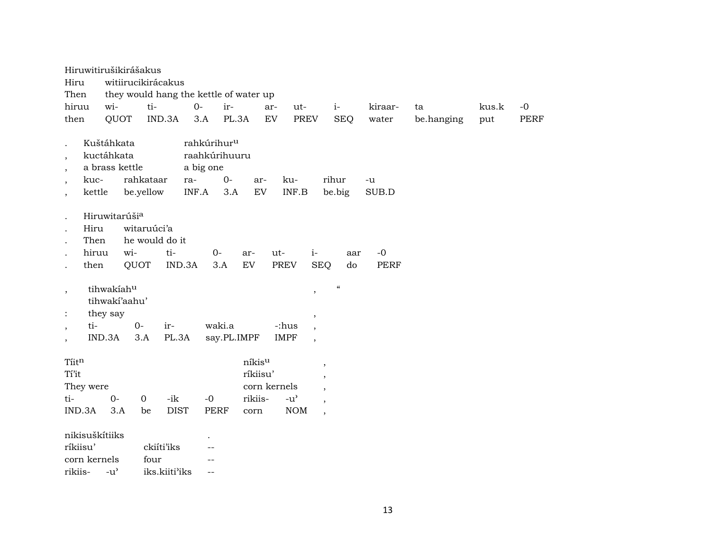|                          |              | Hiruwitirušikirášakus     |             |                                        |        |                         |          |               |                          |                                        |             |            |       |      |
|--------------------------|--------------|---------------------------|-------------|----------------------------------------|--------|-------------------------|----------|---------------|--------------------------|----------------------------------------|-------------|------------|-------|------|
| Hiru                     |              |                           |             | witiirucikirácakus                     |        |                         |          |               |                          |                                        |             |            |       |      |
| Then                     |              |                           |             | they would hang the kettle of water up |        |                         |          |               |                          |                                        |             |            |       |      |
| hiruu                    |              | wi-                       |             | ti-                                    | $O -$  | ir-                     |          | ar-           | ut-                      | $i-$                                   | kiraar-     | ta         | kus.k | $-0$ |
| then                     |              | QUOT                      |             | IND.3A                                 | 3.A    |                         | PL.3A    | ${\rm EV}$    | PREV                     | <b>SEQ</b>                             | water       | be.hanging | put   | PERF |
|                          |              |                           |             |                                        |        |                         |          |               |                          |                                        |             |            |       |      |
|                          |              | Kuštáhkata                |             |                                        |        | rahkúrihur <sup>u</sup> |          |               |                          |                                        |             |            |       |      |
| $\cdot$                  |              | kuctáhkata                |             |                                        |        | raahkúrihuuru           |          |               |                          |                                        |             |            |       |      |
| $\cdot$                  |              | a brass kettle            |             |                                        |        | a big one               |          |               |                          |                                        |             |            |       |      |
|                          | kuc-         |                           |             | rahkataar                              | ra-    | $0-$                    | ar-      | ku-           |                          | rihur                                  | $-u$        |            |       |      |
|                          | kettle       |                           |             | be.yellow                              | INF.A  | 3.A                     | EV       | INF.B         |                          | be.big                                 | SUB.D       |            |       |      |
|                          |              | Hiruwitarúši <sup>a</sup> |             |                                        |        |                         |          |               |                          |                                        |             |            |       |      |
|                          | Hiru         |                           |             | witaruúci'a                            |        |                         |          |               |                          |                                        |             |            |       |      |
|                          | Then         |                           |             | he would do it                         |        |                         |          |               |                          |                                        |             |            |       |      |
|                          | hiruu        |                           | wi-         | ti-                                    |        | $0-$                    | ar-      | ut-           | $i-$                     | aar                                    | $-0$        |            |       |      |
|                          | then         |                           | QUOT        |                                        | IND.3A | 3.A                     | EV       | <b>PREV</b>   | <b>SEQ</b>               | do                                     | <b>PERF</b> |            |       |      |
|                          |              |                           |             |                                        |        |                         |          |               |                          |                                        |             |            |       |      |
| $\overline{\phantom{a}}$ |              | tihwakiahu                |             |                                        |        |                         |          |               | $\,$                     | $\boldsymbol{\zeta}\boldsymbol{\zeta}$ |             |            |       |      |
|                          |              | tihwakí'aahu'             |             |                                        |        |                         |          |               |                          |                                        |             |            |       |      |
| $\ddot{\cdot}$           |              | they say                  |             |                                        |        |                         |          |               | $\overline{\phantom{a}}$ |                                        |             |            |       |      |
| $\cdot$                  | ti-          |                           | $0-$        | ir-                                    |        | waki.a                  |          | -:hus         | $\cdot$                  |                                        |             |            |       |      |
|                          |              | IND.3A                    | 3.A         | PL.3A                                  |        | say.PL.IMPF             |          | <b>IMPF</b>   | $\overline{\phantom{a}}$ |                                        |             |            |       |      |
|                          |              |                           |             |                                        |        |                         |          |               |                          |                                        |             |            |       |      |
| Tiitn                    |              |                           |             |                                        |        |                         | níkisu   |               |                          | $^\mathrm{,}$                          |             |            |       |      |
| Tí'it                    |              |                           |             |                                        |        |                         | ríkiisu' |               |                          | $\cdot$                                |             |            |       |      |
|                          | They were    |                           |             |                                        |        |                         |          | corn kernels  |                          | $\overline{\phantom{a}}$               |             |            |       |      |
| ti-                      |              | $0-$                      | $\mathbf 0$ | -ik                                    |        | $-0$                    | rikiis-  | $-u^{\prime}$ |                          | $\overline{\phantom{a}}$               |             |            |       |      |
|                          | IND.3A       | 3.A                       |             | <b>DIST</b><br>be                      |        | <b>PERF</b>             | corn     | $\rm{NOM}$    |                          | $\overline{\phantom{a}}$               |             |            |       |      |
|                          |              |                           |             |                                        |        |                         |          |               |                          |                                        |             |            |       |      |
|                          |              |                           |             |                                        |        |                         |          |               |                          |                                        |             |            |       |      |
|                          |              |                           |             |                                        |        |                         |          |               |                          |                                        |             |            |       |      |
| rikiis-                  |              | $-u^{\prime}$             |             | iks.kiiti'iks                          |        | $-$                     |          |               |                          |                                        |             |            |       |      |
| ríkiisu'                 | corn kernels | nikisuškítiiks            |             | ckiíti'iks<br>four                     |        |                         |          |               |                          |                                        |             |            |       |      |
|                          |              |                           |             |                                        |        |                         |          |               |                          |                                        |             |            |       |      |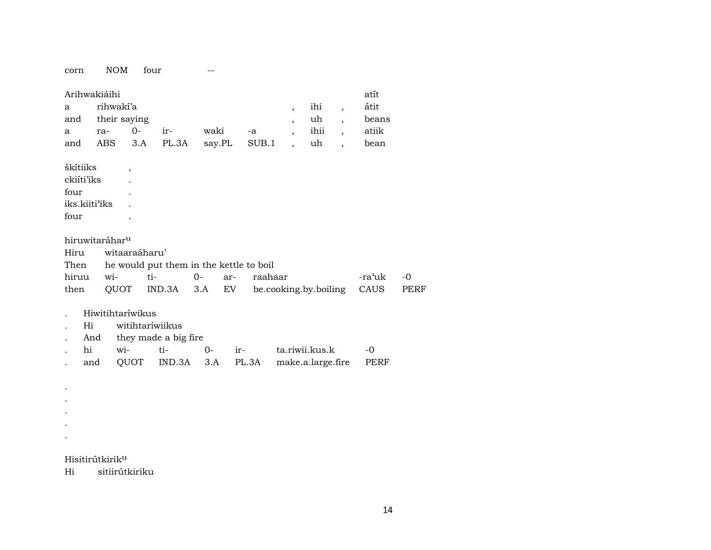NOM four corn  $\mathcal{L}_{\text{max}}$  and  $\mathcal{L}_{\text{max}}$ 

| a<br>and<br>a            | Arihwakiáihi<br>ra-         | rihwakí'a<br>their saying  | $0-$                                | ir-                  | waki        | -a                                      | $\overline{\phantom{a}}$<br>$\overline{ }$<br>$\overline{ }$ , | ihi<br>uh<br>ihii | $\overline{\phantom{a}}$<br>$\ddot{\phantom{0}}$<br>$\overline{ }$ , | atít<br>átit<br>beans<br>atiik |      |
|--------------------------|-----------------------------|----------------------------|-------------------------------------|----------------------|-------------|-----------------------------------------|----------------------------------------------------------------|-------------------|----------------------------------------------------------------------|--------------------------------|------|
| and                      |                             | ABS                        | 3.A                                 | PL.3A                | say.PL      | SUB.1                                   | $\overline{\phantom{a}}$                                       | uh                | $\ddot{\phantom{0}}$                                                 | bean                           |      |
| škítiiks<br>four<br>four | ckiíti'iks<br>iks.kiiti'iks |                            | $\overline{ }$                      |                      |             |                                         |                                                                |                   |                                                                      |                                |      |
|                          |                             | hiruwitaráhar <sup>u</sup> |                                     |                      |             |                                         |                                                                |                   |                                                                      |                                |      |
| Hiru                     |                             |                            | witaaraáharu'                       |                      |             |                                         |                                                                |                   |                                                                      |                                |      |
| Then                     |                             |                            |                                     |                      |             | he would put them in the kettle to boil |                                                                |                   |                                                                      |                                |      |
| hiruu                    |                             | wi-                        | ti-                                 |                      | $0-$<br>ar- | raahaar                                 |                                                                |                   |                                                                      | -ra'uk                         | $-0$ |
|                          |                             |                            |                                     |                      |             |                                         |                                                                |                   |                                                                      |                                |      |
| then                     |                             | QUOT                       |                                     | IND.3A               | 3.A         | EV                                      | be.cooking.by.boiling                                          |                   |                                                                      | CAUS                           | PERF |
|                          |                             |                            |                                     |                      |             |                                         |                                                                |                   |                                                                      |                                |      |
|                          | Hi                          |                            | Hiwitihtaríwikus<br>witihtaríwiikus |                      |             |                                         |                                                                |                   |                                                                      |                                |      |
|                          | And                         |                            |                                     | they made a big fire |             |                                         |                                                                |                   |                                                                      |                                |      |
|                          | hi                          | wi-                        |                                     | ti-                  | $0 -$       | ir-                                     |                                                                | ta.riwii.kus.k    |                                                                      | -0                             |      |
|                          | and                         |                            | QUOT                                | IND.3A               | 3.A         | PL.3A                                   |                                                                | make.a.large.fire |                                                                      | PERF                           |      |
|                          |                             |                            |                                     |                      |             |                                         |                                                                |                   |                                                                      |                                |      |
|                          |                             |                            |                                     |                      |             |                                         |                                                                |                   |                                                                      |                                |      |
|                          |                             |                            |                                     |                      |             |                                         |                                                                |                   |                                                                      |                                |      |
|                          |                             |                            |                                     |                      |             |                                         |                                                                |                   |                                                                      |                                |      |
|                          |                             |                            |                                     |                      |             |                                         |                                                                |                   |                                                                      |                                |      |

#### Hisitirútkirik<sup>u</sup>

 $Hi$ sitiirútkiriku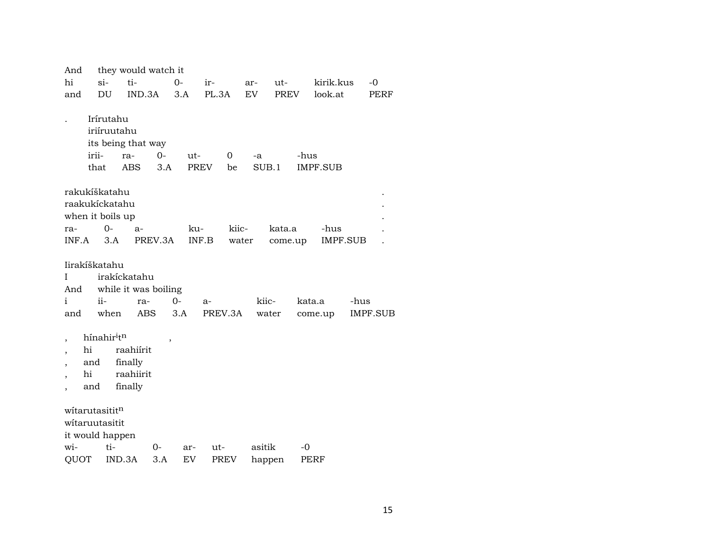| And                      |                                                               | they would watch it                          |                          |             |             |                      |             |         |             |                 |      |
|--------------------------|---------------------------------------------------------------|----------------------------------------------|--------------------------|-------------|-------------|----------------------|-------------|---------|-------------|-----------------|------|
| hi                       | si-                                                           | ti-                                          | 0-                       |             | ir-         |                      | ar-         | ut-     | kirik.kus   |                 | $-0$ |
| and                      | DU                                                            | IND.3A                                       |                          | 3.A         | PL.3A       |                      | EV          | PREV    | look.at     |                 | PERF |
|                          | Irírutahu<br>iriíruutahu<br>irii-<br>that                     | its being that way<br>ra-<br>ABS             | $0-$<br>3.A              | ut-<br>PREV |             | $\overline{0}$<br>be | -a<br>SUB.1 | -hus    | IMPF.SUB    |                 |      |
|                          | rakukíškatahu                                                 |                                              |                          |             |             |                      |             |         |             |                 |      |
|                          | raakukíckatahu                                                |                                              |                          |             |             |                      |             |         |             |                 |      |
|                          | when it boils up                                              |                                              |                          |             |             |                      |             |         |             |                 |      |
| ra-                      | $O -$                                                         | $a-$                                         |                          | ku-         |             | kiic-                |             | kata.a  | -hus        |                 |      |
| INF.A                    | 3.A                                                           |                                              | PREV.3A                  | INF.B       |             | water                |             | come.up | IMPF.SUB    |                 |      |
|                          | Iirakíškatahu                                                 |                                              |                          |             |             |                      |             |         |             |                 |      |
| Ι                        |                                                               | irakíckatahu                                 |                          |             |             |                      |             |         |             |                 |      |
| And                      |                                                               | while it was boiling                         |                          |             |             |                      |             |         |             |                 |      |
| $\mathbf{i}$             | $ii-$                                                         | ra-                                          | $0-$                     |             | $a-$        |                      | kiic-       |         | kata.a      | -hus            |      |
| and                      | when                                                          | <b>ABS</b>                                   | 3.A                      |             | PREV.3A     |                      | water       |         | come.up     | <b>IMPF.SUB</b> |      |
| $\overline{\phantom{a}}$ | hínahir <sup>i</sup> t <sup>n</sup><br>hi<br>and<br>hi<br>and | raahiírit<br>finally<br>raahiirit<br>finally | $\overline{\phantom{a}}$ |             |             |                      |             |         |             |                 |      |
|                          | witarutasititn                                                |                                              |                          |             |             |                      |             |         |             |                 |      |
|                          | witaruutasitit                                                |                                              |                          |             |             |                      |             |         |             |                 |      |
|                          | it would happen                                               |                                              |                          |             |             |                      |             |         |             |                 |      |
| wi-                      | ti-                                                           |                                              | 0-                       | ar-         | ut-         |                      | asitik      | $-0$    |             |                 |      |
| QUOT                     |                                                               | IND.3A                                       | 3.A                      | EV          | <b>PREV</b> |                      | happen      |         | <b>PERF</b> |                 |      |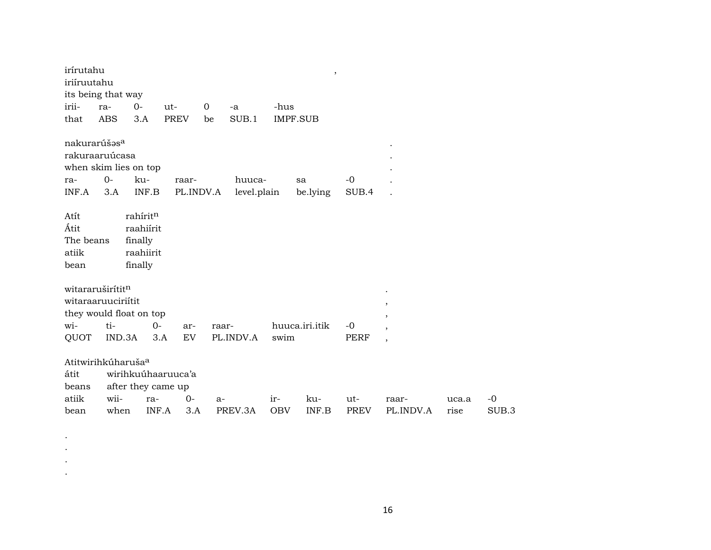| irírutahu                                                                           |               |                                                          |                                   |             |                       |                   | $\, ,$         |                    |                                                                     |               |                          |
|-------------------------------------------------------------------------------------|---------------|----------------------------------------------------------|-----------------------------------|-------------|-----------------------|-------------------|----------------|--------------------|---------------------------------------------------------------------|---------------|--------------------------|
| iriíruutahu                                                                         |               |                                                          |                                   |             |                       |                   |                |                    |                                                                     |               |                          |
| its being that way                                                                  |               |                                                          |                                   |             |                       |                   |                |                    |                                                                     |               |                          |
| irii-                                                                               | ra-           | $0-$                                                     | ut-                               | $\mathbf 0$ | -a                    | -hus              |                |                    |                                                                     |               |                          |
| that                                                                                | ABS           | 3.A                                                      | <b>PREV</b>                       | be          | SUB.1                 | <b>IMPF.SUB</b>   |                |                    |                                                                     |               |                          |
| nakurarúšas <sup>a</sup><br>rakuraaruúcasa<br>when skim lies on top<br>ra-<br>INF.A | $0-$<br>3.A   | ku-<br>INF.B                                             | raar-                             | PL.INDV.A   | huuca-<br>level.plain |                   | sa<br>be.lying | $-0$<br>SUB.4      |                                                                     |               |                          |
| Atít<br>Átit<br>The beans<br>atiik<br>bean                                          |               | rahíritn<br>raahiírit<br>finally<br>raahiirit<br>finally |                                   |             |                       |                   |                |                    |                                                                     |               |                          |
| witararuširítitn<br>witaraaruuciriítit<br>they would float on top<br>wi-<br>QUOT    | ti-<br>IND.3A | $O-$<br>3.A                                              | ar-<br>EV                         | raar-       | PL.INDV.A             | swim              | huuca.iri.itik | $-0$<br>PERF       | $\, ,$<br>,<br>$\overline{\phantom{a}}$<br>$\overline{\phantom{a}}$ |               |                          |
| Atitwirihkúharuša <sup>a</sup><br>átit<br>beans<br>atiik<br>bean                    | wii-<br>when  | after they came up<br>ra-<br>INF.A                       | wirihkuúhaaruuca'a<br>$0-$<br>3.A | $a-$        | PREV.3A               | ir-<br><b>OBV</b> | ku-<br>INF.B   | ut-<br><b>PREV</b> | raar-<br>PL.INDV.A                                                  | uca.a<br>rise | $-0$<br>SUB <sub>3</sub> |

. . . .

16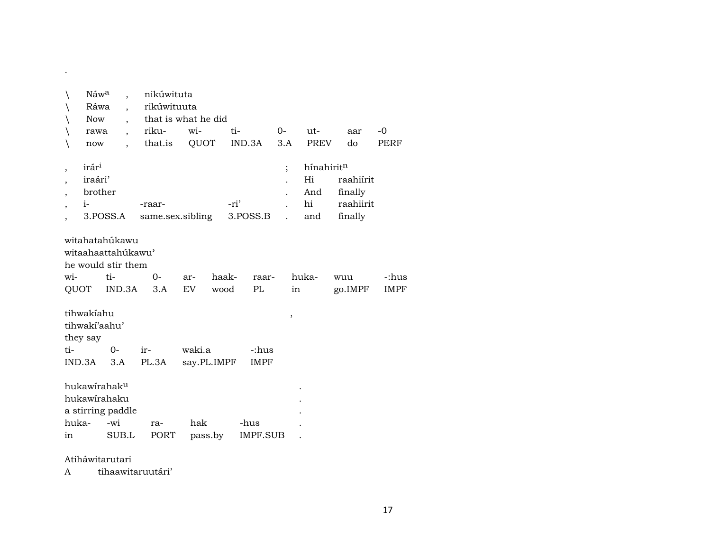|                          | Náwa                                    |                                                                             | nikúwituta  |                     |                              |                      |             |                |                      |
|--------------------------|-----------------------------------------|-----------------------------------------------------------------------------|-------------|---------------------|------------------------------|----------------------|-------------|----------------|----------------------|
|                          | Ráwa                                    |                                                                             | rikúwituuta |                     |                              |                      |             |                |                      |
|                          | <b>Now</b>                              |                                                                             |             | that is what he did |                              |                      |             |                |                      |
|                          | rawa                                    | $\ddot{\phantom{0}}$                                                        | riku-       | wi-                 | ti-                          | 0-                   | ut-         | aar            | $-0$                 |
|                          | now                                     |                                                                             | that.is     | QUOT                | IND.3A                       | 3.A                  | <b>PREV</b> | do             | <b>PERF</b>          |
| $\overline{ }$           | irár <sup>i</sup>                       |                                                                             |             |                     |                              | $\vdots$             | hínahiritn  |                |                      |
|                          | iraári'                                 |                                                                             |             |                     |                              |                      | Hi          | raahiírit      |                      |
| $\overline{\phantom{a}}$ | brother                                 |                                                                             |             |                     |                              |                      | And         | finally        |                      |
| $\overline{\phantom{a}}$ | $i-$                                    |                                                                             | -raar-      |                     | -ri'                         |                      | hi          | raahiirit      |                      |
|                          |                                         | 3.POSS.A                                                                    |             | same.sex.sibling    | 3.POSS.B                     | $\ddot{\phantom{a}}$ | and         | finally        |                      |
| wi-<br>QUOT              |                                         | witahatahúkawu<br>witaahaattahukawu'<br>he would stir them<br>ti-<br>IND.3A | $0-$<br>3.A | ar-<br>EV.          | haak-<br>raar-<br>PL<br>wood | in                   | huka-       | wuu<br>go.IMPF | -:hus<br><b>IMPF</b> |
|                          | tihwakiahu<br>tihwakí'aahu'<br>they say |                                                                             |             |                     |                              | ,                    |             |                |                      |
| ti-                      |                                         | $0 -$                                                                       | ir-         | waki.a              | -:hus                        |                      |             |                |                      |
|                          | $IND.3A$ $3.A$                          |                                                                             | PL.3A       | say.PL.IMPF         | <b>IMPF</b>                  |                      |             |                |                      |
|                          |                                         | hukawirahak <sup>u</sup><br>hukawirahaku<br>a stirring paddle               |             |                     |                              |                      |             |                |                      |
| huka-                    |                                         | -wi                                                                         | ra-         | hak                 | -hus                         |                      |             |                |                      |
| in                       |                                         | SUB.L                                                                       | PORT        | pass.by             | <b>IMPF.SUB</b>              |                      |             |                |                      |
|                          |                                         |                                                                             |             |                     |                              |                      |             |                |                      |

### Atiháwitarutari

.

A tihaawitaruutári'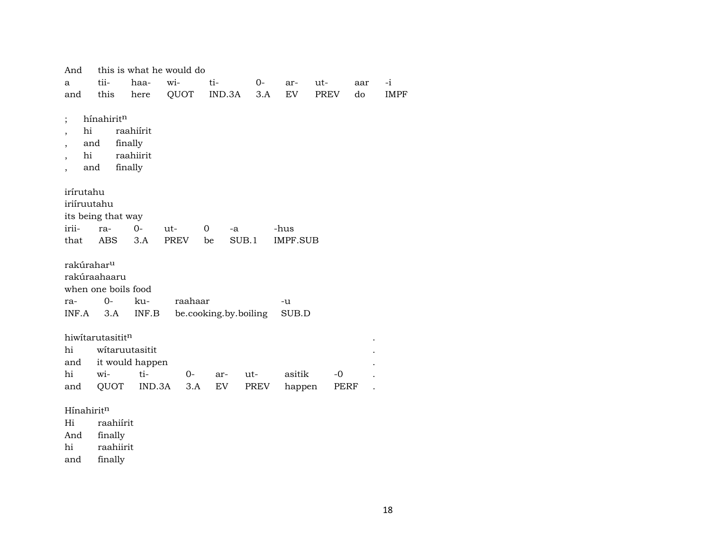| And                                                                           |                                           |                                              | this is what he would do |        |                       |                 |             |     |             |
|-------------------------------------------------------------------------------|-------------------------------------------|----------------------------------------------|--------------------------|--------|-----------------------|-----------------|-------------|-----|-------------|
| a                                                                             | tii-                                      | haa-                                         | wi-                      | ti-    | 0-                    | ar-             | ut-         | aar | $-i$        |
| and                                                                           | this                                      | here                                         | QUOT                     | IND.3A | 3.A                   | EV              | <b>PREV</b> | do  | <b>IMPF</b> |
| $\vdots$<br>hi<br>$\overline{\phantom{a}}$<br>$\cdot$<br>hi<br>$\overline{ }$ | hínahiritn<br>and<br>and                  | raahiírit<br>finally<br>raahiirit<br>finally |                          |        |                       |                 |             |     |             |
| irírutahu<br>iriíruutahu                                                      | its being that way                        |                                              |                          |        |                       |                 |             |     |             |
| irii-                                                                         | ra-                                       | 0-                                           | ut-                      | 0      | -a                    | -hus            |             |     |             |
| that                                                                          | ABS.                                      | 3.A                                          | <b>PREV</b>              | be     | SUB.1                 | <b>IMPF.SUB</b> |             |     |             |
| rakúrahar <sup>u</sup>                                                        | rakúraahaaru<br>when one boils food       |                                              |                          |        |                       |                 |             |     |             |
| ra-                                                                           | $0-$                                      | ku-                                          | raahaar                  |        |                       | -u              |             |     |             |
| INF.A                                                                         | 3.A                                       | INF.B                                        |                          |        | be.cooking.by.boiling | SUB.D           |             |     |             |
| hi<br>and<br>hi                                                               | hiwitarutasititn<br>witaruutasitit<br>wi- | it would happen<br>ti-                       | $0 -$                    | ar-    | ut-                   | asitik          | -0          |     |             |
|                                                                               |                                           | IND.3A                                       |                          |        |                       |                 |             |     |             |
| and                                                                           | QUOT                                      |                                              | 3.A                      | EV     | PREV                  | happen          | PERF        |     |             |

#### $H$ ínahirit $<sup>n</sup>$ </sup>

Hi raahiírit

And finally

hi raahiirit

and finally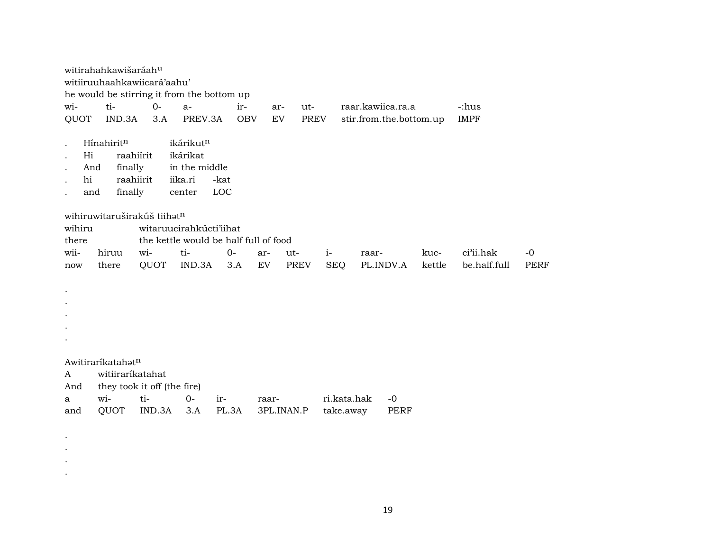witirahahkawišaráah<sup>u</sup> witiiruuhaahkawiicará'aahu' he would be stirring it from the bottom up wi- ti- 0- a- ir- ar- ut- raar.kawiica.ra.a -:hus QUOT IND.3A 3.A PREV.3A OBV EV PREV stir.from.the.bottom.up IMPF  $H$ ínahirit $n$  ikárikut $n$ . Hi raahiírit ikárikat . And finally in the middle . hi raahiirit iika.ri -kat . and finally center LOC wihiruwitaruširakúš tiihatn wihiru witaruucirahkúcti'iihat there the kettle would be half full of food wii- hiruu wi- ti- 0- ar- ut- i- raar- kuc- ci"ii.hak -0 now there QUOT IND.3A 3.A EV PREV SEQ PL.INDV.A kettle be.half.full PERF . . . . . Awitiraríkatahat<sup>n</sup> A witiiraríkatahat And they took it off (the fire) a wi- ti- 0- ir- raar- ri.kata.hak -0 and QUOT IND.3A 3.A PL.3A 3PL.INAN.P take.away PERF

. . . .

19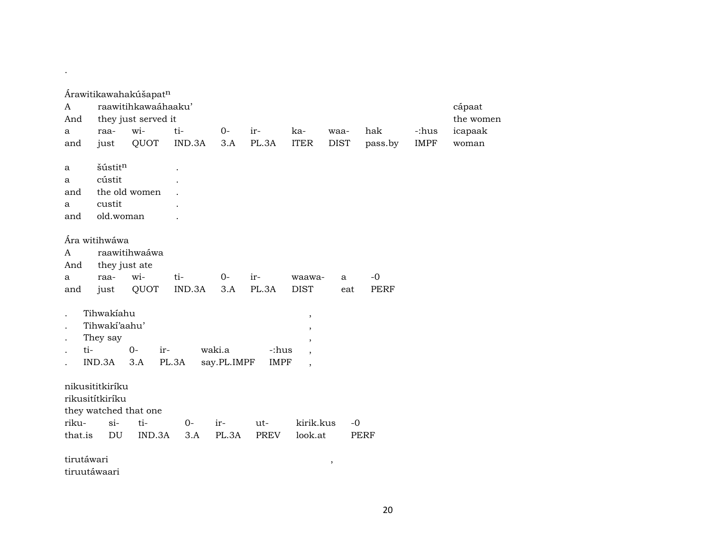| A<br>And   |                                    | Árawitikawahakúšapatn<br>raawitihkawaáhaaku'<br>they just served it |        |             |             |                          |             |             |             | cápaat<br>the women |
|------------|------------------------------------|---------------------------------------------------------------------|--------|-------------|-------------|--------------------------|-------------|-------------|-------------|---------------------|
|            |                                    | wi-                                                                 | ti-    | $0-$        | ir-         | ka-                      | waa-        | hak         | -:hus       |                     |
| a          | raa-                               | QUOT                                                                | IND.3A | 3.A         | PL.3A       | <b>ITER</b>              | <b>DIST</b> |             | <b>IMPF</b> | icapaak             |
| and        | just                               |                                                                     |        |             |             |                          |             | pass.by     |             | woman               |
| a          | šústitn                            |                                                                     |        |             |             |                          |             |             |             |                     |
| a          | cústit                             |                                                                     |        |             |             |                          |             |             |             |                     |
| and        |                                    | the old women                                                       |        |             |             |                          |             |             |             |                     |
| a          | custit                             |                                                                     |        |             |             |                          |             |             |             |                     |
| and        | old.woman                          |                                                                     |        |             |             |                          |             |             |             |                     |
|            |                                    |                                                                     |        |             |             |                          |             |             |             |                     |
|            | Ára witihwáwa                      |                                                                     |        |             |             |                          |             |             |             |                     |
| A          |                                    | raawitihwaáwa                                                       |        |             |             |                          |             |             |             |                     |
| And        |                                    | they just ate                                                       |        |             |             |                          |             |             |             |                     |
| a          | raa-                               | wi-                                                                 | ti-    | $O -$       | ir-         | waawa-                   | a           | $-0$        |             |                     |
| and        | just                               | QUOT                                                                | IND.3A | 3.A         | PL.3A       | <b>DIST</b>              | eat         | <b>PERF</b> |             |                     |
|            |                                    |                                                                     |        |             |             |                          |             |             |             |                     |
|            | Tihwakiahu                         |                                                                     |        |             |             | $\, ,$                   |             |             |             |                     |
|            | Tihwaki'aahu'                      |                                                                     |        |             |             | $\, ,$                   |             |             |             |                     |
|            | They say                           |                                                                     |        |             |             | $^\mathrm{,}$            |             |             |             |                     |
| ti-        |                                    | $0-$<br>ir-                                                         |        | waki.a      | -:hus       | $\overline{\phantom{a}}$ |             |             |             |                     |
|            | IND.3A                             | 3.A                                                                 | PL.3A  | say.PL.IMPF | <b>IMPF</b> | $\overline{ }$           |             |             |             |                     |
|            | nikusititkiríku<br>rikusitítkiríku | they watched that one                                               |        |             |             |                          |             |             |             |                     |
| riku-      | $si-$                              | ti-                                                                 | $0-$   | ir-         | ut-         | kirik.kus                |             | $-0$        |             |                     |
| that.is    | DU                                 | IND.3A                                                              | 3.A    | PL.3A       | PREV        | look.at                  |             | <b>PERF</b> |             |                     |
|            |                                    |                                                                     |        |             |             |                          |             |             |             |                     |
| tirutáwari |                                    |                                                                     |        |             |             |                          |             |             |             |                     |

tiruutáwaari

.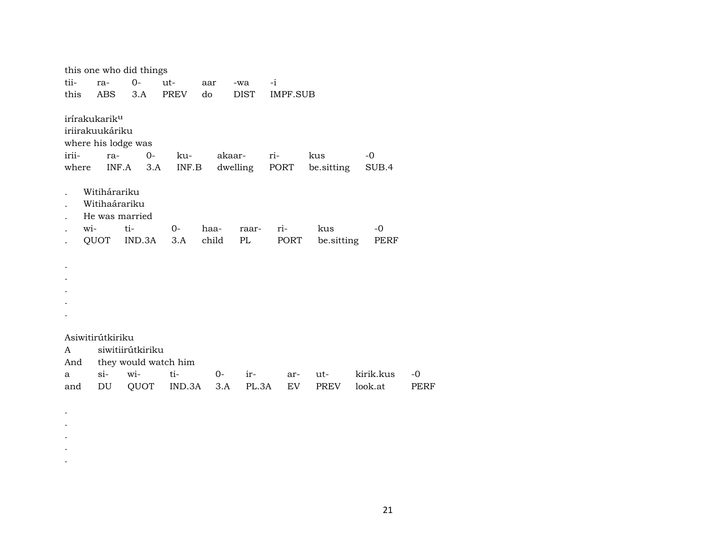|                |                                                                                            | this one who did things |                      |             |                         |           |                   |                      |            |
|----------------|--------------------------------------------------------------------------------------------|-------------------------|----------------------|-------------|-------------------------|-----------|-------------------|----------------------|------------|
| tii-           | ra-                                                                                        | $O -$                   | ut-                  | aar         | -wa                     | $-i$      |                   |                      |            |
| this           | ABS                                                                                        | 3.A                     | PREV                 | do          | DIST                    | IMPF.SUB  |                   |                      |            |
| irii-<br>where | irírakukarik <sup>u</sup><br>iriirakuukáriku<br>where his lodge was<br>ra-<br>Witihárariku | $0-$<br>$INF.A$ 3.A     | ku-<br>INF.B         |             | akaar-<br>dwelling PORT | ri-       | kus<br>be sitting | -0<br>SUB.4          |            |
|                | Witihaárariku                                                                              |                         |                      |             |                         |           |                   |                      |            |
|                | He was married                                                                             |                         |                      |             |                         |           |                   |                      |            |
| wi-            |                                                                                            | ti-                     | $0-$                 | haa-        | raar-                   | ri-       | kus               | -0                   |            |
|                |                                                                                            | QUOT IND.3A             | 3.A                  | child       | PL                      | PORT      | be sitting        | PERF                 |            |
|                |                                                                                            |                         |                      |             |                         |           |                   |                      |            |
|                | Asiwitirútkiriku                                                                           |                         |                      |             |                         |           |                   |                      |            |
| A              |                                                                                            | siwitiirútkiriku        |                      |             |                         |           |                   |                      |            |
| And            |                                                                                            |                         | they would watch him |             |                         |           |                   |                      |            |
| a<br>and       | $\sin$<br>DU                                                                               | wi-<br>QUOT             | ti-<br>IND.3A        | $0-$<br>3.A | ir-<br>PL.3A            | ar-<br>EV | ut-<br>PREV       | kirik.kus<br>look.at | -0<br>PERF |
|                |                                                                                            |                         |                      |             |                         |           |                   |                      |            |

. . . . .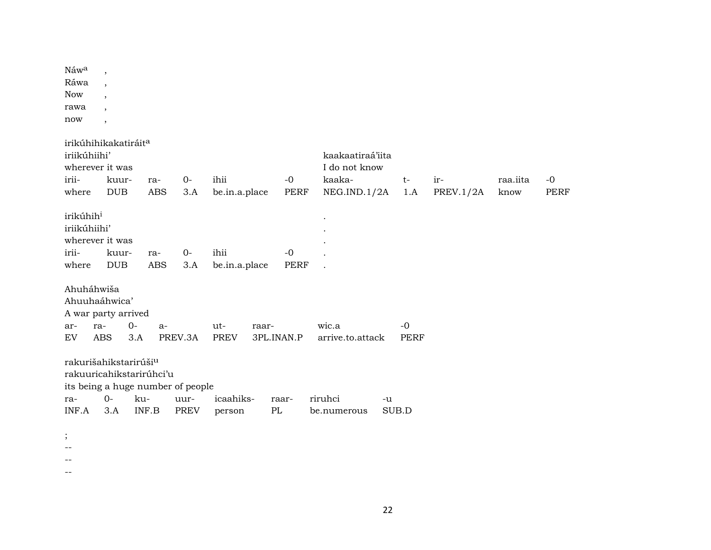| Náw <sup>a</sup><br>Ráwa<br><b>Now</b><br>rawa<br>now                                 | $\cdot$<br>$\overline{\phantom{a}}$<br>$\cdot$<br>$\overline{\phantom{a}}$<br>$\overline{\phantom{a}}$ |                                          |                                                   |                       |                        |                                                             |                     |                  |                  |                     |
|---------------------------------------------------------------------------------------|--------------------------------------------------------------------------------------------------------|------------------------------------------|---------------------------------------------------|-----------------------|------------------------|-------------------------------------------------------------|---------------------|------------------|------------------|---------------------|
| irikúhihikakatiráit <sup>a</sup><br>iriikúhiihi'<br>wherever it was<br>irii-<br>where | kuur-<br><b>DUB</b>                                                                                    | ra-<br>ABS                               | $0-$<br>3.A                                       | ihii<br>be.in.a.place | $-0$<br>PERF           | kaakaatiraá'iita<br>I do not know<br>kaaka-<br>NEG.IND.1/2A | $t-$<br>1.A         | ir-<br>PREV.1/2A | raa.iita<br>know | $-0$<br><b>PERF</b> |
| irikúhih <sup>i</sup><br>iriikúhiihi'<br>wherever it was<br>irii-<br>where            | kuur-<br><b>DUB</b>                                                                                    | ra-<br><b>ABS</b>                        | $0-$<br>3.A                                       | ihii<br>be.in.a.place | $-0$<br><b>PERF</b>    |                                                             |                     |                  |                  |                     |
| Ahuháhwiša<br>Ahuuhaáhwica'<br>A war party arrived<br>ar-<br>EV                       | ra-<br><b>ABS</b>                                                                                      | $0-$<br>$a-$<br>3.A                      | PREV.3A                                           | ut-<br><b>PREV</b>    | raar-<br>3PL.INAN.P    | wic.a<br>arrive.to.attack                                   | $-0$<br><b>PERF</b> |                  |                  |                     |
| rakurišahikstarirúši <sup>u</sup><br>ra-<br>INF.A                                     | $0-$<br>3.A                                                                                            | rakuuricahikstarirúhci'u<br>ku-<br>INF.B | its being a huge number of people<br>uur-<br>PREV | icaahiks-<br>person   | raar-<br>$\mathbf{PL}$ | riruhci<br>be.numerous                                      | -u<br>SUB.D         |                  |                  |                     |
| $\vdots$                                                                              |                                                                                                        |                                          |                                                   |                       |                        |                                                             |                     |                  |                  |                     |

- --
- --
- --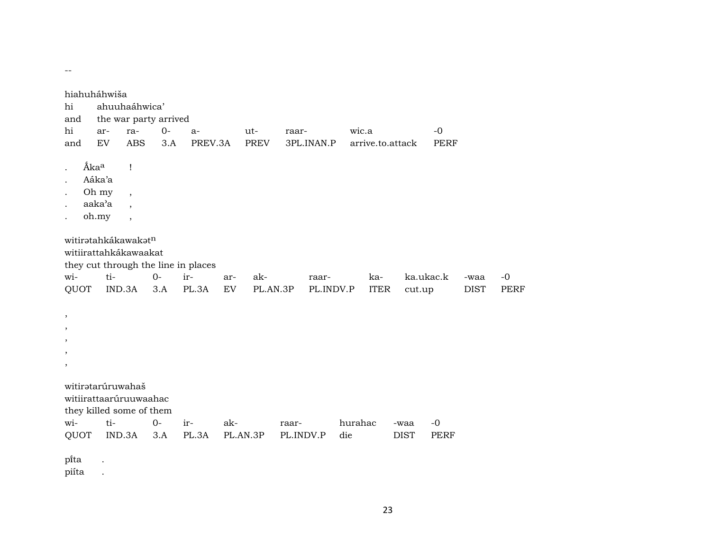| hi<br>and<br>hi<br>and                                                                     | hiahuháhwiša<br>ar-<br>EV                                                                                        | ahuuhaáhwica'<br>ra-<br><b>ABS</b>                                                     | the war party arrived<br>$0-$<br>3.A               | $a-$<br>PREV.3A |           | $ut-$<br><b>PREV</b> | raar-              | 3PL.INAN.P         | wic.a          |                    | arrive.to.attack    | $-0$<br><b>PERF</b> |                     |                     |
|--------------------------------------------------------------------------------------------|------------------------------------------------------------------------------------------------------------------|----------------------------------------------------------------------------------------|----------------------------------------------------|-----------------|-----------|----------------------|--------------------|--------------------|----------------|--------------------|---------------------|---------------------|---------------------|---------------------|
| $\ddot{\phantom{a}}$<br>$\cdot$<br>$\ddot{\phantom{0}}$<br>$\ddot{\phantom{0}}$<br>$\cdot$ | Ákaa<br>Aáka'a<br>Oh my<br>aaka'a<br>oh.my                                                                       | $\mathbf{I}$<br>$\overline{\phantom{a}}$<br>$\overline{\phantom{a}}$<br>$\overline{ }$ |                                                    |                 |           |                      |                    |                    |                |                    |                     |                     |                     |                     |
| wi-<br>QUOT<br>$\,$<br>$\, ,$<br>,<br>$\,$<br>$\,$                                         | witiratahkákawakatn<br>witiirattahkákawaakat<br>ti-<br>IND.3A                                                    |                                                                                        | they cut through the line in places<br>$0-$<br>3.A | ir-<br>PL.3A    | ar-<br>EV | ak-<br>PL.AN.3P      |                    | raar-<br>PL.INDV.P |                | ka-<br><b>ITER</b> | ka.ukac.k<br>cut.up |                     | -waa<br><b>DIST</b> | $-0$<br><b>PERF</b> |
| wi-<br>QUOT<br>pita                                                                        | witiratarúruwahaš<br>witiirattaarúruuwaahac<br>they killed some of them<br>ti-<br>IND.3A<br>$\ddot{\phantom{a}}$ |                                                                                        | $O -$<br>3.A                                       | ir-<br>PL.3A    | ak-       | PL.AN.3P             | raar-<br>PL.INDV.P |                    | hurahac<br>die |                    | -waa<br><b>DIST</b> | $-0$<br><b>PERF</b> |                     |                     |

piíta .

 $\rightarrow$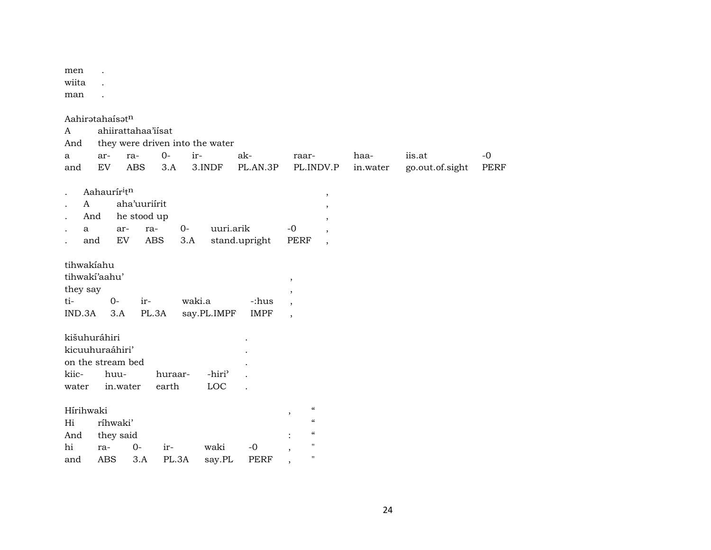men .

wiita .

man .

| A<br>And     | Aahiratahaísatn         | ahiirattahaa'iisat<br>they were driven into the water |         |        |                    |               |                                      |                          |          |                 |             |
|--------------|-------------------------|-------------------------------------------------------|---------|--------|--------------------|---------------|--------------------------------------|--------------------------|----------|-----------------|-------------|
| a            | ar-                     | ra-                                                   | $0-$    | ir-    |                    | ak-           | raar-                                |                          | haa-     | iis.at          | $-0$        |
| and          | EV                      | <b>ABS</b>                                            | 3.A     |        | 3.INDF             | PL.AN.3P      |                                      | PL.INDV.P                | in.water | go.out.of.sight | <b>PERF</b> |
|              |                         |                                                       |         |        |                    |               |                                      |                          |          |                 |             |
|              | Aahaurír <sup>itn</sup> |                                                       |         |        |                    |               |                                      | $^\mathrm{^{^\circ}}$    |          |                 |             |
| $\mathsf{A}$ |                         | aha'uuriirit                                          |         |        |                    |               |                                      | $\,$                     |          |                 |             |
|              | And                     | he stood up                                           |         |        |                    |               |                                      | $^\mathrm{^\mathrm{o}}$  |          |                 |             |
| $\mathbf{a}$ |                         | ar-                                                   | ra-     | 0-     | uuri.arik          |               | $-0$                                 | $\overline{\phantom{a}}$ |          |                 |             |
|              | and                     | EV                                                    | ABS     | 3.A    |                    | stand.upright | PERF                                 | $\,$                     |          |                 |             |
|              |                         |                                                       |         |        |                    |               |                                      |                          |          |                 |             |
|              | tihwakíahu              |                                                       |         |        |                    |               |                                      |                          |          |                 |             |
|              | tihwakí'aahu'           |                                                       |         |        |                    |               | $\, ,$                               |                          |          |                 |             |
| they say     |                         |                                                       |         |        |                    |               | $^\mathrm{,}$                        |                          |          |                 |             |
| ti-          | $0-$                    | ir-                                                   |         | waki.a |                    | -:hus         | $\overline{\phantom{a}}$             |                          |          |                 |             |
| IND.3A       | 3.A                     |                                                       | PL.3A   |        | say.PL.IMPF        | <b>IMPF</b>   | $\overline{\phantom{a}}$             |                          |          |                 |             |
|              | kišuhuráhiri            |                                                       |         |        |                    |               |                                      |                          |          |                 |             |
|              | kicuuhuraáhiri'         |                                                       |         |        |                    |               |                                      |                          |          |                 |             |
|              | on the stream bed       |                                                       |         |        |                    |               |                                      |                          |          |                 |             |
| kiic-        | huu-                    |                                                       | huraar- |        | -hiri <sup>3</sup> |               |                                      |                          |          |                 |             |
| water        |                         | in.water                                              | earth   |        | LOC                |               |                                      |                          |          |                 |             |
|              |                         |                                                       |         |        |                    |               |                                      |                          |          |                 |             |
| Hírihwaki    |                         |                                                       |         |        |                    |               | $\mathcal{C}\mathcal{C}$<br>$\,$     |                          |          |                 |             |
| Hi           | ríhwaki'                |                                                       |         |        |                    |               | $\epsilon\epsilon$                   |                          |          |                 |             |
| And          | they said               |                                                       |         |        |                    |               | $\mathcal{C}$                        |                          |          |                 |             |
| hi           | ra-                     | $O -$                                                 | ir-     |        | waki               | $-0$          | $\pmb{\mathsf{H}}$<br>$\overline{ }$ |                          |          |                 |             |
| and          | <b>ABS</b>              | 3.A                                                   | PL.3A   |        | say.PL             | <b>PERF</b>   | $\pmb{\mathsf{H}}$<br>,              |                          |          |                 |             |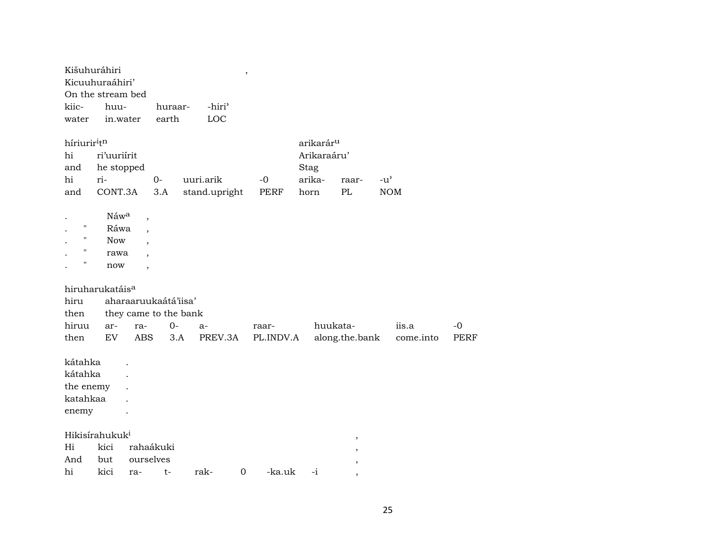| Kišuhuráhiri<br>Kicuuhuraáhiri'<br>On the stream bed<br>kiic-<br>water | huu-<br>in.water                            |                                     | huraar-<br>earth | -hiri <sup>3</sup><br>LOC  | $\pmb{\mathcal{I}}$ |                    |                                                                |                |                             |                     |
|------------------------------------------------------------------------|---------------------------------------------|-------------------------------------|------------------|----------------------------|---------------------|--------------------|----------------------------------------------------------------|----------------|-----------------------------|---------------------|
| híriurir <sup>i</sup> t <sup>n</sup><br>hi<br>and<br>hi<br>and         | ri'uuriírit<br>he stopped<br>ri-<br>CONT.3A |                                     | $0-$<br>3.A      | uuri.arik<br>stand.upright |                     | $-0$<br>PERF       | arikarár <sup>u</sup><br>Arikaraáru'<br>Stag<br>arika-<br>horn | raar-<br>PL    | $-u^{\prime}$<br><b>NOM</b> |                     |
| $\mathbf{H}$<br>11<br>"<br>П                                           | Náwa<br>Ráwa<br><b>Now</b><br>rawa<br>now   | $\overline{\phantom{a}}$<br>$\cdot$ |                  |                            |                     |                    |                                                                |                |                             |                     |
| hiruharukatáis <sup>a</sup>                                            |                                             |                                     |                  |                            |                     |                    |                                                                |                |                             |                     |
| hiru                                                                   |                                             | aharaaruukaátá'iisa'                |                  |                            |                     |                    |                                                                |                |                             |                     |
| then                                                                   |                                             | they came to the bank               |                  |                            |                     |                    |                                                                |                |                             |                     |
| hiruu<br>then                                                          | ar-<br>EV                                   | ra-<br><b>ABS</b>                   | $0-$<br>3.A      | $a-$<br>PREV.3A            |                     | raar-<br>PL.INDV.A | huukata-                                                       | along.the.bank | iis.a<br>come.into          | $-0$<br><b>PERF</b> |
| kátahka<br>kátahka<br>the enemy<br>katahkaa<br>enemy                   |                                             |                                     |                  |                            |                     |                    |                                                                |                |                             |                     |
| Hikisírahukuk <sup>i</sup>                                             |                                             |                                     |                  |                            |                     |                    |                                                                |                |                             |                     |
| Hi                                                                     | kici                                        | rahaákuki                           |                  |                            |                     |                    |                                                                | $\,$           |                             |                     |
| And                                                                    | but                                         | ourselves                           |                  |                            |                     |                    |                                                                |                |                             |                     |
| hi                                                                     | kici                                        | ra-                                 | t-               | rak-                       | $\mathbf 0$         | -ka.uk             | $-i$                                                           |                |                             |                     |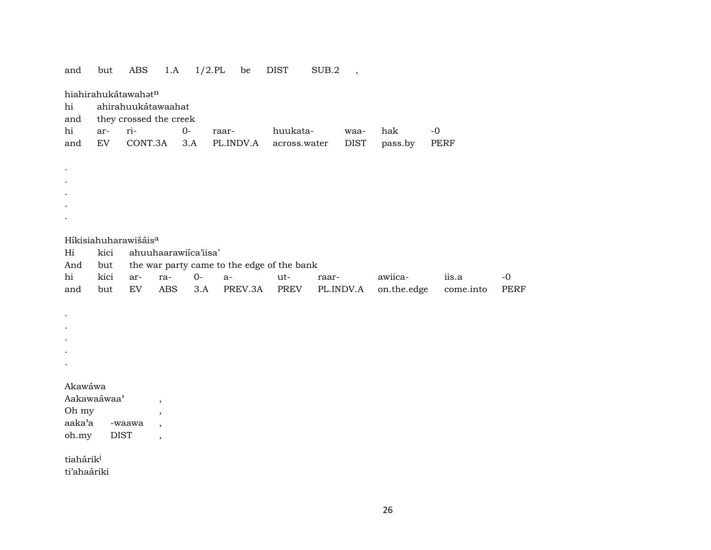| and                   | but                        | ABS                              | 1.A                                                  | $1/2$ .PL | be                                         | <b>DIST</b>  | SUB.2 | $\overline{\phantom{a}}$ |             |           |            |
|-----------------------|----------------------------|----------------------------------|------------------------------------------------------|-----------|--------------------------------------------|--------------|-------|--------------------------|-------------|-----------|------------|
| hi                    |                            | hiahirahukátawahatn              | ahirahuukátawaahat                                   |           |                                            |              |       |                          |             |           |            |
| and                   |                            |                                  | they crossed the creek                               |           |                                            |              |       |                          |             |           |            |
| hi                    | ar-                        | ri-                              | $0-$                                                 |           | raar-                                      | huukata-     |       | waa-                     | hak         | $-0$      |            |
| and                   | $\mathop{\rm EV}\nolimits$ | CONT.3A                          |                                                      | 3.A       | PL.INDV.A                                  | across.water |       | $\rm DIST$               | pass.by     | PERF      |            |
|                       |                            |                                  |                                                      |           |                                            |              |       |                          |             |           |            |
|                       |                            |                                  |                                                      |           |                                            |              |       |                          |             |           |            |
|                       |                            |                                  |                                                      |           |                                            |              |       |                          |             |           |            |
|                       |                            |                                  |                                                      |           |                                            |              |       |                          |             |           |            |
|                       |                            |                                  |                                                      |           |                                            |              |       |                          |             |           |            |
|                       |                            |                                  |                                                      |           |                                            |              |       |                          |             |           |            |
|                       |                            | Híkisiahuharawišáis <sup>a</sup> |                                                      |           |                                            |              |       |                          |             |           |            |
| Hi                    | kici                       |                                  | ahuuhaarawiíca'iisa'                                 |           |                                            |              |       |                          |             |           |            |
| And                   | but                        |                                  |                                                      |           | the war party came to the edge of the bank |              |       |                          |             |           |            |
| hi                    | kici                       | ar-                              | ra-                                                  | $0-$      | $a-$                                       | ut-          | raar- |                          | awiica-     | iis.a     | $-{\bf 0}$ |
| and                   | but                        | $\mathop{\rm EV}\nolimits$       | $\operatorname{ABS}$                                 | 3.A       | PREV.3A                                    | PREV         |       | PL.INDV.A                | on.the.edge | come.into | PERF       |
|                       |                            |                                  |                                                      |           |                                            |              |       |                          |             |           |            |
|                       |                            |                                  |                                                      |           |                                            |              |       |                          |             |           |            |
|                       |                            |                                  |                                                      |           |                                            |              |       |                          |             |           |            |
|                       |                            |                                  |                                                      |           |                                            |              |       |                          |             |           |            |
|                       |                            |                                  |                                                      |           |                                            |              |       |                          |             |           |            |
|                       |                            |                                  |                                                      |           |                                            |              |       |                          |             |           |            |
| Akawáwa               |                            |                                  |                                                      |           |                                            |              |       |                          |             |           |            |
|                       | Aakawaáwaa'                |                                  | $\overline{\phantom{a}}$                             |           |                                            |              |       |                          |             |           |            |
| Oh my<br>aaka'a       |                            | -waawa                           | $\, ,$                                               |           |                                            |              |       |                          |             |           |            |
| oh.my                 | <b>DIST</b>                |                                  | $\overline{\phantom{a}}$<br>$\overline{\phantom{a}}$ |           |                                            |              |       |                          |             |           |            |
|                       |                            |                                  |                                                      |           |                                            |              |       |                          |             |           |            |
| tiahárik <sup>i</sup> |                            |                                  |                                                      |           |                                            |              |       |                          |             |           |            |
| ti'ahaáriki           |                            |                                  |                                                      |           |                                            |              |       |                          |             |           |            |
|                       |                            |                                  |                                                      |           |                                            |              |       |                          |             |           |            |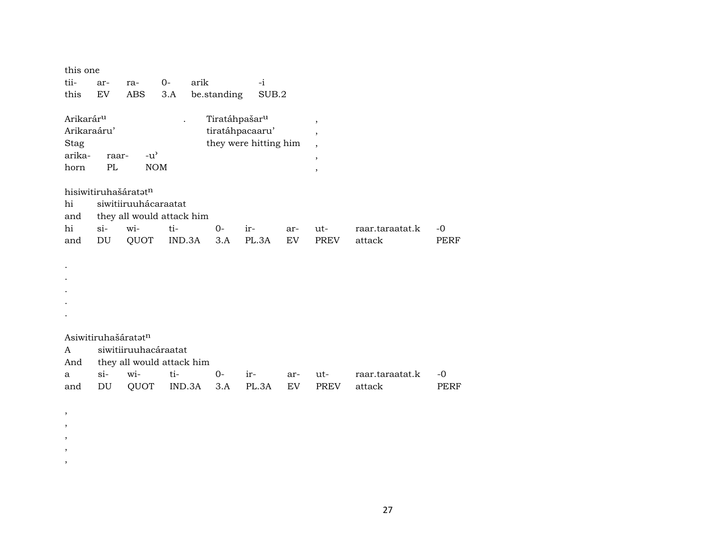| this one              |        |                           |        |                           |                       |     |                          |                 |      |
|-----------------------|--------|---------------------------|--------|---------------------------|-----------------------|-----|--------------------------|-----------------|------|
| tii-                  | ar-    | ra-                       | $0-$   | arik                      | $-i$                  |     |                          |                 |      |
| this                  | EV     | <b>ABS</b>                | 3.A    | be.standing               | SUB.2                 |     |                          |                 |      |
|                       |        |                           |        |                           |                       |     |                          |                 |      |
| Arikarár <sup>u</sup> |        |                           |        | Tiratáhpašar <sup>u</sup> |                       |     | $^\mathrm{,}$            |                 |      |
| Arikaraáru'           |        |                           |        |                           | tiratáhpacaaru'       |     | $\overline{ }$           |                 |      |
| Stag                  |        |                           |        |                           | they were hitting him |     | $\overline{\phantom{a}}$ |                 |      |
| arika-                | raar-  | $-u^{\prime}$             |        |                           |                       |     | $^\mathrm{^\mathrm{o}}$  |                 |      |
| horn                  | PL     | <b>NOM</b>                |        |                           |                       |     | $^\mathrm{^\mathrm{o}}$  |                 |      |
|                       |        |                           |        |                           |                       |     |                          |                 |      |
|                       |        | hisiwitiruhašáratatn      |        |                           |                       |     |                          |                 |      |
| hi                    |        | siwitiiruuhácaraatat      |        |                           |                       |     |                          |                 |      |
| and                   |        | they all would attack him |        |                           |                       |     |                          |                 |      |
| hi                    | $si-$  | wi-                       | ti-    | $0-$                      | ir-                   | ar- | ut-                      | raar.taraatat.k | $-0$ |
| and                   | DU     | QUOT                      | IND.3A | 3.A                       | PL.3A                 | EV  | <b>PREV</b>              | attack          | PERF |
|                       |        |                           |        |                           |                       |     |                          |                 |      |
|                       |        |                           |        |                           |                       |     |                          |                 |      |
|                       |        |                           |        |                           |                       |     |                          |                 |      |
|                       |        |                           |        |                           |                       |     |                          |                 |      |
|                       |        |                           |        |                           |                       |     |                          |                 |      |
|                       |        |                           |        |                           |                       |     |                          |                 |      |
|                       |        |                           |        |                           |                       |     |                          |                 |      |
|                       |        | Asiwitiruhašáratatn       |        |                           |                       |     |                          |                 |      |
| A                     |        | siwitiiruuhacáraatat      |        |                           |                       |     |                          |                 |      |
| And                   |        | they all would attack him |        |                           |                       |     |                          |                 |      |
| a                     | $\sin$ | wi-                       | ti-    | 0-                        | ir-                   | ar- | ut-                      | raar.taraatat.k | -0   |
| and                   | DU     | QUOT                      | IND.3A | 3.A                       | PL.3A                 | EV. | <b>PREV</b>              | attack          | PERF |
|                       |        |                           |        |                           |                       |     |                          |                 |      |

, , , , ,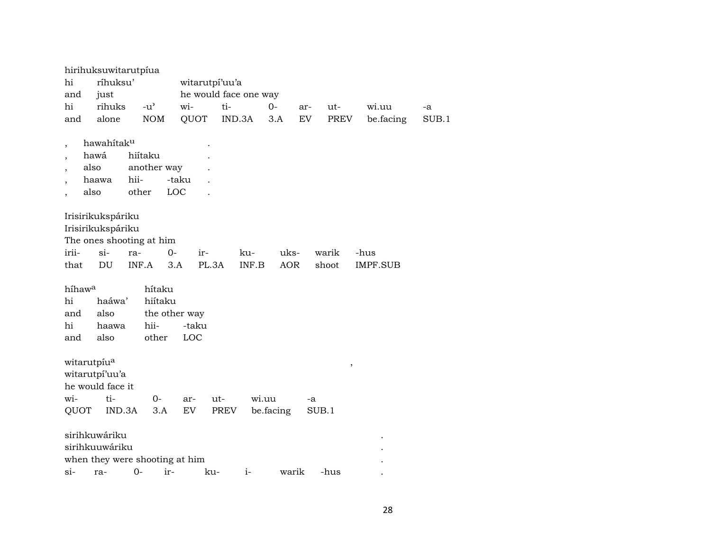|                          |                   | hirihuksuwitarutpíua                |               |                |                       |            |                         |           |       |
|--------------------------|-------------------|-------------------------------------|---------------|----------------|-----------------------|------------|-------------------------|-----------|-------|
| hi                       | ríhuksu'          |                                     |               | witarutpi'uu'a |                       |            |                         |           |       |
| and                      | just              |                                     |               |                | he would face one way |            |                         |           |       |
| hi                       | rihuks            | $-u$ <sup><math>\prime</math></sup> | wi-           | ti-            | $0-$                  | ar-        | ut-                     | wi.uu     | -a    |
| and                      | alone             | <b>NOM</b>                          | QUOT          |                | IND.3A                | EV<br>3.A  | PREV                    | be.facing | SUB.1 |
|                          |                   |                                     |               |                |                       |            |                         |           |       |
| $\overline{\phantom{a}}$ | hawahitaku        |                                     |               |                |                       |            |                         |           |       |
|                          | hawá              | hiítaku                             |               |                |                       |            |                         |           |       |
| $\overline{\phantom{a}}$ | also              | another way                         |               |                |                       |            |                         |           |       |
|                          | haawa             | hii-                                | -taku         |                |                       |            |                         |           |       |
|                          | also              | other                               | LOC           |                |                       |            |                         |           |       |
|                          |                   |                                     |               |                |                       |            |                         |           |       |
|                          | Irisirikukspáriku |                                     |               |                |                       |            |                         |           |       |
|                          | Irisirikukspáriku |                                     |               |                |                       |            |                         |           |       |
|                          |                   | The ones shooting at him            |               |                |                       |            |                         |           |       |
| irii-                    | $\sin$            | ra-                                 | $0-$          | ir-            | ku-                   | uks-       | warik                   | -hus      |       |
| that                     | DU                | INF.A                               | 3.A           | PL.3A          | INF.B                 | <b>AOR</b> | shoot                   | IMPF.SUB  |       |
|                          |                   |                                     |               |                |                       |            |                         |           |       |
| híhaw <sup>a</sup>       |                   | hítaku                              |               |                |                       |            |                         |           |       |
| hi                       | haáwa'            | hiítaku                             |               |                |                       |            |                         |           |       |
| and                      | also              |                                     | the other way |                |                       |            |                         |           |       |
| hi                       | haawa             | hii-                                | -taku         |                |                       |            |                         |           |       |
| and                      | also              | other                               | LOC           |                |                       |            |                         |           |       |
|                          |                   |                                     |               |                |                       |            |                         |           |       |
| witarutpíu <sup>a</sup>  |                   |                                     |               |                |                       |            | $^\mathrm{^\mathrm{o}}$ |           |       |
|                          | witarutpí'uu'a    |                                     |               |                |                       |            |                         |           |       |
|                          | he would face it  |                                     |               |                |                       |            |                         |           |       |
| wi-                      | ti-               | $O -$                               | ar-           | ut-            | wi.uu                 |            | -a                      |           |       |
| QUOT                     | IND.3A            | 3.A                                 | EV            | PREV           | be facing             |            | SUB.1                   |           |       |
|                          |                   |                                     |               |                |                       |            |                         |           |       |
|                          | sirihkuwáriku     |                                     |               |                |                       |            |                         |           |       |
|                          | sirihkuuwáriku    |                                     |               |                |                       |            |                         |           |       |
|                          |                   | when they were shooting at him      |               |                |                       |            |                         |           |       |
| $si-$                    | ra-               | $0-$                                | ir-           | ku-            | $i-$                  | warik      | -hus                    |           |       |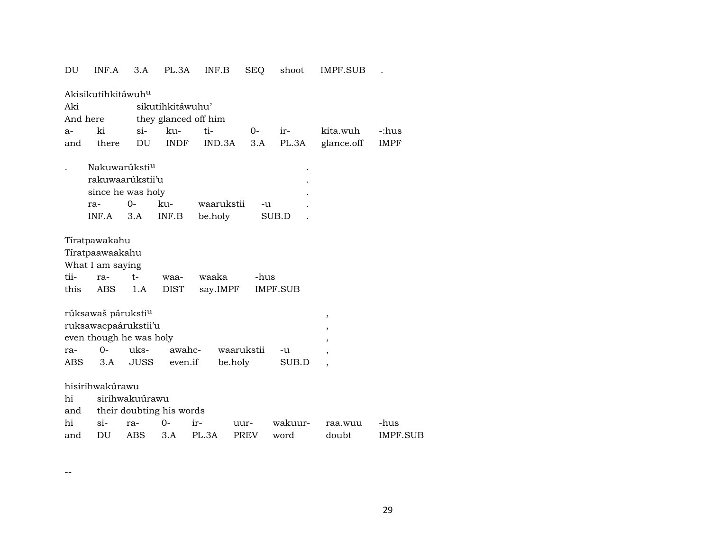| DU       | INF.A                          | 3.A            | PL.3A                    | INF.B      | SEQ         | shoot           | IMPF.SUB   |             |
|----------|--------------------------------|----------------|--------------------------|------------|-------------|-----------------|------------|-------------|
|          | Akisikutihkitáwuh <sup>u</sup> |                |                          |            |             |                 |            |             |
| Aki      |                                |                | sikutihkitáwuhu'         |            |             |                 |            |             |
| And here |                                |                | they glanced off him     |            |             |                 |            |             |
| a-       | ki                             | $\sin$         | ku-                      | ti-        | $O -$       | ir-             | kita.wuh   | -:hus       |
| and      | there                          | DU             | <b>INDF</b>              | IND.3A     | 3.A         | PL.3A           | glance.off | <b>IMPF</b> |
|          | Nakuwarúksti <sup>u</sup>      |                |                          |            |             |                 |            |             |
|          | rakuwaarúkstii'u               |                |                          |            |             |                 |            |             |
|          | since he was holy              |                |                          |            |             |                 |            |             |
|          | ra-                            | $0-$           | ku-                      | waarukstii | -u          |                 |            |             |
|          | INF.A                          | 3.A            | INF.B                    | be.holy    |             | SUB.D           |            |             |
|          | Tírətpawakahu                  |                |                          |            |             |                 |            |             |
|          | Tíratpaawaakahu                |                |                          |            |             |                 |            |             |
|          | What I am saying               |                |                          |            |             |                 |            |             |
| tii-     | ra-                            | $t-$           | waa-                     | waaka      | -hus        |                 |            |             |
| this     | <b>ABS</b>                     | 1.A            | <b>DIST</b>              | say.IMPF   |             | <b>IMPF.SUB</b> |            |             |
|          | rúksawaš páruksti <sup>u</sup> |                |                          |            |             |                 | ,          |             |
|          | ruksawacpaárukstii'u           |                |                          |            |             |                 | ,          |             |
|          | even though he was holy        |                |                          |            |             |                 |            |             |
| ra-      | $0-$                           | uks-           | awahc-                   |            | waarukstii  | -u              |            |             |
| ABS.     | 3.A                            | JUSS           | even.if                  | be.holy    |             | SUB.D           |            |             |
|          | hisirihwakúrawu                |                |                          |            |             |                 |            |             |
| hi       |                                | sirihwakuúrawu |                          |            |             |                 |            |             |
| and      |                                |                | their doubting his words |            |             |                 |            |             |
| hi       | si-                            | ra-            | $0-$                     | ir-        | uur-        | wakuur-         | raa.wuu    | -hus        |
| and      | DU                             | ABS            | 3.A                      | PL.3A      | <b>PREV</b> | word            | doubt      | IMPF.SUB    |
|          |                                |                |                          |            |             |                 |            |             |

--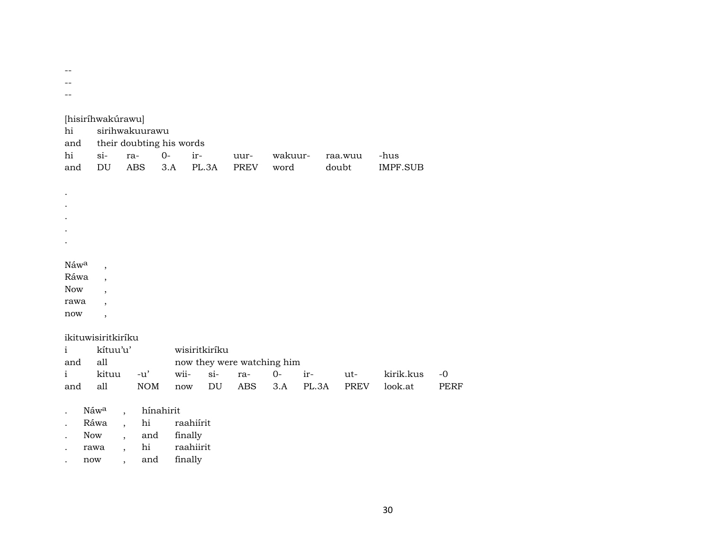--

--

--

| hi<br>and            | [hisiríhwakúrawu]        |                          | sirihwakuurawu<br>their doubting his words |         |               |                            |         |       |         |  |           |             |
|----------------------|--------------------------|--------------------------|--------------------------------------------|---------|---------------|----------------------------|---------|-------|---------|--|-----------|-------------|
| hi                   | $si-$                    |                          | ra-                                        | $0-$    | ir-           | uur-                       | wakuur- |       | raa.wuu |  | -hus      |             |
| and                  | DU                       |                          | <b>ABS</b>                                 | 3.A     | PL.3A         | <b>PREV</b>                | word    |       | doubt   |  | IMPF.SUB  |             |
|                      |                          |                          |                                            |         |               |                            |         |       |         |  |           |             |
| $\cdot$              |                          |                          |                                            |         |               |                            |         |       |         |  |           |             |
| $\cdot$              |                          |                          |                                            |         |               |                            |         |       |         |  |           |             |
|                      |                          |                          |                                            |         |               |                            |         |       |         |  |           |             |
|                      |                          |                          |                                            |         |               |                            |         |       |         |  |           |             |
|                      |                          |                          |                                            |         |               |                            |         |       |         |  |           |             |
|                      |                          |                          |                                            |         |               |                            |         |       |         |  |           |             |
| Náwa                 | $\overline{\phantom{a}}$ |                          |                                            |         |               |                            |         |       |         |  |           |             |
| Ráwa                 |                          |                          |                                            |         |               |                            |         |       |         |  |           |             |
| Now                  | $\cdot$                  |                          |                                            |         |               |                            |         |       |         |  |           |             |
| rawa                 |                          |                          |                                            |         |               |                            |         |       |         |  |           |             |
| now                  | $\overline{ }$           |                          |                                            |         |               |                            |         |       |         |  |           |             |
|                      |                          |                          |                                            |         |               |                            |         |       |         |  |           |             |
|                      | ikituwisiritkiríku       |                          |                                            |         |               |                            |         |       |         |  |           |             |
| $\mathbf{i}$         | kítuu'u'                 |                          |                                            |         | wisiritkiríku |                            |         |       |         |  |           |             |
| and                  | all                      |                          |                                            |         |               | now they were watching him |         |       |         |  |           |             |
| $\mathbf{i}$         | kituu                    |                          | $-u'$                                      | wii-    | $si-$         | ra-                        | $0-$    | ir-   | $ut-$   |  | kirik.kus | $-0$        |
| and                  | all                      |                          | $\rm{NOM}$                                 | now     | DU            | <b>ABS</b>                 | 3.A     | PL.3A | PREV    |  | look.at   | <b>PERF</b> |
|                      |                          |                          |                                            |         |               |                            |         |       |         |  |           |             |
| $\bullet$            | Náwa                     | $\overline{\phantom{a}}$ | hínahirit                                  |         |               |                            |         |       |         |  |           |             |
| $\cdot$              | Ráwa                     | $\ddot{\phantom{0}}$     | hi                                         |         | raahiírit     |                            |         |       |         |  |           |             |
| $\ddot{\phantom{0}}$ | Now                      |                          | and                                        | finally |               |                            |         |       |         |  |           |             |
|                      | rawa                     | $\overline{\phantom{a}}$ | hi                                         |         | raahiirit     |                            |         |       |         |  |           |             |
| $\cdot$              | now                      | ,                        | and                                        | finally |               |                            |         |       |         |  |           |             |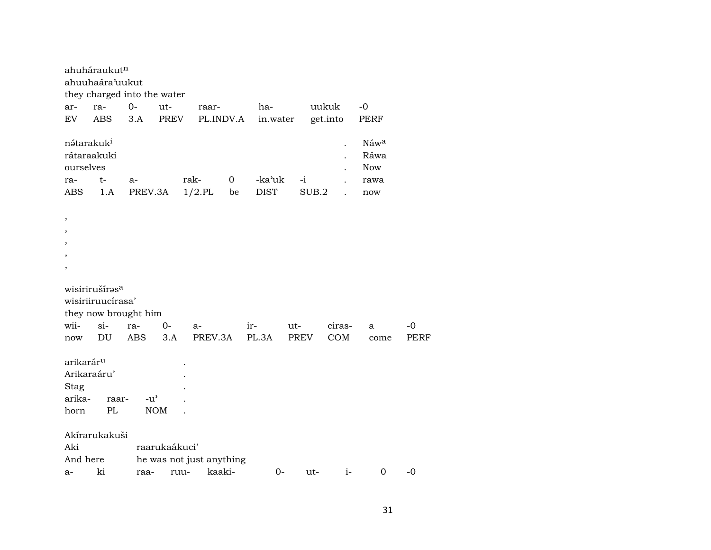|                                                                       | ahuháraukut <sup>n</sup>                                                                                                                                 |                                     |                             |                          |                      |                       |      |          |      |                                           |      |  |  |
|-----------------------------------------------------------------------|----------------------------------------------------------------------------------------------------------------------------------------------------------|-------------------------------------|-----------------------------|--------------------------|----------------------|-----------------------|------|----------|------|-------------------------------------------|------|--|--|
|                                                                       | ahuuhaára'uukut                                                                                                                                          |                                     |                             |                          |                      |                       |      |          |      |                                           |      |  |  |
|                                                                       | they charged into the water                                                                                                                              |                                     |                             |                          |                      |                       |      |          |      |                                           |      |  |  |
| ar-                                                                   | ra-                                                                                                                                                      | $0-$                                | ut-                         | raar-                    |                      | ha-                   |      | uukuk    |      | $-0$                                      |      |  |  |
| EV                                                                    | <b>ABS</b>                                                                                                                                               | 3.A                                 | <b>PREV</b>                 | PL.INDV.A                |                      | in.water              |      | get.into |      | PERF                                      |      |  |  |
| nátarakuk <sup>i</sup><br>ourselves<br>ra-<br><b>ABS</b>              | rátaraakuki<br>t-<br>1.A                                                                                                                                 | $a-$<br>PREV.3A                     |                             | rak-<br>$1/2$ .PL        | $\overline{0}$<br>be | -ka'uk<br><b>DIST</b> | $-i$ | SUB.2    |      | Náwa<br>Ráwa<br><b>Now</b><br>rawa<br>now |      |  |  |
| $\, ,$                                                                |                                                                                                                                                          |                                     |                             |                          |                      |                       |      |          |      |                                           |      |  |  |
| $\, ,$                                                                |                                                                                                                                                          |                                     |                             |                          |                      |                       |      |          |      |                                           |      |  |  |
| $\, ,$                                                                |                                                                                                                                                          |                                     |                             |                          |                      |                       |      |          |      |                                           |      |  |  |
| ,                                                                     |                                                                                                                                                          |                                     |                             |                          |                      |                       |      |          |      |                                           |      |  |  |
| $\overline{\phantom{a}}$                                              |                                                                                                                                                          |                                     |                             |                          |                      |                       |      |          |      |                                           |      |  |  |
| wii-                                                                  | wisirirušíras <sup>a</sup><br>wisiriiruucírasa'<br>they now brought him<br>$si-$<br>$O -$<br>ra-<br>ciras-<br>-0<br>$ir-$<br>ut-<br>$a-$<br>$\mathbf{a}$ |                                     |                             |                          |                      |                       |      |          |      |                                           |      |  |  |
| now                                                                   | DU                                                                                                                                                       | ABS                                 | 3.A                         | PREV.3A                  |                      | PL.3A                 | PREV |          | COM  | come                                      | PERF |  |  |
| arikarár <sup>u</sup><br>Arikaraáru'<br>Stag<br>arika-<br>horn<br>Aki | raar-<br>PL<br>Akírarukakuši                                                                                                                             | $-u$ <sup><math>\prime</math></sup> | <b>NOM</b><br>raarukaákuci' |                          |                      |                       |      |          |      |                                           |      |  |  |
| And here                                                              |                                                                                                                                                          |                                     |                             | he was not just anything |                      |                       |      |          |      |                                           |      |  |  |
| a-                                                                    | ki                                                                                                                                                       | raa-                                | ruu-                        | kaaki-                   |                      | $0-$                  |      | ut-      | $i-$ | $\mathbf 0$                               | $-0$ |  |  |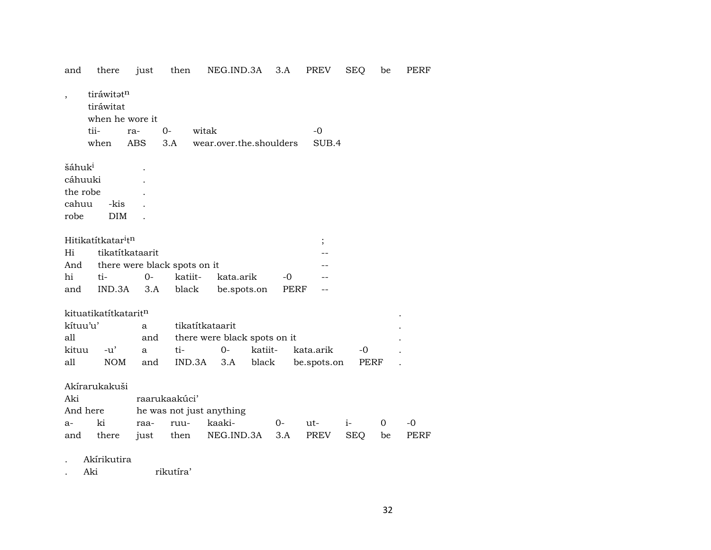| and                      | there                                      | just            | then                         | NEG.IND.3A                   |         | 3.A  | <b>PREV</b> | SEQ        | be          | PERF        |
|--------------------------|--------------------------------------------|-----------------|------------------------------|------------------------------|---------|------|-------------|------------|-------------|-------------|
| $\overline{\phantom{a}}$ | tiráwitatn<br>tiráwitat<br>when he wore it |                 |                              |                              |         |      |             |            |             |             |
|                          | tii-                                       | ra-             | $0-$                         | witak                        |         |      | $-0$        |            |             |             |
|                          | when                                       | ABS             | 3.A                          | wear.over.the.shoulders      |         |      | SUB.4       |            |             |             |
| šáhuk <sup>i</sup>       |                                            |                 |                              |                              |         |      |             |            |             |             |
| cáhuuki                  |                                            |                 |                              |                              |         |      |             |            |             |             |
| the robe                 |                                            |                 |                              |                              |         |      |             |            |             |             |
| cahuu                    | -kis                                       |                 |                              |                              |         |      |             |            |             |             |
| robe                     | <b>DIM</b>                                 |                 |                              |                              |         |      |             |            |             |             |
|                          | Hitikatítkatar <sup>i</sup> t <sup>n</sup> |                 |                              |                              |         |      | ;           |            |             |             |
| Hi                       |                                            | tikatítkataarit |                              |                              |         |      |             |            |             |             |
| And                      |                                            |                 | there were black spots on it |                              |         |      |             |            |             |             |
| hi                       | ti-                                        | $O -$           | katiit-                      | kata.arik                    |         | $-0$ |             |            |             |             |
| and                      | IND.3A                                     | 3.A             | black                        | be.spots.on                  |         | PERF |             |            |             |             |
|                          | kituatikatítkatarit <sup>n</sup>           |                 |                              |                              |         |      |             |            |             |             |
| kítuu'u'                 |                                            | a               |                              | tikatítkataarit              |         |      |             |            |             |             |
| all                      |                                            | and             |                              | there were black spots on it |         |      |             |            |             |             |
| kituu                    | $-u'$                                      | a               | ti-                          | $0-$                         | katiit- |      | kata.arik   | $-0$       |             |             |
| all                      | <b>NOM</b>                                 | and             | IND.3A                       | 3.A                          | black   |      | be.spots.on | PERF       |             |             |
|                          | Akírarukakuši                              |                 |                              |                              |         |      |             |            |             |             |
| Aki                      |                                            |                 | raarukaakúci'                |                              |         |      |             |            |             |             |
| And here                 |                                            |                 |                              | he was not just anything     |         |      |             |            |             |             |
| $a-$                     | ki                                         | raa-            | ruu-                         | kaaki-                       |         | 0-   | ut-         | $i-$       | $\mathbf 0$ | $-0$        |
| and                      | there                                      | just            | then                         | NEG.IND.3A                   |         | 3.A  | PREV        | <b>SEQ</b> | be          | <b>PERF</b> |
|                          | Akírikutira                                |                 |                              |                              |         |      |             |            |             |             |

. Aki rikutíra'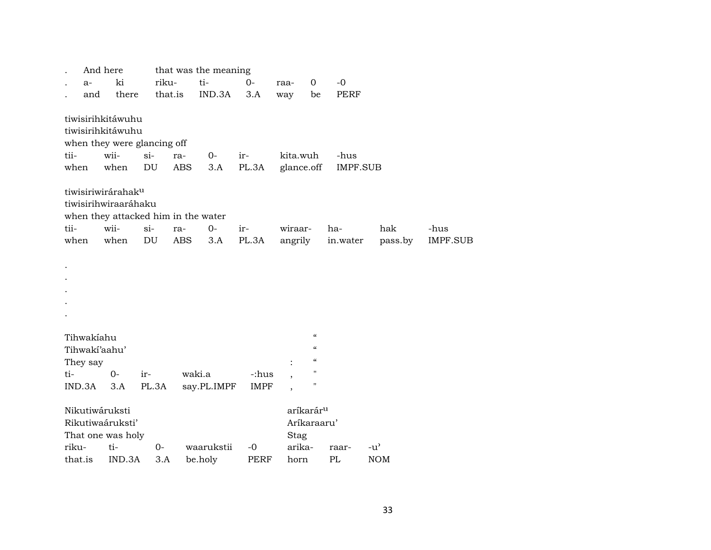|         | And here       |                                     |        |            | that was the meaning |             |            |                                        |                 |               |                 |
|---------|----------------|-------------------------------------|--------|------------|----------------------|-------------|------------|----------------------------------------|-----------------|---------------|-----------------|
|         | $a-$           | ki                                  | riku-  |            | ti-                  | $0-$        | raa-       | $\mathbf 0$                            | $-0$            |               |                 |
|         | and            | there                               |        | that.is    | IND.3A               | 3.A         | way        | be                                     | <b>PERF</b>     |               |                 |
|         |                | tiwisirihkitáwuhu                   |        |            |                      |             |            |                                        |                 |               |                 |
|         |                | tiwisirihkitáwuhu                   |        |            |                      |             |            |                                        |                 |               |                 |
|         |                | when they were glancing off         |        |            |                      |             |            |                                        |                 |               |                 |
| tii-    |                | wii-                                | $\sin$ | ra-        | $0-$                 | ir-         | kita.wuh   |                                        | -hus            |               |                 |
| when    |                | when                                | DU     | <b>ABS</b> | 3.A                  | PL.3A       | glance.off |                                        | <b>IMPF.SUB</b> |               |                 |
|         |                | tiwisiriwirárahak <sup>u</sup>      |        |            |                      |             |            |                                        |                 |               |                 |
|         |                | tiwisirihwiraaráhaku                |        |            |                      |             |            |                                        |                 |               |                 |
|         |                | when they attacked him in the water |        |            |                      |             |            |                                        |                 |               |                 |
| tii-    |                | wii-                                | $si-$  | ra-        | $O -$                | ir-         | wiraar-    |                                        | ha-             | hak           | -hus            |
| when    |                | when                                | DU     | <b>ABS</b> | 3.A                  | PL.3A       | angrily    |                                        | in.water        | pass.by       | <b>IMPF.SUB</b> |
|         |                |                                     |        |            |                      |             |            |                                        |                 |               |                 |
|         |                |                                     |        |            |                      |             |            |                                        |                 |               |                 |
|         |                |                                     |        |            |                      |             |            |                                        |                 |               |                 |
|         |                |                                     |        |            |                      |             |            |                                        |                 |               |                 |
|         |                |                                     |        |            |                      |             |            |                                        |                 |               |                 |
|         |                |                                     |        |            |                      |             |            |                                        |                 |               |                 |
|         | Tihwakiahu     |                                     |        |            |                      |             |            | $\boldsymbol{\mathcal{C}}$             |                 |               |                 |
|         | Tihwaki'aahu'  |                                     |        |            |                      |             |            | $\boldsymbol{\zeta}\boldsymbol{\zeta}$ |                 |               |                 |
|         | They say       |                                     |        |            |                      |             |            | $\boldsymbol{\zeta}\boldsymbol{\zeta}$ |                 |               |                 |
| ti-     |                | $0-$                                | ir-    |            | waki.a               | -:hus       |            | $\pmb{\mathsf{H}}$                     |                 |               |                 |
|         | IND.3A         | 3.A                                 | PL.3A  |            | say.PL.IMPF          | <b>IMPF</b> |            | $\pmb{\mathsf{H}}$                     |                 |               |                 |
|         |                |                                     |        |            |                      |             |            |                                        |                 |               |                 |
|         | Nikutiwáruksti |                                     |        |            |                      |             |            | aríkarár <sup>u</sup>                  |                 |               |                 |
|         |                | Rikutiwaáruksti'                    |        |            |                      |             |            | Aríkaraaru'                            |                 |               |                 |
|         |                | That one was holy                   |        |            |                      |             | Stag       |                                        |                 |               |                 |
| riku-   |                | ti-                                 | 0-     |            | waarukstii           | $-0$        | arika-     |                                        | raar-           | $-u^{\prime}$ |                 |
| that.is |                | IND.3A                              | 3.A    |            | be.holy              | PERF        | horn       |                                        | PL              | <b>NOM</b>    |                 |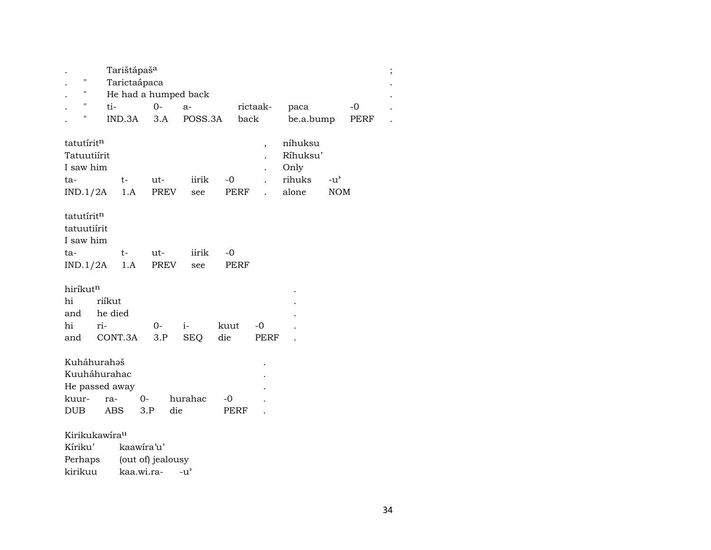|                      |                    |                           | Tarištápaš <sup>a</sup> |      |      |      |                      |      |      |                          |           |               |      |
|----------------------|--------------------|---------------------------|-------------------------|------|------|------|----------------------|------|------|--------------------------|-----------|---------------|------|
|                      | $\pmb{\mathsf{H}}$ |                           | Tarictaápaca            |      |      |      |                      |      |      |                          |           |               |      |
|                      | $\pmb{\mathsf{H}}$ |                           |                         |      |      |      | He had a humped back |      |      |                          |           |               |      |
|                      | 11                 | ti-                       |                         |      | $0-$ |      | $a-$                 |      |      | rictaak-                 | paca      |               | $-0$ |
|                      | 11                 |                           | $IND.3A$ $3.A$          |      |      |      | POSS.3A              |      | back |                          | be.a.bump |               | PERF |
|                      |                    |                           |                         |      |      |      |                      |      |      |                          |           |               |      |
| tatutíritn           |                    |                           |                         |      |      |      |                      |      |      | $\overline{\phantom{a}}$ | níhuksu   |               |      |
| Tatuutiírit          |                    |                           |                         |      |      |      |                      |      |      |                          | Ríhuksu'  |               |      |
| I saw him            |                    |                           |                         |      |      |      |                      |      |      |                          | Only      |               |      |
| ta-                  |                    |                           | $t-$                    |      | ut-  |      | iirik                | $-0$ |      | $\ddot{\phantom{0}}$     | rihuks    | $-u^{\prime}$ |      |
|                      |                    |                           | $IND.1/2A$ 1.A          |      | PREV |      | see                  | PERF |      | $\mathbf{r}$             | alone     | <b>NOM</b>    |      |
|                      |                    |                           |                         |      |      |      |                      |      |      |                          |           |               |      |
| tatutíritn           |                    |                           |                         |      |      |      |                      |      |      |                          |           |               |      |
| tatuutiirit          |                    |                           |                         |      |      |      |                      |      |      |                          |           |               |      |
| I saw him            |                    |                           |                         |      |      |      |                      |      |      |                          |           |               |      |
| ta-                  |                    |                           | $t-$                    |      | ut-  |      | iirik                | $-0$ |      |                          |           |               |      |
|                      |                    |                           | $IND.1/2A$ 1.A          |      | PREV |      | see                  | PERF |      |                          |           |               |      |
|                      |                    |                           |                         |      |      |      |                      |      |      |                          |           |               |      |
| hiríkut <sup>n</sup> |                    |                           |                         |      |      |      |                      |      |      |                          |           |               |      |
| hi                   |                    | riíkut                    |                         |      |      |      |                      |      |      |                          |           |               |      |
|                      |                    | and he died               |                         |      |      |      |                      |      |      |                          |           |               |      |
| hi                   |                    | ri-                       |                         |      | $O-$ | $i-$ |                      | kuut |      | $-0$                     |           |               |      |
| and                  |                    |                           | CONT.3A                 |      | 3.P  |      | SEQ                  | die  |      | PERF                     |           |               |      |
|                      |                    |                           |                         |      |      |      |                      |      |      |                          |           |               |      |
|                      |                    | Kuháhurahaš               |                         |      |      |      |                      |      |      |                          |           |               |      |
|                      |                    | Kuuháhurahac              |                         |      |      |      |                      |      |      |                          |           |               |      |
|                      |                    |                           | He passed away          |      |      |      |                      |      |      |                          |           |               |      |
| kuur-                |                    | ra-                       |                         | $O-$ |      |      | hurahac              | $-0$ |      |                          |           |               |      |
| <b>DUB</b>           |                    |                           | ABS                     | 3.P  |      | die  |                      | PERF |      |                          |           |               |      |
|                      |                    |                           |                         |      |      |      |                      |      |      |                          |           |               |      |
|                      |                    | Kirikukawira <sup>u</sup> |                         |      |      |      |                      |      |      |                          |           |               |      |
|                      |                    |                           |                         |      |      |      |                      |      |      |                          |           |               |      |

| Kíriku' | kaawira'u'        |                    |
|---------|-------------------|--------------------|
| Perhaps | (out of) jealousy |                    |
| kirikuu | kaa.wi.ra-        | $-11$ <sup>2</sup> |

 $\vdots$ 

 $\cdot$ 

 $\ddot{\phantom{a}}$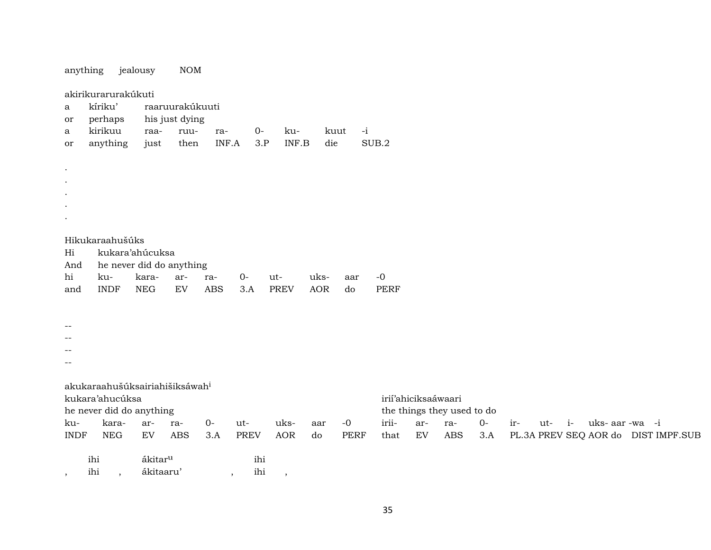| anything    |                                           | jealousy                 | NOM                                        |            |             |             |            |              |             |                     |                            |      |                                     |  |
|-------------|-------------------------------------------|--------------------------|--------------------------------------------|------------|-------------|-------------|------------|--------------|-------------|---------------------|----------------------------|------|-------------------------------------|--|
| a<br>or     | akirikurarurakúkuti<br>kíriku'<br>perhaps |                          | raaruurakúkuuti<br>his just dying          |            |             |             |            |              |             |                     |                            |      |                                     |  |
| a           | kirikuu                                   | raa-                     | ruu-                                       | ra-        | $0-$        | ku-         |            | $-i$<br>kuut |             |                     |                            |      |                                     |  |
| or          | anything                                  | just                     | then                                       | INF.A      | 3.P         | INF.B       | die        |              | SUB.2       |                     |                            |      |                                     |  |
|             |                                           |                          |                                            |            |             |             |            |              |             |                     |                            |      |                                     |  |
| $\bullet$   |                                           |                          |                                            |            |             |             |            |              |             |                     |                            |      |                                     |  |
|             |                                           |                          |                                            |            |             |             |            |              |             |                     |                            |      |                                     |  |
|             |                                           |                          |                                            |            |             |             |            |              |             |                     |                            |      |                                     |  |
|             |                                           |                          |                                            |            |             |             |            |              |             |                     |                            |      |                                     |  |
|             |                                           |                          |                                            |            |             |             |            |              |             |                     |                            |      |                                     |  |
|             | Hikukaraahušúks                           |                          |                                            |            |             |             |            |              |             |                     |                            |      |                                     |  |
| Hi<br>And   |                                           | kukara'ahúcuksa          | he never did do anything                   |            |             |             |            |              |             |                     |                            |      |                                     |  |
| hi          | ku-                                       | kara-                    | ar-                                        | ra-        | $0-$        | ut-         | uks-       | aar          | $-0$        |                     |                            |      |                                     |  |
| and         | <b>INDF</b>                               | <b>NEG</b>               | $\mathop{\rm EV}\nolimits$                 | <b>ABS</b> | 3.A         | <b>PREV</b> | <b>AOR</b> | do           | <b>PERF</b> |                     |                            |      |                                     |  |
|             |                                           |                          |                                            |            |             |             |            |              |             |                     |                            |      |                                     |  |
|             |                                           |                          |                                            |            |             |             |            |              |             |                     |                            |      |                                     |  |
| --          |                                           |                          |                                            |            |             |             |            |              |             |                     |                            |      |                                     |  |
|             |                                           |                          |                                            |            |             |             |            |              |             |                     |                            |      |                                     |  |
| --          |                                           |                          |                                            |            |             |             |            |              |             |                     |                            |      |                                     |  |
|             |                                           |                          |                                            |            |             |             |            |              |             |                     |                            |      |                                     |  |
|             |                                           |                          | akukaraahušúksairiahišiksáwah <sup>i</sup> |            |             |             |            |              |             |                     |                            |      |                                     |  |
|             | kukara'ahucúksa                           |                          |                                            |            |             |             |            |              |             | irií'ahiciksaáwaari |                            |      |                                     |  |
|             |                                           | he never did do anything |                                            |            |             |             |            |              |             |                     | the things they used to do |      |                                     |  |
| ku-         | kara-                                     | ar-                      | ra-                                        | $O -$      | ut-         | uks-        | aar        | $-0$         | irii-       | ar-                 | ra-                        | $O-$ | $i-$<br>uks-aar-wa -i<br>ir-<br>ut- |  |
| <b>INDF</b> | <b>NEG</b>                                | ${\rm EV}$               | <b>ABS</b>                                 | 3.A        | <b>PREV</b> | <b>AOR</b>  | do         | <b>PERF</b>  | that        | ${\rm EV}$          | <b>ABS</b>                 | 3.A  | PL.3A PREV SEQ AOR do DIST IMPF.SUB |  |
|             | ihi                                       | ákitar <sup>u</sup>      |                                            |            | ihi         |             |            |              |             |                     |                            |      |                                     |  |
|             | ihi                                       | ákitaaru'                |                                            |            | ihi         |             |            |              |             |                     |                            |      |                                     |  |
| $\cdot$     | $\overline{\phantom{a}}$                  |                          |                                            |            | $\,$        | $\,$        |            |              |             |                     |                            |      |                                     |  |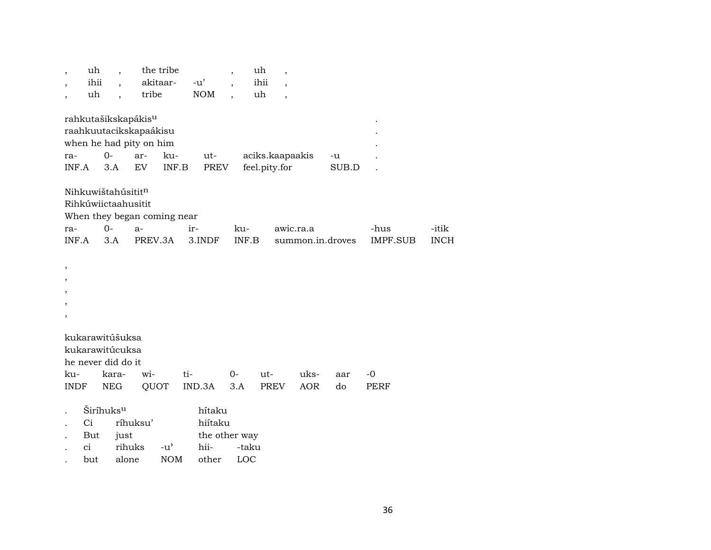|              | uh                                       |                                           |                                                                                                           | the tribe                           |                                            |                          | uh                               | $\overline{\phantom{a}}$ |             |             |             |
|--------------|------------------------------------------|-------------------------------------------|-----------------------------------------------------------------------------------------------------------|-------------------------------------|--------------------------------------------|--------------------------|----------------------------------|--------------------------|-------------|-------------|-------------|
|              | ihii                                     | $\ddot{\phantom{0}}$                      |                                                                                                           | akitaar-                            | $-u'$                                      | $\overline{\phantom{a}}$ | ihii                             | $\cdot$                  |             |             |             |
|              | uh                                       |                                           | tribe                                                                                                     |                                     | <b>NOM</b>                                 |                          | uh                               | $\overline{\phantom{a}}$ |             |             |             |
| ra-<br>INF.A |                                          | 0-<br>3.A                                 | rahkutašikskapákis <sup>u</sup><br>raahkuutacikskapaákisu<br>when he had pity on him<br>ar-<br>${\rm EV}$ | ku-<br>INF.B                        | ut-<br>PREV                                |                          | aciks.kaapaakis<br>feel.pity.for |                          | -u<br>SUB.D |             |             |
|              |                                          | Nihkuwištahúsititn<br>Rihkúwiictaahusitit |                                                                                                           | When they began coming near         |                                            |                          |                                  |                          |             |             |             |
| ra-          |                                          | $0-$                                      | $a-$                                                                                                      |                                     | ir-                                        | ku-                      |                                  | awic.ra.a                |             | -hus        | -itik       |
| INF.A        |                                          | 3.A                                       | PREV.3A                                                                                                   |                                     | 3.INDF                                     | INF.B                    |                                  | summon.in.droves         |             | IMPF.SUB    | <b>INCH</b> |
| ,<br>,       |                                          |                                           |                                                                                                           |                                     |                                            |                          |                                  |                          |             |             |             |
|              |                                          | kukarawitúšuksa                           |                                                                                                           |                                     |                                            |                          |                                  |                          |             |             |             |
|              |                                          | kukarawitúcuksa                           |                                                                                                           |                                     |                                            |                          |                                  |                          |             |             |             |
|              |                                          | he never did do it                        |                                                                                                           |                                     |                                            |                          |                                  |                          |             |             |             |
| ku-          |                                          | kara-                                     | wi-                                                                                                       | ti-                                 |                                            | $0-$                     | ut-                              | uks-                     | aar         | $-0$        |             |
| <b>INDF</b>  |                                          | NEG                                       | QUOT                                                                                                      |                                     | IND.3A                                     | 3.A                      | <b>PREV</b>                      | <b>AOR</b>               | do          | <b>PERF</b> |             |
|              | Širíhuks <sup>u</sup><br>Ci<br>But<br>ci | just<br>rihuks                            | ríhuksu'                                                                                                  | $-u$ <sup><math>\prime</math></sup> | hítaku<br>hiítaku<br>the other way<br>hii- | -taku                    |                                  |                          |             |             |             |

. but alone NOM other LOC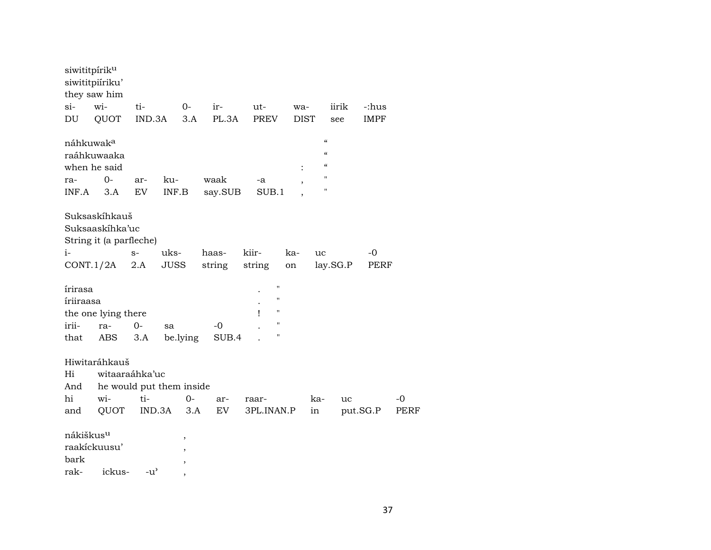| siwititpírik <sup>u</sup><br>siwititpiíriku'<br>they saw him<br>si-<br>DU | wi-<br>QUOT                                                 | ti-<br>IND.3A                       |                               | $0 -$<br>3.A | ir-<br>PL.3A | ut-<br><b>PREV</b>                                           | wa-<br><b>DIST</b>       |                                | iirik<br>see | -:hus<br><b>IMPF</b> |      |
|---------------------------------------------------------------------------|-------------------------------------------------------------|-------------------------------------|-------------------------------|--------------|--------------|--------------------------------------------------------------|--------------------------|--------------------------------|--------------|----------------------|------|
| náhkuwak <sup>a</sup>                                                     |                                                             |                                     |                               |              |              |                                                              |                          | $\pmb{\zeta}\pmb{\zeta}$       |              |                      |      |
| raáhkuwaaka                                                               |                                                             |                                     |                               |              |              |                                                              |                          | $\alpha$                       |              |                      |      |
| when he said                                                              |                                                             |                                     |                               |              |              |                                                              |                          | $\epsilon$                     |              |                      |      |
| ra-                                                                       | $0-$                                                        | ar-                                 | ku-                           |              | waak         | -a                                                           | $\overline{\phantom{a}}$ | $\blacksquare$<br>$^{\dagger}$ |              |                      |      |
| INF.A                                                                     | 3.A                                                         | EV                                  | INF.B                         |              | say.SUB      | SUB.1                                                        |                          |                                |              |                      |      |
|                                                                           | Suksaskíhkauš<br>Suksaaskihka'uc<br>String it (a parfleche) |                                     |                               |              |              |                                                              |                          |                                |              |                      |      |
| i-                                                                        |                                                             | $S-$                                | uks-                          |              | haas-        | kiir-                                                        | ka-                      | uc                             |              | -0                   |      |
|                                                                           | CONT.1/2A                                                   | 2.A                                 | <b>JUSS</b>                   |              | string       | string                                                       | on                       | lay.SG.P                       |              | PERF                 |      |
| írirasa<br>íriiraasa<br>irii-<br>that                                     | the one lying there<br>ra-<br>ABS                           | $0-$<br>3.A                         | sa<br>be.lying                |              | -0<br>SUB.4  | $\pmb{\mathsf{H}}$<br>н<br>$\pmb{\mathsf{H}}$<br>1<br>"<br>" |                          |                                |              |                      |      |
|                                                                           |                                                             |                                     |                               |              |              |                                                              |                          |                                |              |                      |      |
|                                                                           | Hiwitaráhkauš                                               |                                     |                               |              |              |                                                              |                          |                                |              |                      |      |
| Hi                                                                        | witaaraáhka'uc                                              |                                     |                               |              |              |                                                              |                          |                                |              |                      |      |
| And                                                                       | he would put them inside                                    |                                     |                               |              |              |                                                              |                          |                                |              |                      |      |
| hi                                                                        | wi-                                                         | ti-                                 |                               | 0-           | ar-          | raar-                                                        |                          | ka-                            | uc           |                      | $-0$ |
| and                                                                       | QUOT                                                        | IND.3A                              |                               | 3.A          | EV           | 3PL.INAN.P                                                   |                          | in                             |              | put.SG.P             | PERF |
| nákiškus <sup>u</sup><br>raakíckuusu'<br>bark<br>rak-                     | ickus-                                                      | $-u$ <sup><math>\prime</math></sup> | $\, ,$<br>$\overline{ }$<br>, |              |              |                                                              |                          |                                |              |                      |      |
|                                                                           |                                                             |                                     | $\cdot$                       |              |              |                                                              |                          |                                |              |                      |      |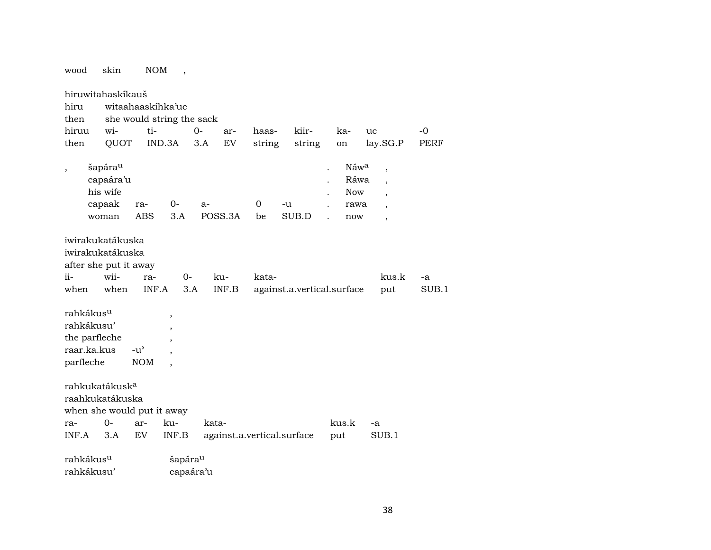| wood                                                                             | skin                                                                        | NOM                         | $\overline{\phantom{a}}$                       |           |         |         |                            |                                                                   |                                                                                                                            |       |
|----------------------------------------------------------------------------------|-----------------------------------------------------------------------------|-----------------------------|------------------------------------------------|-----------|---------|---------|----------------------------|-------------------------------------------------------------------|----------------------------------------------------------------------------------------------------------------------------|-------|
| hiru<br>then                                                                     | hiruwitahaskíkauš                                                           |                             | witaahaaskihka'uc<br>she would string the sack |           |         |         |                            |                                                                   |                                                                                                                            |       |
| hiruu                                                                            | wi-                                                                         | ti-                         |                                                | $0 -$     | ar-     | haas-   | kiir-                      | ka-                                                               | uc                                                                                                                         | -0    |
| then                                                                             | QUOT                                                                        |                             | IND.3A                                         | 3.A       | EV      |         |                            |                                                                   |                                                                                                                            | PERF  |
|                                                                                  |                                                                             |                             |                                                |           |         | string  | string                     | on                                                                | lay.SG.P                                                                                                                   |       |
| $\overline{\phantom{a}}$                                                         | šapára <sup>u</sup><br>capaára'u<br>his wife<br>capaak<br>woman             | ra-<br><b>ABS</b>           | 0-<br>3.A                                      | $a-$      | POSS.3A | 0<br>be | -u<br>SUB.D                | Náwa<br>$\ddot{\phantom{0}}$<br>Ráwa<br><b>Now</b><br>rawa<br>now | $\overline{\phantom{a}}$<br>$\overline{\phantom{a}}$<br>$\ddot{\phantom{0}}$<br>$\overline{\phantom{a}}$<br>$\overline{ }$ |       |
|                                                                                  | iwirakukatákuska<br>iwirakukatákuska<br>after she put it away               |                             |                                                |           |         |         |                            |                                                                   |                                                                                                                            |       |
| $i$ i –                                                                          | wii-                                                                        | ra-                         | $0-$                                           |           | ku-     | kata-   |                            |                                                                   | kus.k                                                                                                                      | -a    |
| when                                                                             | when                                                                        | INF.A                       |                                                | 3.A       | INF.B   |         | against.a.vertical.surface |                                                                   | put                                                                                                                        | SUB.1 |
| rahkákus <sup>u</sup><br>rahkákusu'<br>the parfleche<br>raar.ka.kus<br>parfleche |                                                                             | $-u^{\prime}$<br><b>NOM</b> | $\,$<br>$\overline{\phantom{a}}$               |           |         |         |                            |                                                                   |                                                                                                                            |       |
|                                                                                  | rahkukatákusk <sup>a</sup><br>raahkukatákuska<br>when she would put it away |                             |                                                |           |         |         |                            |                                                                   |                                                                                                                            |       |
| ra-                                                                              | $0 -$                                                                       | ar-                         | ku-                                            |           | kata-   |         |                            | kus.k                                                             | -a                                                                                                                         |       |
| INF.A                                                                            | 3.A                                                                         | EV                          | INF.B                                          |           |         |         | against.a.vertical.surface | put                                                               | SUB.1                                                                                                                      |       |
| rahkákus <sup>u</sup>                                                            |                                                                             |                             | šapára <sup>u</sup>                            |           |         |         |                            |                                                                   |                                                                                                                            |       |
| rahkákusu'                                                                       |                                                                             |                             |                                                | capaára'u |         |         |                            |                                                                   |                                                                                                                            |       |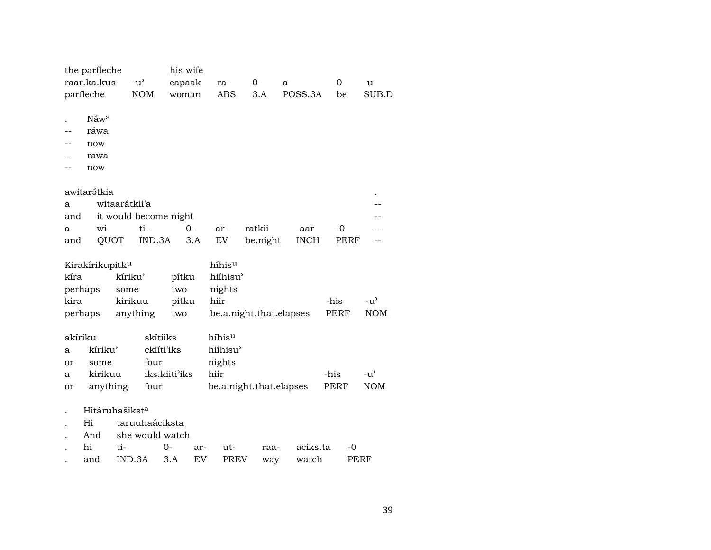|         | the parfleche               |                                     |                       | his wife |     |                         |          |      |             |                  |             |               |
|---------|-----------------------------|-------------------------------------|-----------------------|----------|-----|-------------------------|----------|------|-------------|------------------|-------------|---------------|
|         | raar.ka.kus                 | $-u$ <sup><math>\prime</math></sup> |                       | capaak   |     | ra-                     | 0-       | a-   |             | $\boldsymbol{0}$ |             | -u            |
|         | parfleche                   |                                     | <b>NOM</b>            | woman    |     | <b>ABS</b>              | 3.A      |      | POSS.3A     | be               |             | SUB.D         |
|         |                             |                                     |                       |          |     |                         |          |      |             |                  |             |               |
|         | Náwa                        |                                     |                       |          |     |                         |          |      |             |                  |             |               |
|         | ráwa                        |                                     |                       |          |     |                         |          |      |             |                  |             |               |
|         | now                         |                                     |                       |          |     |                         |          |      |             |                  |             |               |
|         | rawa                        |                                     |                       |          |     |                         |          |      |             |                  |             |               |
|         | now                         |                                     |                       |          |     |                         |          |      |             |                  |             |               |
|         |                             |                                     |                       |          |     |                         |          |      |             |                  |             |               |
|         | awitarátkia                 |                                     |                       |          |     |                         |          |      |             |                  |             |               |
| а       |                             | witaarátkii'a                       |                       |          |     |                         |          |      |             |                  |             |               |
| and     |                             |                                     | it would become night |          |     |                         |          |      |             |                  |             |               |
| а       | wi-                         |                                     | ti-                   | $0-$     |     | ar-                     | ratkii   |      | -aar        | $-0$             |             |               |
| and     | QUOT                        |                                     | IND.3A                |          | 3.A | ${\rm EV}$              | be.night |      | <b>INCH</b> |                  | <b>PERF</b> |               |
|         |                             |                                     |                       |          |     |                         |          |      |             |                  |             |               |
|         | Kirakírikupitk <sup>u</sup> |                                     |                       |          |     | híhisu                  |          |      |             |                  |             |               |
| kíra    |                             | kíriku'                             |                       | pítku    |     | hiíhisu'                |          |      |             |                  |             |               |
| perhaps |                             | some                                |                       | two      |     | nights                  |          |      |             |                  |             |               |
| kira    |                             | kirikuu                             |                       | pitku    |     | hiir                    |          |      |             | -his             |             | $-u^{\prime}$ |
| perhaps |                             | anything                            |                       | two      |     | be.a.night.that.elapses |          |      |             | <b>PERF</b>      |             | <b>NOM</b>    |
|         |                             |                                     |                       |          |     |                         |          |      |             |                  |             |               |
| akíriku |                             |                                     | skítiiks              |          |     | híhisu                  |          |      |             |                  |             |               |
| a       | kíriku'                     |                                     | ckiíti'iks            |          |     | hiíhisu'                |          |      |             |                  |             |               |
| or      | some                        |                                     | four                  |          |     | nights                  |          |      |             |                  |             |               |
| a       | kirikuu                     |                                     | iks.kiiti'iks         |          |     | hiir                    |          |      |             | -his             |             | $-u^{\prime}$ |
| or      | anything                    |                                     | four                  |          |     | be.a.night.that.elapses |          |      |             | <b>PERF</b>      |             | <b>NOM</b>    |
|         |                             |                                     |                       |          |     |                         |          |      |             |                  |             |               |
|         | Hitáruhašiksta              |                                     |                       |          |     |                         |          |      |             |                  |             |               |
|         | Hi                          |                                     | taruuhaáciksta        |          |     |                         |          |      |             |                  |             |               |
|         | And                         |                                     | she would watch       |          |     |                         |          |      |             |                  |             |               |
|         | hi                          | ti-                                 |                       | 0-       | ar- | ut-                     |          | raa- | aciks.ta    |                  | -0          |               |
|         | and                         | IND.3A                              |                       | 3.A      | EV  | PREV                    |          | way  | watch       |                  | PERF        |               |
|         |                             |                                     |                       |          |     |                         |          |      |             |                  |             |               |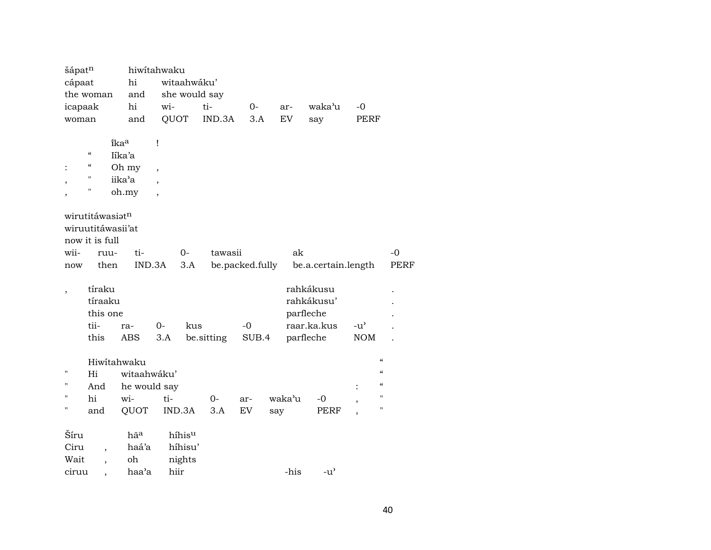| šápatn         |                          |                   | hiwitahwaku              |               |            |                 |           |                                     |                |                          |
|----------------|--------------------------|-------------------|--------------------------|---------------|------------|-----------------|-----------|-------------------------------------|----------------|--------------------------|
| cápaat         |                          | hi                |                          | witaahwáku'   |            |                 |           |                                     |                |                          |
|                | the woman                | and               |                          | she would say |            |                 |           |                                     |                |                          |
| icapaak        |                          | hi                | wi-                      |               | ti-        | 0-              | ar-       | waka'u                              | $-0$           |                          |
| woman          |                          | and               | QUOT                     |               | IND.3A     | 3.A             | <b>EV</b> | say                                 | PERF           |                          |
|                |                          |                   |                          |               |            |                 |           |                                     |                |                          |
|                |                          | îkaa              | Ţ                        |               |            |                 |           |                                     |                |                          |
|                | $\zeta\zeta$             | Iíka'a            |                          |               |            |                 |           |                                     |                |                          |
|                | "                        | Oh my             | $\overline{\phantom{a}}$ |               |            |                 |           |                                     |                |                          |
|                | $\blacksquare$           | iika'a            |                          |               |            |                 |           |                                     |                |                          |
|                | н                        | oh.my             | $\overline{\phantom{a}}$ |               |            |                 |           |                                     |                |                          |
|                |                          |                   |                          |               |            |                 |           |                                     |                |                          |
|                | wirutitáwasiatn          |                   |                          |               |            |                 |           |                                     |                |                          |
|                |                          | wiruutitáwasii'at |                          |               |            |                 |           |                                     |                |                          |
|                | now it is full           |                   |                          |               |            |                 |           |                                     |                |                          |
| wii-           | ruu-                     | ti-               |                          | $0 -$         | tawasii    |                 |           | ak                                  |                | $-0$                     |
| now            | then                     | IND.3A            |                          | 3.A           |            | be.packed.fully |           | be.a.certain.length                 |                | <b>PERF</b>              |
|                |                          |                   |                          |               |            |                 |           |                                     |                |                          |
|                | tíraku                   |                   |                          |               |            |                 |           | rahkákusu                           |                |                          |
|                | tíraaku                  |                   |                          |               |            |                 |           | rahkákusu'                          |                |                          |
|                | this one                 |                   |                          |               |            |                 |           | parfleche                           |                |                          |
|                | tii-                     | ra-               | 0-                       | kus           |            | $-0$            |           | raar.ka.kus                         | $-u^{\prime}$  |                          |
|                | this                     | ABS               | 3.A                      |               | be.sitting | SUB.4           |           | parfleche                           | $\rm{NOM}$     |                          |
|                |                          |                   |                          |               |            |                 |           |                                     |                |                          |
|                |                          | Hiwitahwaku       |                          |               |            |                 |           |                                     |                | $\mathcal{C}$            |
| П              | Hi                       | witaahwáku'       |                          |               |            |                 |           |                                     |                | $\mathcal{C}\mathcal{C}$ |
| П              | And                      | he would say      |                          |               |            |                 |           |                                     | $\ddot{\cdot}$ | $\mathcal{C}$            |
| $\blacksquare$ | hi                       | wi-               | ti-                      |               | $0-$       | ar-             | waka'u    | $-0$                                |                | $\pmb{\mathsf{H}}$       |
| $\blacksquare$ | and                      | QUOT              |                          | IND.3A        | 3.A        | EV              | say       | PERF                                |                | $\pmb{\mathsf{H}}$       |
|                |                          |                   |                          |               |            |                 |           |                                     |                |                          |
| Šíru           |                          | hãa               |                          | híhisu        |            |                 |           |                                     |                |                          |
| Ciru           |                          | haá'a             |                          | híhisu'       |            |                 |           |                                     |                |                          |
| Wait           | $\overline{\phantom{a}}$ | oh                |                          | nights        |            |                 |           |                                     |                |                          |
| ciruu          |                          | haa'a             | hiir                     |               |            |                 | -his      | $-u$ <sup><math>\prime</math></sup> |                |                          |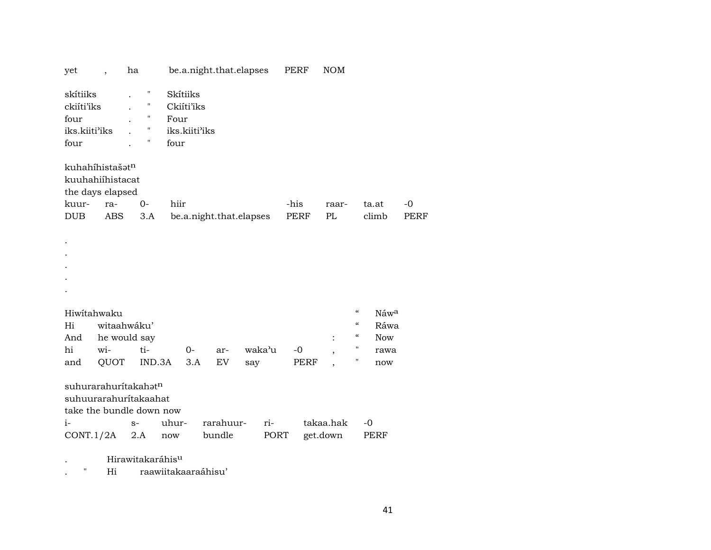| yet                                                              | $\overline{\phantom{a}}$ | ha                                                                                    |                                                         | be.a.night.that.elapses |        | PERF        | <b>NOM</b>                    |                                                                        |             |
|------------------------------------------------------------------|--------------------------|---------------------------------------------------------------------------------------|---------------------------------------------------------|-------------------------|--------|-------------|-------------------------------|------------------------------------------------------------------------|-------------|
| skítiiks<br>ckiíti'iks<br>four<br>iks.kiiti'iks<br>four          |                          | П<br>"<br>$\pmb{\mathsf{H}}$<br>$\pmb{\mathsf{H}}$<br>"                               | Skítiiks<br>Ckiíti'iks<br>Four<br>iks.kiiti'iks<br>four |                         |        |             |                               |                                                                        |             |
| kuhahíhistašatn<br>kuuhahiihistacat<br>the days elapsed<br>kuur- |                          | $0-$                                                                                  | hiir                                                    |                         |        | -his        |                               | ta.at                                                                  | $-0$        |
| <b>DUB</b>                                                       | ra-<br>ABS               | 3.A                                                                                   |                                                         | be.a.night.that.elapses |        | <b>PERF</b> | raar-<br>PL                   | climb                                                                  | <b>PERF</b> |
|                                                                  |                          |                                                                                       |                                                         |                         |        |             |                               |                                                                        |             |
| Hiwitahwaku                                                      |                          |                                                                                       |                                                         |                         |        |             |                               | $\boldsymbol{\mathcal{C}}$<br>Náwa                                     |             |
| Hi                                                               |                          | witaahwáku'                                                                           |                                                         |                         |        |             |                               | $\boldsymbol{\mathcal{C}}$<br>Ráwa<br>$\epsilon\epsilon$<br><b>Now</b> |             |
| And<br>hi                                                        | wi-                      | he would say<br>ti-                                                                   | $0-$                                                    | ar-                     | waka'u | $-0$        | :<br>$\overline{\phantom{a}}$ | 11<br>rawa                                                             |             |
| and                                                              | QUOT                     | IND.3A                                                                                | 3.A                                                     | EV                      | say    | <b>PERF</b> |                               | "<br>now                                                               |             |
|                                                                  |                          | suhurarahuritakahat <sup>n</sup><br>suhuurarahuritakaahat<br>take the bundle down now |                                                         |                         |        |             |                               |                                                                        |             |
| $i-$                                                             |                          | $S-$                                                                                  | uhur-                                                   | rarahuur-               | ri-    |             | takaa.hak                     | $-0$                                                                   |             |
| CONT.1/2A                                                        |                          | 2.A                                                                                   | now                                                     | bundle                  | PORT   |             | get.down                      | PERF                                                                   |             |
|                                                                  |                          |                                                                                       |                                                         |                         |        |             |                               |                                                                        |             |

Hirawitakaráhis<sup>u</sup>  $\mathcal{L}_{\mathcal{A}}$ 

 $\mathbb{R}^{n\times n}$ raawiitakaaraáhisu' Hi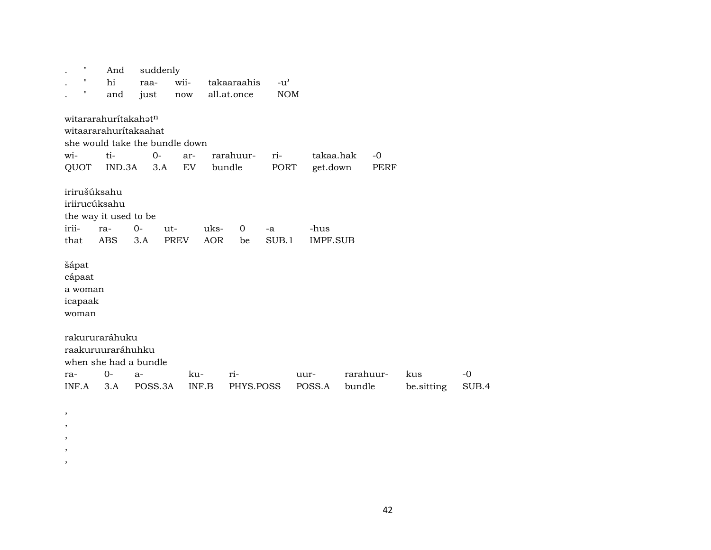| "                                                                       | And           | suddenly                                                               |                                   |                    |                   |               |                         |                     |            |                   |               |
|-------------------------------------------------------------------------|---------------|------------------------------------------------------------------------|-----------------------------------|--------------------|-------------------|---------------|-------------------------|---------------------|------------|-------------------|---------------|
| "                                                                       | hi            | raa-                                                                   | wii-                              |                    | takaaraahis       | $-u^{\prime}$ |                         |                     |            |                   |               |
| 11                                                                      | and           | just                                                                   | now                               | all.at.once        |                   | <b>NOM</b>    |                         |                     |            |                   |               |
| witararahuritakahatn<br>wi-<br>QUOT                                     | ti-<br>IND.3A | witaararahuritakaahat<br>she would take the bundle down<br>$0-$<br>3.A | ar-<br>$\mathop{\rm EV}\nolimits$ | bundle             | rarahuur-         | ri-<br>PORT   | takaa.hak<br>get.down   |                     | -0<br>PERF |                   |               |
| irirušúksahu<br>iriirucúksahu<br>the way it used to be<br>irii-<br>that | ra-<br>ABS    | $0-$<br>ut-<br>3.A                                                     | PREV                              | uks-<br><b>AOR</b> | $\mathbf 0$<br>be | -a<br>SUB.1   | -hus<br><b>IMPF.SUB</b> |                     |            |                   |               |
| šápat<br>cápaat<br>a woman<br>icapaak<br>woman                          |               |                                                                        |                                   |                    |                   |               |                         |                     |            |                   |               |
| rakururaráhuku<br>raakuruuraráhuhku<br>ra-<br>INF.A                     | $0-$<br>3.A   | when she had a bundle<br>$a-$<br>POSS.3A                               | ku-<br>INF.B                      |                    | ri-<br>PHYS.POSS  |               | uur-<br>POSS.A          | rarahuur-<br>bundle |            | kus<br>be.sitting | $-0$<br>SUB.4 |

, , , , ,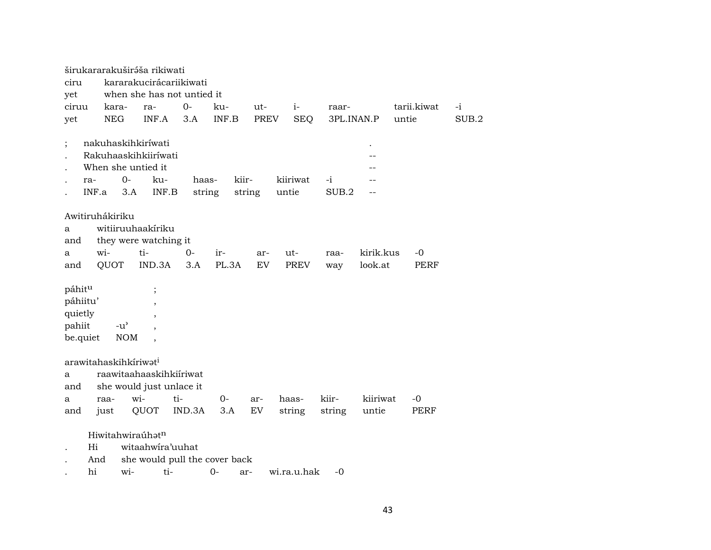|                                                     |                                                                  | širukararakuširáša rikiwati                                      |                 |              |             |                    |             |                      |                   |       |
|-----------------------------------------------------|------------------------------------------------------------------|------------------------------------------------------------------|-----------------|--------------|-------------|--------------------|-------------|----------------------|-------------------|-------|
| ciru                                                |                                                                  | kararakucirácariikiwati                                          |                 |              |             |                    |             |                      |                   |       |
| yet                                                 |                                                                  | when she has not untied it                                       |                 |              |             |                    |             |                      |                   |       |
| ciruu                                               | kara-                                                            | ra-                                                              | $0-$            | ku-          | ut-         | $i-$               | raar-       |                      | tarii.kiwat       | $-i$  |
| yet                                                 | <b>NEG</b>                                                       | INF.A                                                            | 3.A             | INF.B        | <b>PREV</b> | <b>SEQ</b>         | 3PL.INAN.P  |                      | untie             | SUB.2 |
| ra-                                                 | nakuhaskihkiríwati<br>When she untied it<br>$0-$<br>INF.a<br>3.A | Rakuhaaskihkiiríwati<br>ku-<br>INF.B                             | haas-<br>string | kiir-        | string      | kiiriwat<br>untie  | -i<br>SUB.2 | $\bullet$            |                   |       |
| a<br>and                                            | Awitiruhákiriku                                                  | witiiruuhaakiriku<br>they were watching it                       |                 |              |             |                    |             |                      |                   |       |
| a<br>and                                            | wi-<br>QUOT                                                      | ti-<br>IND.3A                                                    | $0 -$<br>3.A    | ir-<br>PL.3A | ar-<br>EV   | ut-<br><b>PREV</b> | raa-        | kirik.kus<br>look.at | -0<br><b>PERF</b> |       |
|                                                     |                                                                  |                                                                  |                 |              |             |                    | way         |                      |                   |       |
| páhitu<br>páhiitu'<br>quietly<br>pahiit<br>be.quiet | $-u^{\prime}$<br><b>NOM</b>                                      | $\vdots$<br>$\overline{\phantom{a}}$<br>$\overline{\phantom{a}}$ |                 |              |             |                    |             |                      |                   |       |
| a<br>and                                            | arawitahaskihkíriwat <sup>i</sup>                                | raawitaahaaskihkiiriwat<br>she would just unlace it              |                 |              |             |                    |             |                      |                   |       |
| a                                                   | raa-                                                             | wi-                                                              | ti-             | $0-$         | ar-         | haas-              | kiir-       | kiiriwat             | -0                |       |
| and                                                 | just                                                             | QUOT                                                             | IND.3A          | 3.A          | EV          | string             | string      | untie                | PERF              |       |
| Hi                                                  | Hiwitahwiraúhatn<br>And                                          | witaahwira'uuhat<br>she would pull the cover back                |                 |              |             |                    |             |                      |                   |       |

. hi wi- ti- 0- ar- wi.ra.u.hak -0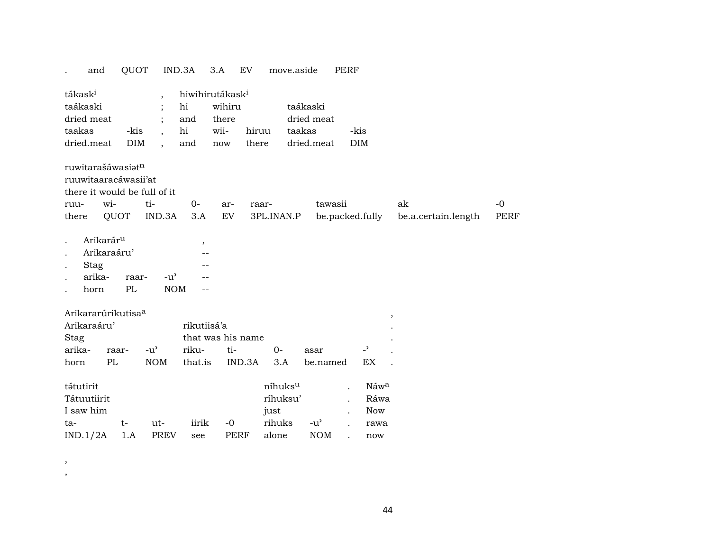|                                           | and                                                            | QUOT               |                                                   | IND.3A                                                | 3.A<br>EV                               | move.aside                                     |                                                | PERF                                                  |                           |              |
|-------------------------------------------|----------------------------------------------------------------|--------------------|---------------------------------------------------|-------------------------------------------------------|-----------------------------------------|------------------------------------------------|------------------------------------------------|-------------------------------------------------------|---------------------------|--------------|
| tákask <sup>i</sup><br>taákaski<br>taakas | dried meat<br>dried.meat                                       | -kis<br><b>DIM</b> | $\ddot{\phantom{0}}$                              | hiwihirutákask <sup>i</sup><br>hi<br>and<br>hi<br>and | wihiru<br>there<br>wii-<br>there<br>now | hiruu                                          | taákaski<br>dried meat<br>taakas<br>dried.meat | -kis<br><b>DIM</b>                                    |                           |              |
| ruu-<br>there                             | ruwitarašáwasiatn<br>ruuwitaaracáwasii'at<br>wi-               | QUOT               | there it would be full of it<br>ti-<br>IND.3A     | $0-$<br>3.A                                           | ar-<br>EV                               | raar-<br>3PL.INAN.P                            | tawasii                                        | be.packed.fully                                       | ak<br>be.a.certain.length | $-0$<br>PERF |
|                                           | Arikarár <sup>u</sup><br>Arikaraáru'<br>Stag<br>arika-<br>horn | raar-<br>PL        | $-u$ <sup><math>\prime</math></sup><br><b>NOM</b> | ,                                                     |                                         |                                                |                                                |                                                       |                           |              |
| Stag<br>arika-<br>horn                    | Arikararúrikutisa <sup>a</sup><br>Arikaraáru'<br>PL            | raar-              | $-u^{\prime}$<br><b>NOM</b>                       | rikutiisá'a<br>riku-<br>that.is                       | that was his name<br>ti-<br>IND.3A      | $0-$<br>3.A                                    | asar<br>be.named                               | ,<br>$\overline{\phantom{0}}$<br>EX                   |                           |              |
| tátutirit<br>ta-                          | Tátuutiirit<br>I saw him<br>IND.1/2A                           | $t-$<br>1.A        | ut-<br><b>PREV</b>                                | iirik<br>see                                          | $-0$<br>PERF                            | níhuksu<br>ríhuksu'<br>just<br>rihuks<br>alone | $-u^{\prime}$<br><b>NOM</b>                    | Náw <sup>a</sup><br>Ráwa<br><b>Now</b><br>rawa<br>now |                           |              |

,

,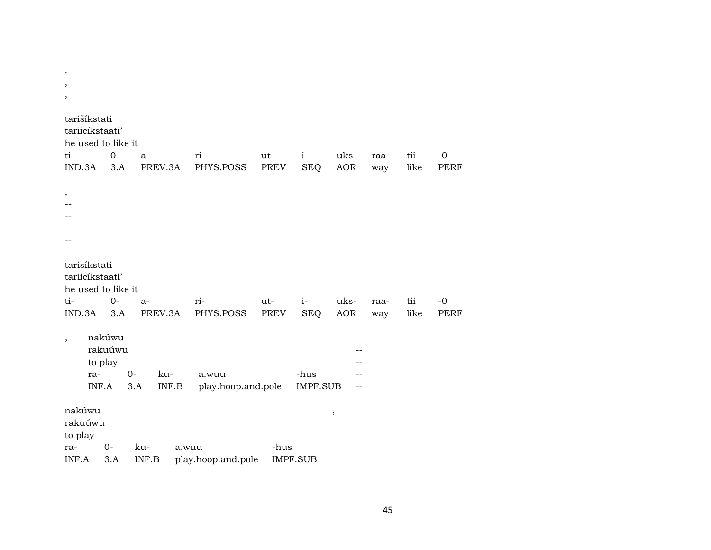| $\cdot$<br>$\overline{\phantom{a}}$                                    |                                       |                             |                             |             |                    |             |             |             |                     |
|------------------------------------------------------------------------|---------------------------------------|-----------------------------|-----------------------------|-------------|--------------------|-------------|-------------|-------------|---------------------|
| tarišíkstati<br>tariicíkstaati'<br>he used to like it<br>ti-           | $0-$                                  | $a-$                        | ri-                         | ut-         | $i-$               | uks-        | raa-        | tii         | $-0$                |
| IND.3A<br>,                                                            | 3.A                                   | PREV.3A                     | PHYS.POSS                   | PREV        | <b>SEQ</b>         | AOR         | way         | like        | <b>PERF</b>         |
| tarisíkstati<br>tariicíkstaati'<br>he used to like it<br>ti-<br>IND.3A | $0-$<br>3.A                           | $a-$<br>PREV.3A             | ri-<br>PHYS.POSS            | ut-<br>PREV | $i-$<br><b>SEQ</b> | uks-<br>AOR | raa-<br>way | tii<br>like | $-0$<br><b>PERF</b> |
| ra-                                                                    | nakúwu<br>rakuúwu<br>to play<br>INF.A | $0-$<br>ku-<br>3.A<br>INF.B | a.wuu<br>play.hoop.and.pole |             | -hus<br>IMPF.SUB   |             |             |             |                     |
| nakúwu<br>rakuúwu<br>to play<br>ra-<br>INF.A                           | $0-$<br>3.A                           | ku-<br>INF.B                | a.wuu<br>play.hoop.and.pole | -hus        | <b>IMPF.SUB</b>    | $\,$        |             |             |                     |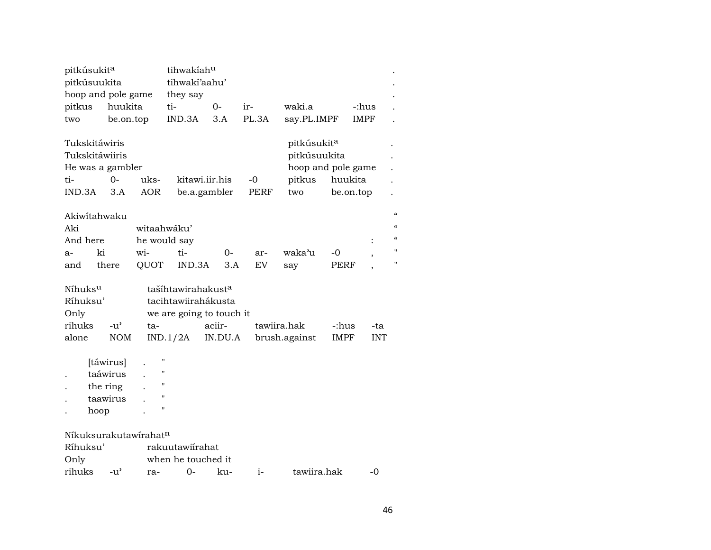| pitkúsukit <sup>a</sup>                 |                                                       |                                                              | tihwakiahu                                                                        |                                |                     |                                                                                |                      |                |                          |
|-----------------------------------------|-------------------------------------------------------|--------------------------------------------------------------|-----------------------------------------------------------------------------------|--------------------------------|---------------------|--------------------------------------------------------------------------------|----------------------|----------------|--------------------------|
| pitkúsuukita                            |                                                       |                                                              | tihwakí'aahu'                                                                     |                                |                     |                                                                                |                      |                |                          |
|                                         | hoop and pole game                                    |                                                              | they say                                                                          |                                |                     |                                                                                |                      |                |                          |
| pitkus                                  | huukita                                               |                                                              | ti-                                                                               | 0-                             | ir-                 | waki.a                                                                         |                      | -:hus          |                          |
| two                                     | be.on.top                                             |                                                              | IND.3A                                                                            | 3.A                            | PL.3A               | say.PL.IMPF                                                                    |                      | IMPF           |                          |
| Tukskitáwiris<br>ti-<br>IND.3A          | Tukskitáwiiris<br>He was a gambler<br>$0-$<br>3.A     | uks-<br><b>AOR</b>                                           |                                                                                   | kitawi.iir.his<br>be.a.gambler | $-0$<br><b>PERF</b> | pitkúsukit <sup>a</sup><br>pitkúsuukita<br>hoop and pole game<br>pitkus<br>two | huukita<br>be.on.top |                |                          |
|                                         | Akiwitahwaku                                          |                                                              |                                                                                   |                                |                     |                                                                                |                      |                | $\pmb{\zeta}\pmb{\zeta}$ |
| Aki                                     |                                                       |                                                              | witaahwáku'                                                                       |                                |                     |                                                                                |                      |                |                          |
| And here                                |                                                       |                                                              |                                                                                   |                                |                     |                                                                                |                      |                | $\epsilon$               |
|                                         | ki                                                    | wi-                                                          | he would say<br>ti-                                                               |                                |                     | waka'u                                                                         | -0                   | $\ddot{\cdot}$ | Ħ                        |
| $a-$                                    | there                                                 |                                                              | IND.3A                                                                            | 0-<br>3.A                      | ar-<br>EV           |                                                                                |                      |                | 11                       |
| and                                     |                                                       | QUOT                                                         |                                                                                   |                                |                     | say                                                                            | PERF                 |                |                          |
| Níhuks <sup>u</sup><br>Ríhuksu'<br>Only |                                                       |                                                              | tašíhtawirahakust <sup>a</sup><br>tacihtawiirahákusta<br>we are going to touch it |                                |                     |                                                                                |                      |                |                          |
| rihuks                                  | $-u^{\prime}$                                         | ta-                                                          |                                                                                   | aciir-                         |                     | tawiira.hak                                                                    | -:hus                | -ta            |                          |
| alone                                   | <b>NOM</b>                                            |                                                              | IND.1/2A                                                                          | IN.DU.A                        |                     | brush.against                                                                  | <b>IMPF</b>          | <b>INT</b>     |                          |
|                                         | [táwirus]<br>taáwirus<br>the ring<br>taawirus<br>hoop | $\blacksquare$<br>$\blacksquare$<br>П<br>п<br>$\blacksquare$ |                                                                                   |                                |                     |                                                                                |                      |                |                          |
|                                         | Níkuksurakutawírahatn                                 |                                                              |                                                                                   |                                |                     |                                                                                |                      |                |                          |
| Ríhuksu'                                |                                                       |                                                              | rakuutawiírahat                                                                   |                                |                     |                                                                                |                      |                |                          |
| Only                                    |                                                       |                                                              | when he touched it                                                                |                                |                     |                                                                                |                      |                |                          |
| rihuks                                  | $-u^{\prime}$                                         | ra-                                                          | 0-                                                                                | ku-                            | $i-$                | tawiira.hak                                                                    |                      | $-0$           |                          |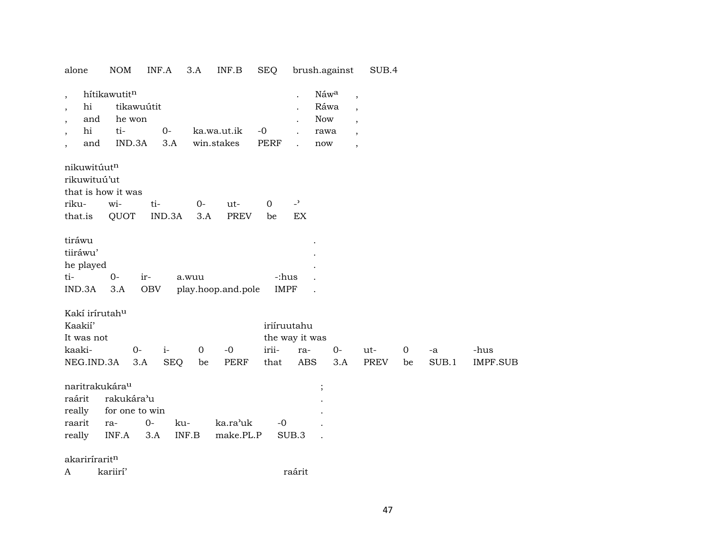| alone                                                                                                                                            | <b>NOM</b>                                   | INF.A                     | 3.A              | INF.B                     | <b>SEQ</b>           |                          | brush.against                             |                                                                                                                         | SUB.4       |             |       |                 |
|--------------------------------------------------------------------------------------------------------------------------------------------------|----------------------------------------------|---------------------------|------------------|---------------------------|----------------------|--------------------------|-------------------------------------------|-------------------------------------------------------------------------------------------------------------------------|-------------|-------------|-------|-----------------|
| $\overline{\phantom{a}}$<br>hi<br>$\overline{\phantom{a}}$<br>and<br>$\, ,$<br>hi<br>$\overline{\phantom{a}}$<br>and<br>$\overline{\phantom{a}}$ | hítikawutitn<br>he won<br>ti-<br>IND.3A      | tikawuútit<br>$0-$<br>3.A |                  | ka.wa.ut.ik<br>win.stakes | $-0$<br><b>PERF</b>  |                          | Náwa<br>Ráwa<br><b>Now</b><br>rawa<br>now | $\overline{\phantom{a}}$<br>$\overline{\phantom{a}}$<br>$\cdot$<br>$\overline{\phantom{a}}$<br>$\overline{\phantom{a}}$ |             |             |       |                 |
| nikuwitúutn<br>rikuwituú'ut                                                                                                                      | that is how it was                           |                           |                  |                           |                      |                          |                                           |                                                                                                                         |             |             |       |                 |
| riku-                                                                                                                                            | wi-                                          | ti-                       | $O -$            | ut-                       | $\mathbf 0$          | $\overline{\phantom{a}}$ |                                           |                                                                                                                         |             |             |       |                 |
| that.is                                                                                                                                          | QUOT                                         | IND.3A                    | 3.A              | <b>PREV</b>               | be                   | EX                       |                                           |                                                                                                                         |             |             |       |                 |
| tiráwu<br>tiiráwu'<br>he played<br>ti-<br>IND.3A<br>Kakí irírutah <sup>u</sup>                                                                   | $0-$<br>3.A                                  | ir-<br><b>OBV</b>         | a.wuu            | play.hoop.and.pole        | -:hus<br><b>IMPF</b> |                          |                                           |                                                                                                                         |             |             |       |                 |
| Kaakií'                                                                                                                                          |                                              |                           |                  |                           |                      | iriíruutahu              |                                           |                                                                                                                         |             |             |       |                 |
| It was not                                                                                                                                       |                                              |                           |                  |                           |                      | the way it was           |                                           |                                                                                                                         |             |             |       |                 |
| kaaki-                                                                                                                                           | $0-$                                         | $i-$                      | $\mathbf 0$      | $-0$                      | irii-                | ra-                      | $0-$                                      |                                                                                                                         | ut-         | $\mathbf 0$ | -a    | -hus            |
| NEG.IND.3A                                                                                                                                       |                                              | 3.A                       | <b>SEQ</b><br>be | <b>PERF</b>               | that                 | <b>ABS</b>               | 3.A                                       |                                                                                                                         | <b>PREV</b> | be          | SUB.1 | <b>IMPF.SUB</b> |
| naritrakukára <sup>u</sup><br>raárit<br>really<br>raarit<br>really                                                                               | rakukára'u<br>for one to win<br>ra-<br>INF.A | $0-$<br>3.A               | ku-<br>INF.B     | ka.ra'uk<br>make.PL.P     | $-0$                 | SUB.3                    | $\vdots$                                  |                                                                                                                         |             |             |       |                 |
| akariríraritn                                                                                                                                    |                                              |                           |                  |                           |                      |                          |                                           |                                                                                                                         |             |             |       |                 |
| A                                                                                                                                                | kariirí'                                     |                           |                  |                           |                      | raárit                   |                                           |                                                                                                                         |             |             |       |                 |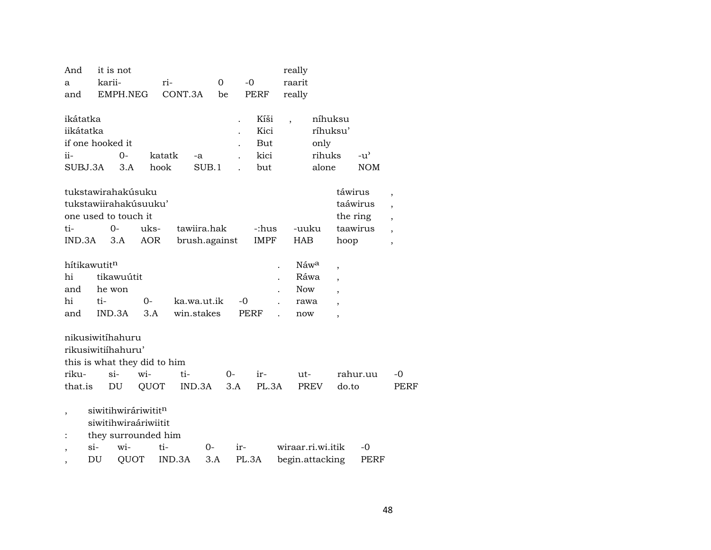| And                      | it is not                |                              |         |               |          |                              | really                   |                   |                          |               |                          |
|--------------------------|--------------------------|------------------------------|---------|---------------|----------|------------------------------|--------------------------|-------------------|--------------------------|---------------|--------------------------|
| a                        | karii-                   |                              | ri-     |               | $\Omega$ | $-0$                         | raarit                   |                   |                          |               |                          |
| and                      |                          | EMPH.NEG                     | CONT.3A |               | be       | <b>PERF</b>                  | really                   |                   |                          |               |                          |
|                          |                          |                              |         |               |          |                              |                          |                   |                          |               |                          |
| ikátatka                 |                          |                              |         |               |          | Kíši                         | $\overline{\phantom{a}}$ | níhuksu           |                          |               |                          |
| iikátatka                |                          |                              |         |               |          | Kici<br>$\ddot{\phantom{0}}$ |                          | ríhuksu'          |                          |               |                          |
|                          | if one hooked it         |                              |         |               |          | But                          |                          | only              |                          |               |                          |
| ii-                      |                          | $O -$                        | katatk  | -a            |          | kici                         |                          | rihuks            |                          | $-u^{\prime}$ |                          |
| SUBJ.3A                  |                          | 3.A                          | hook    | SUB.1         |          | but                          |                          | alone             |                          | <b>NOM</b>    |                          |
|                          |                          |                              |         |               |          |                              |                          |                   |                          |               |                          |
|                          |                          | tukstawirahakúsuku           |         |               |          |                              |                          |                   | táwirus                  |               | $\overline{\phantom{a}}$ |
|                          |                          | tukstawiirahakúsuuku'        |         |               |          |                              |                          |                   |                          | taáwirus      | $\overline{\phantom{a}}$ |
|                          |                          | one used to touch it         |         |               |          |                              |                          |                   |                          | the ring      | $\overline{ }$           |
| ti-                      | 0-                       | uks-                         |         | tawiira.hak   |          | -:hus                        |                          | -uuku             |                          | taawirus      | $\overline{\phantom{a}}$ |
| IND.3A                   | 3.A                      | <b>AOR</b>                   |         | brush.against |          | <b>IMPF</b>                  | <b>HAB</b>               |                   | hoop                     |               | $\overline{\phantom{a}}$ |
|                          |                          |                              |         |               |          |                              |                          |                   |                          |               |                          |
|                          | hítikawutit <sup>n</sup> |                              |         |               |          |                              |                          | Náw <sup>a</sup>  | ,                        |               |                          |
| hi                       | tikawuútit               |                              |         |               |          |                              |                          | Ráwa              | ,                        |               |                          |
| and                      | he won                   |                              |         |               |          |                              |                          | <b>Now</b>        | $\overline{\phantom{a}}$ |               |                          |
| hi                       | ti-                      | $0-$                         |         | ka.wa.ut.ik   |          | $-0$                         |                          | rawa              |                          |               |                          |
| and                      | IND.3A                   | 3.A                          |         | win.stakes    |          | <b>PERF</b>                  |                          | now               | $\overline{\phantom{a}}$ |               |                          |
|                          |                          |                              |         |               |          |                              |                          |                   |                          |               |                          |
|                          | nikusiwitihahuru         |                              |         |               |          |                              |                          |                   |                          |               |                          |
|                          | rikusiwitiihahuru'       |                              |         |               |          |                              |                          |                   |                          |               |                          |
|                          |                          | this is what they did to him |         |               |          |                              |                          |                   |                          |               |                          |
| riku-                    | $\sin$                   | wi-                          |         | ti-           | 0-       | ir-                          |                          | $ut -$            |                          | rahur.uu      | -0                       |
| that.is                  | DU                       | QUOT                         |         | IND.3A        | 3.A      | PL.3A                        |                          | PREV              | do.to                    |               | <b>PERF</b>              |
|                          |                          |                              |         |               |          |                              |                          |                   |                          |               |                          |
| $\overline{\phantom{a}}$ |                          | siwitihwiráriwititn          |         |               |          |                              |                          |                   |                          |               |                          |
|                          |                          | siwitihwiraáriwiitit         |         |               |          |                              |                          |                   |                          |               |                          |
| $\ddot{\cdot}$           |                          | they surrounded him          |         |               |          |                              |                          |                   |                          |               |                          |
|                          | $\sin$                   | wi-                          | ti-     | $0-$          |          | ir-                          |                          | wiraar.ri.wi.itik |                          | -0            |                          |
| ,                        | DU                       | QUOT                         | IND.3A  | 3.A           |          | PL.3A                        |                          | begin.attacking   |                          | PERF          |                          |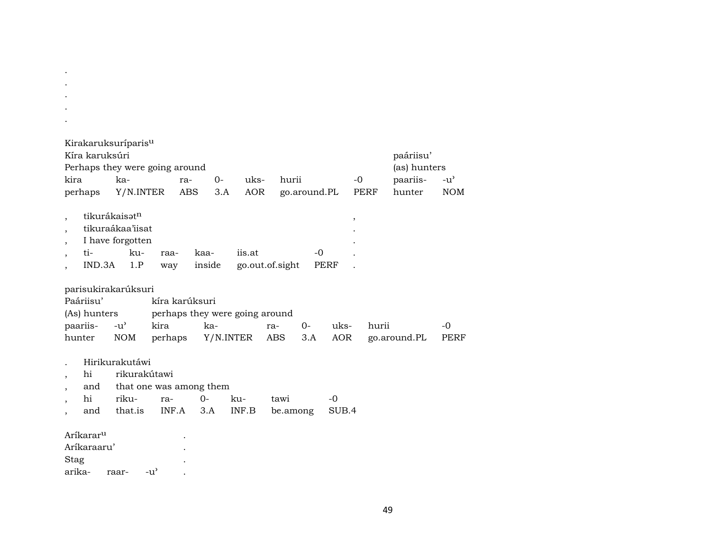| Kirakaruksuríparis <sup>u</sup><br>Kíra karuksúri<br>kira<br>perhaps | Perhaps they were going around<br>ka-<br>Y/N.INTER                | $0-$<br>ra-<br><b>ABS</b><br>3.A                 | uks-<br><b>AOR</b> | hurii<br>go.around.PL     | $-0$                            | paáriisu'<br>(as) hunters<br>paariis-<br>PERF<br>hunter | $-u^{\prime}$<br><b>NOM</b> |
|----------------------------------------------------------------------|-------------------------------------------------------------------|--------------------------------------------------|--------------------|---------------------------|---------------------------------|---------------------------------------------------------|-----------------------------|
| tikurákaisatn<br>$\overline{ }$<br>ti-<br>IND.3A                     | tikuraákaa'iisat<br>I have forgotten<br>ku-<br>raa-<br>1.P<br>way | kaa-<br>inside                                   | iis.at             | -0<br>go.out.of.sight     | $^\mathrm{^\mathrm{o}}$<br>PERF |                                                         |                             |
| parisukirakarúksuri<br>Paáriisu'<br>(As) hunters                     |                                                                   | kíra karúksuri<br>perhaps they were going around |                    |                           |                                 |                                                         |                             |
| paariis-<br>hunter                                                   | kira<br>$-u^{\prime}$<br><b>NOM</b><br>perhaps                    | ka-                                              | Y/N.INTER          | $0-$<br>ra-<br>ABS<br>3.A | uks-<br><b>AOR</b>              | hurii<br>go.around.PL                                   | -0<br>PERF                  |
| hi<br>and                                                            | Hirikurakutáwi<br>rikurakútawi<br>that one was among them         |                                                  |                    |                           |                                 |                                                         |                             |
| hi<br>and                                                            | riku-<br>ra-<br>that.is<br>INF.A                                  | $0-$<br>3.A                                      | ku-<br>INF.B       | tawi<br>be.among          | $-0$<br>SUB.4                   |                                                         |                             |
| Aríkarar <sup>u</sup><br>Aríkaraaru'<br>Stag<br>arika-               | $-u^{\prime}$<br>raar-                                            |                                                  |                    |                           |                                 |                                                         |                             |

. .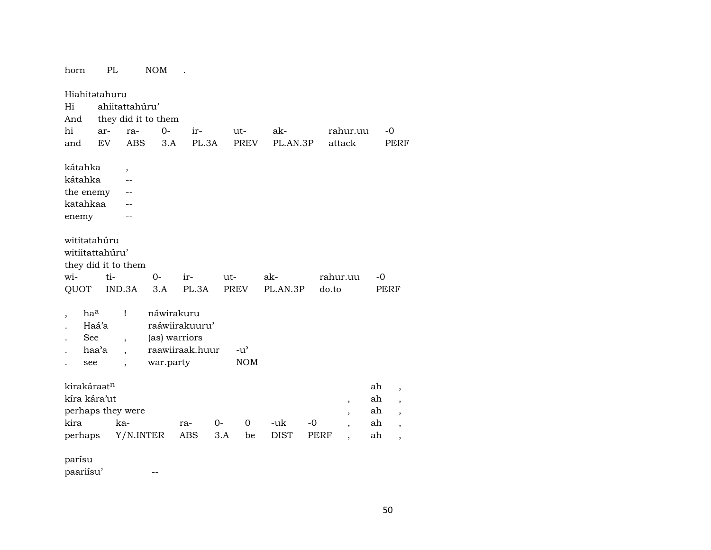| horn                | PL    |                          | <b>NOM</b>          |                 |                  |             |             |                |      |                          |
|---------------------|-------|--------------------------|---------------------|-----------------|------------------|-------------|-------------|----------------|------|--------------------------|
| Hiahitətahuru       |       |                          |                     |                 |                  |             |             |                |      |                          |
| Hi                  |       | ahiitattahúru'           |                     |                 |                  |             |             |                |      |                          |
| And                 |       |                          | they did it to them |                 |                  |             |             |                |      |                          |
| hi                  | ar-   | ra-                      | $0-$                | ir-             | ut-              | ak-         |             | rahur.uu       | -0   |                          |
| and                 | EV    | <b>ABS</b>               | 3.A                 | PL.3A           | <b>PREV</b>      | PL.AN.3P    |             | attack         |      | PERF                     |
| kátahka             |       | $\overline{ }$           |                     |                 |                  |             |             |                |      |                          |
| kátahka             |       | $\overline{a}$           |                     |                 |                  |             |             |                |      |                          |
| the enemy           |       | --                       |                     |                 |                  |             |             |                |      |                          |
| katahkaa            |       |                          |                     |                 |                  |             |             |                |      |                          |
| enemy               |       |                          |                     |                 |                  |             |             |                |      |                          |
| wititatahúru        |       |                          |                     |                 |                  |             |             |                |      |                          |
| witiitattahúru'     |       |                          |                     |                 |                  |             |             |                |      |                          |
| they did it to them |       |                          |                     |                 |                  |             |             |                |      |                          |
| wi-                 | ti-   |                          | $0-$                | ir-             | $ut -$           | ak-         |             | rahur.uu       | -0   |                          |
| QUOT                |       | IND.3A                   | 3.A                 | PL.3A           | PREV             | PL.AN.3P    | do.to       |                | PERF |                          |
| haa                 |       | Ţ                        | náwirakuru          |                 |                  |             |             |                |      |                          |
|                     | Haá'a |                          |                     | raáwiirakuuru'  |                  |             |             |                |      |                          |
| See                 |       | $\overline{\phantom{a}}$ | (as) warriors       |                 |                  |             |             |                |      |                          |
|                     | haa'a | $\ddot{\phantom{0}}$     |                     | raawiiraak.huur | $-u^{\prime}$    |             |             |                |      |                          |
| see                 |       | $\ddot{\phantom{0}}$     | war.party           |                 | <b>NOM</b>       |             |             |                |      |                          |
| kirakáraatn         |       |                          |                     |                 |                  |             |             |                | ah   | $\overline{\phantom{a}}$ |
| kíra kára'ut        |       |                          |                     |                 |                  |             |             | ,              | ah   | $\overline{\phantom{a}}$ |
| perhaps they were   |       |                          |                     |                 |                  |             |             | $\overline{ }$ | ah   | $\overline{\phantom{a}}$ |
| kira                |       | ka-                      |                     | ra-             | $\Omega$<br>$0-$ | -uk         | $-0$        |                | ah   | $\overline{\phantom{a}}$ |
| perhaps             |       | Y/N.INTER                |                     | <b>ABS</b>      | 3.A<br>be        | <b>DIST</b> | <b>PERF</b> |                | ah   | $\overline{\phantom{a}}$ |
| parísu              |       |                          |                     |                 |                  |             |             |                |      |                          |

paariísu' --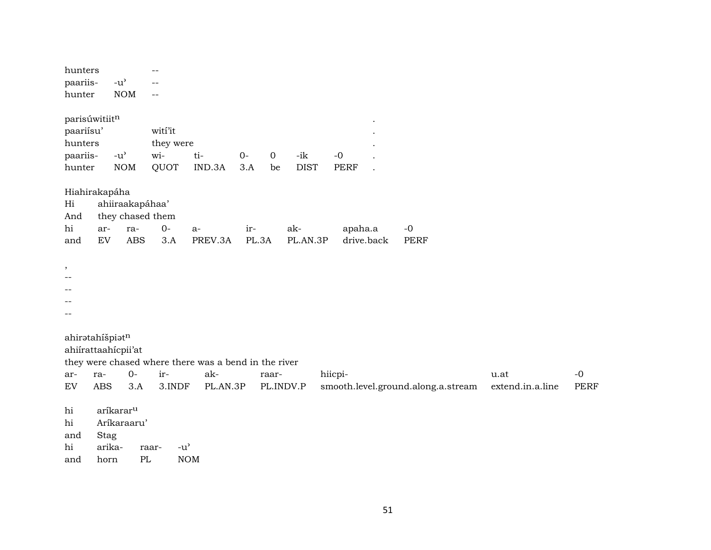| hunters         |            |                                     | --                                           |                                                      |              |             |             |             |            |                                    |                  |             |
|-----------------|------------|-------------------------------------|----------------------------------------------|------------------------------------------------------|--------------|-------------|-------------|-------------|------------|------------------------------------|------------------|-------------|
| paariis-        |            | $-u$ <sup><math>\prime</math></sup> |                                              |                                                      |              |             |             |             |            |                                    |                  |             |
| hunter          |            | <b>NOM</b>                          | --                                           |                                                      |              |             |             |             |            |                                    |                  |             |
|                 |            |                                     |                                              |                                                      |              |             |             |             |            |                                    |                  |             |
| parisúwitiitn   |            |                                     |                                              |                                                      |              |             |             |             |            |                                    |                  |             |
| paariisu'       |            |                                     | witi'it                                      |                                                      |              |             |             |             |            |                                    |                  |             |
| hunters         |            |                                     | they were                                    |                                                      |              |             |             |             |            |                                    |                  |             |
| paariis-        |            | $-u$ <sup><math>\prime</math></sup> | wi-                                          | ti-                                                  | $O -$        | $\mathbf 0$ | $-ik$       | $-0$        |            |                                    |                  |             |
| hunter          |            | $\rm{NOM}$                          | QUOT                                         | IND.3A                                               | 3.A          | be          | <b>DIST</b> | <b>PERF</b> |            |                                    |                  |             |
|                 |            |                                     |                                              |                                                      |              |             |             |             |            |                                    |                  |             |
| Hiahirakapáha   |            |                                     |                                              |                                                      |              |             |             |             |            |                                    |                  |             |
| Hi              |            | ahiiraakapáhaa'                     |                                              |                                                      |              |             |             |             |            |                                    |                  |             |
| And<br>hi       |            | they chased them                    | $0-$                                         |                                                      |              |             | ak-         |             |            |                                    |                  |             |
| and             | ar-<br>EV  | ra-<br><b>ABS</b>                   | 3.A                                          | $a-$<br>PREV.3A                                      | ir-<br>PL.3A |             | PL.AN.3P    | apaha.a     | drive.back | $-0$<br><b>PERF</b>                |                  |             |
|                 |            |                                     |                                              |                                                      |              |             |             |             |            |                                    |                  |             |
|                 |            |                                     |                                              |                                                      |              |             |             |             |            |                                    |                  |             |
| $\,$<br>$-$     |            |                                     |                                              |                                                      |              |             |             |             |            |                                    |                  |             |
|                 |            |                                     |                                              |                                                      |              |             |             |             |            |                                    |                  |             |
|                 |            |                                     |                                              |                                                      |              |             |             |             |            |                                    |                  |             |
|                 |            |                                     |                                              |                                                      |              |             |             |             |            |                                    |                  |             |
|                 |            |                                     |                                              |                                                      |              |             |             |             |            |                                    |                  |             |
| ahiratahíšpiatn |            |                                     |                                              |                                                      |              |             |             |             |            |                                    |                  |             |
|                 |            | ahiirattaahicpii'at                 |                                              |                                                      |              |             |             |             |            |                                    |                  |             |
|                 |            |                                     |                                              | they were chased where there was a bend in the river |              |             |             |             |            |                                    |                  |             |
| ar-             | ra-        | $0 -$                               | ir-                                          | ak-                                                  |              | raar-       |             | hiicpi-     |            |                                    | u.at             | $-0$        |
| ${\rm EV}$      | <b>ABS</b> | 3.A                                 | 3.INDF                                       | PL.AN.3P                                             |              | PL.INDV.P   |             |             |            | smooth.level.ground.along.a.stream | extend.in.a.line | <b>PERF</b> |
|                 |            |                                     |                                              |                                                      |              |             |             |             |            |                                    |                  |             |
| hi              |            | aríkarar <sup>u</sup>               |                                              |                                                      |              |             |             |             |            |                                    |                  |             |
| hi              |            | Aríkaraaru'                         |                                              |                                                      |              |             |             |             |            |                                    |                  |             |
| and             | Stag       |                                     |                                              |                                                      |              |             |             |             |            |                                    |                  |             |
| hi              | arika-     |                                     | $-u$ <sup><math>\prime</math></sup><br>raar- |                                                      |              |             |             |             |            |                                    |                  |             |
| and             | horn       | PL                                  |                                              | <b>NOM</b>                                           |              |             |             |             |            |                                    |                  |             |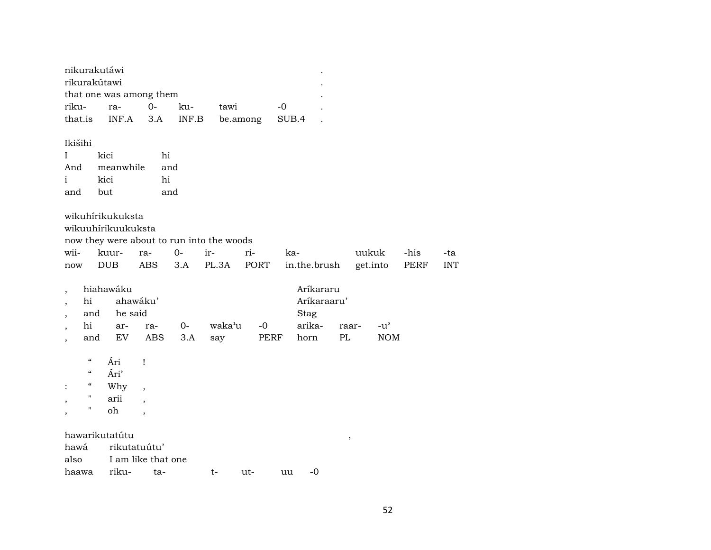| nikurakutáwi |               |                         |      |                                        |
|--------------|---------------|-------------------------|------|----------------------------------------|
| rikurakútawi |               |                         |      |                                        |
|              |               |                         |      |                                        |
|              | ku-           | tawi                    | $-0$ |                                        |
|              |               |                         |      |                                        |
|              | riku- ra-  0- | that one was among them |      | that is INF.A 3.A INF.B belomong SUB.4 |

## Ikišihi

|     | kici            | hi  |
|-----|-----------------|-----|
| And | meanwhile       | and |
|     | kici            | hi  |
| and | $_{\text{but}}$ | and |

| wikuhirikukuksta |
|------------------|
|------------------|

wikuuhírikuukuksta

| now they were about to run into the woods |
|-------------------------------------------|
|-------------------------------------------|

|  |  | wii- kuur- ra- 0- ir-  ri-  ka- |                                                           | uukuk -his -ta |  |
|--|--|---------------------------------|-----------------------------------------------------------|----------------|--|
|  |  |                                 | now DUB ABS 3.A PL.3A PORT in.the.brush get.into PERF INT |                |  |

|             | hiahawáku   |                    |                           |      | Aríkararu   |           |            |
|-------------|-------------|--------------------|---------------------------|------|-------------|-----------|------------|
| hi ahawáku' |             |                    |                           |      | Arikaraaru' |           |            |
|             | and he said |                    |                           |      | Stag        |           |            |
|             |             |                    | hi ar- ra-  0-  waka'u -0 |      | arika-      | raar- -u' |            |
|             |             | and EV ABS 3.A say |                           | PERF | horn        | PL.       | <b>NOM</b> |

 $\frac{1}{2}$ Ári  $\alpha$ 

- Ári'  $\alpha$
- Why  $\epsilon$  $\ddot{\mathbb{1}}$  $\overline{\phantom{a}}$
- $\boldsymbol{\mathsf{H}}$ arii  $\overline{\phantom{a}}$  $\overline{\phantom{a}}$
- oh  $\boldsymbol{\theta}$  $\overline{\phantom{a}}$  $\overline{\phantom{a}}$

hawarikutatútu hawá rikutatuútu' I am like that one also rikuuu -0 haawa ta $t$ ut-

 $\,$  ,  $\,$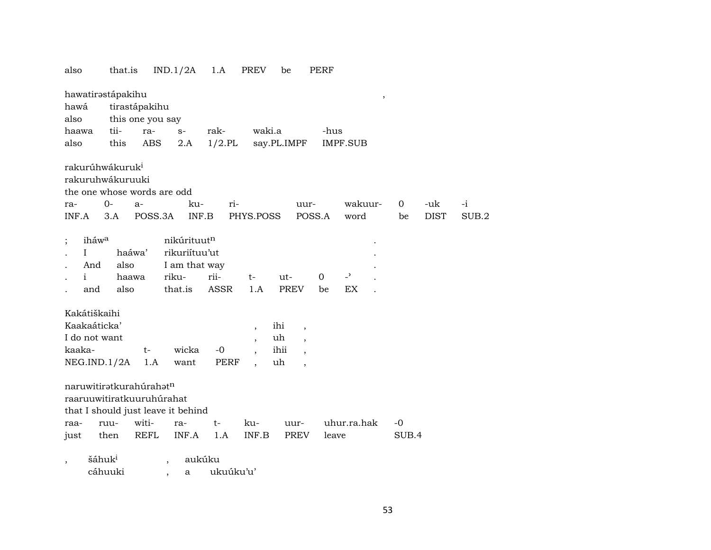| also                                                                                       | that.is                         |                          | IND.1/2A                                                          | 1.A                 | PREV                     | be                 |                          | PERF              |                                |       |             |       |
|--------------------------------------------------------------------------------------------|---------------------------------|--------------------------|-------------------------------------------------------------------|---------------------|--------------------------|--------------------|--------------------------|-------------------|--------------------------------|-------|-------------|-------|
| hawatirastápakihu                                                                          |                                 |                          |                                                                   |                     |                          |                    |                          |                   | $\, ,$                         |       |             |       |
| hawá                                                                                       |                                 | tirastápakihu            |                                                                   |                     |                          |                    |                          |                   |                                |       |             |       |
| also                                                                                       |                                 | this one you say         |                                                                   |                     |                          |                    |                          |                   |                                |       |             |       |
| haawa                                                                                      | tii-                            | ra-                      | $\mathbf{S}^-$                                                    | rak-                | waki.a                   |                    |                          | -hus              |                                |       |             |       |
| also                                                                                       | this                            | ABS                      | 2.A                                                               | $1/2$ .PL           |                          | say.PL.IMPF        |                          |                   | <b>IMPF.SUB</b>                |       |             |       |
| rakurúhwákuruk <sup>i</sup><br>rakuruhwákuruuki<br>the one whose words are odd             |                                 |                          |                                                                   |                     |                          |                    |                          |                   |                                |       |             |       |
| ra-                                                                                        | $0-$                            | a-                       | ku-                                                               | ri-                 |                          |                    | uur-                     |                   | wakuur-                        | 0     | -uk         | $-i$  |
| INF.A                                                                                      | 3.A                             | POSS.3A                  | INF.B                                                             |                     | PHYS.POSS                |                    | POSS.A                   |                   | word                           | be    | <b>DIST</b> | SUB.2 |
| iháw <sup>a</sup><br>$\mathbf I$<br>And<br>i<br>and                                        | haáwa'<br>also<br>haawa<br>also |                          | nikúrituutn<br>rikuriítuu'ut<br>I am that way<br>riku-<br>that.is | rii-<br><b>ASSR</b> | t-<br>1.A                | ut-<br><b>PREV</b> |                          | $\mathbf 0$<br>be | $\overline{\phantom{0}}$<br>EX |       |             |       |
| Kakátiškaihi                                                                               |                                 |                          |                                                                   |                     |                          |                    |                          |                   |                                |       |             |       |
| Kaakaáticka'                                                                               |                                 |                          |                                                                   |                     | $\overline{\phantom{a}}$ | ihi                | $\overline{\phantom{a}}$ |                   |                                |       |             |       |
| I do not want                                                                              |                                 |                          |                                                                   |                     | $\overline{\phantom{a}}$ | uh                 | $\overline{ }$           |                   |                                |       |             |       |
| kaaka-                                                                                     |                                 | $t-$                     | wicka                                                             | $-0$                |                          | ihii               |                          |                   |                                |       |             |       |
| NEG.ID.1/2A                                                                                |                                 | 1.A                      | want                                                              | PERF                |                          | uh                 | $\overline{\phantom{a}}$ |                   |                                |       |             |       |
| naruwitiratkurahúrahatn<br>raaruuwitiratkuuruhúrahat<br>that I should just leave it behind |                                 |                          |                                                                   |                     |                          |                    |                          |                   |                                |       |             |       |
| raa-                                                                                       | ruu-                            | witi-                    | ra-                                                               | t-                  | ku-                      |                    | uur-                     |                   | uhur.ra.hak                    | $-0$  |             |       |
| just                                                                                       | then                            | <b>REFL</b>              | INF.A                                                             | 1.A                 | INF.B                    |                    | PREV                     | leave             |                                | SUB.4 |             |       |
| šáhuk <sup>i</sup>                                                                         |                                 | $\overline{\phantom{a}}$ | aukúku                                                            |                     |                          |                    |                          |                   |                                |       |             |       |

cáhuuki , a ukuúku'u'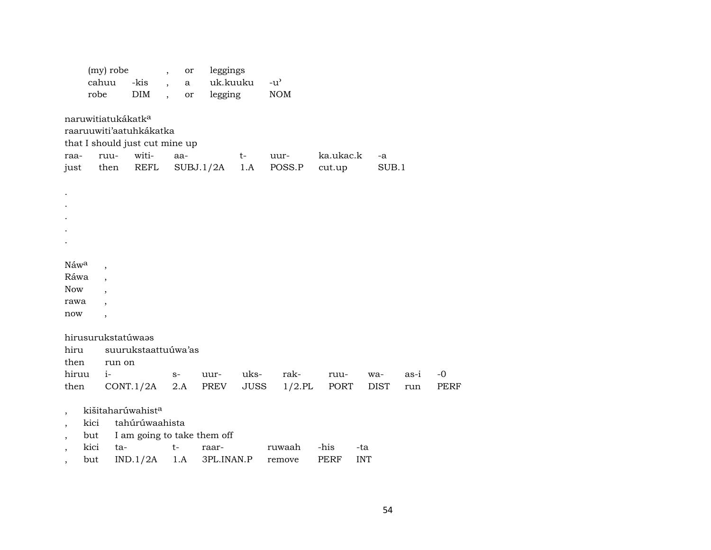|                                                      | (my) robe<br>cahuu<br>robe     |        | -kis<br>DIM                    | $\overline{\phantom{a}}$<br>$\ddot{\phantom{a}}$<br>$\ddot{\phantom{a}}$ | or<br>a<br>or | leggings<br>uk.kuuku<br>legging |             | $-u^{\prime}$<br><b>NOM</b> |             |            |             |      |             |
|------------------------------------------------------|--------------------------------|--------|--------------------------------|--------------------------------------------------------------------------|---------------|---------------------------------|-------------|-----------------------------|-------------|------------|-------------|------|-------------|
|                                                      | naruwitiatukákatk <sup>a</sup> |        |                                |                                                                          |               |                                 |             |                             |             |            |             |      |             |
|                                                      |                                |        | raaruuwiti'aatuhkákatka        |                                                                          |               |                                 |             |                             |             |            |             |      |             |
|                                                      |                                |        | that I should just cut mine up |                                                                          |               |                                 |             |                             |             |            |             |      |             |
| raa-                                                 | ruu-                           |        | witi-                          |                                                                          | aa-           |                                 | $t-$        | uur-                        | ka.ukac.k   |            | -a          |      |             |
| just                                                 |                                | then   | REFL                           |                                                                          | SUBJ.1/2A     |                                 | 1.A         | POSS.P                      | cut.up      |            | SUB.1       |      |             |
|                                                      |                                |        |                                |                                                                          |               |                                 |             |                             |             |            |             |      |             |
|                                                      |                                |        |                                |                                                                          |               |                                 |             |                             |             |            |             |      |             |
|                                                      |                                |        |                                |                                                                          |               |                                 |             |                             |             |            |             |      |             |
|                                                      |                                |        |                                |                                                                          |               |                                 |             |                             |             |            |             |      |             |
|                                                      |                                |        |                                |                                                                          |               |                                 |             |                             |             |            |             |      |             |
|                                                      |                                |        |                                |                                                                          |               |                                 |             |                             |             |            |             |      |             |
| Náwa                                                 |                                |        |                                |                                                                          |               |                                 |             |                             |             |            |             |      |             |
| Ráwa                                                 |                                |        |                                |                                                                          |               |                                 |             |                             |             |            |             |      |             |
| <b>Now</b>                                           |                                |        |                                |                                                                          |               |                                 |             |                             |             |            |             |      |             |
| rawa                                                 |                                |        |                                |                                                                          |               |                                 |             |                             |             |            |             |      |             |
| now                                                  | $\overline{\phantom{a}}$       |        |                                |                                                                          |               |                                 |             |                             |             |            |             |      |             |
|                                                      |                                |        |                                |                                                                          |               |                                 |             |                             |             |            |             |      |             |
|                                                      | hirusurukstatúwaas             |        |                                |                                                                          |               |                                 |             |                             |             |            |             |      |             |
| hiru                                                 |                                |        | suurukstaattuúwa'as            |                                                                          |               |                                 |             |                             |             |            |             |      |             |
| then                                                 |                                | run on |                                |                                                                          |               |                                 |             |                             |             |            |             |      |             |
| hiruu                                                | $i-$                           |        |                                | $S-$                                                                     |               | uur-                            | uks-        | rak-                        | ruu-        |            | wa-         | as-i | $-0$        |
| then                                                 |                                |        | CONT.1/2A                      | 2.A                                                                      |               | PREV                            | <b>JUSS</b> | $1/2$ .PL                   | PORT        |            | <b>DIST</b> | run  | <b>PERF</b> |
|                                                      |                                |        | kišitaharúwahist <sup>a</sup>  |                                                                          |               |                                 |             |                             |             |            |             |      |             |
| $\overline{\phantom{a}}$<br>$\overline{\phantom{a}}$ | kici                           |        | tahúrúwaahista                 |                                                                          |               |                                 |             |                             |             |            |             |      |             |
|                                                      | but                            |        |                                |                                                                          |               | I am going to take them off     |             |                             |             |            |             |      |             |
|                                                      | kici                           | ta-    |                                | $t-$                                                                     |               | raar-                           |             | ruwaah                      | -his        | -ta        |             |      |             |
| $\overline{\phantom{a}}$                             | but                            |        | IND.1/2A                       |                                                                          | 1.A           | 3PL.INAN.P                      |             | remove                      | <b>PERF</b> | <b>INT</b> |             |      |             |
|                                                      |                                |        |                                |                                                                          |               |                                 |             |                             |             |            |             |      |             |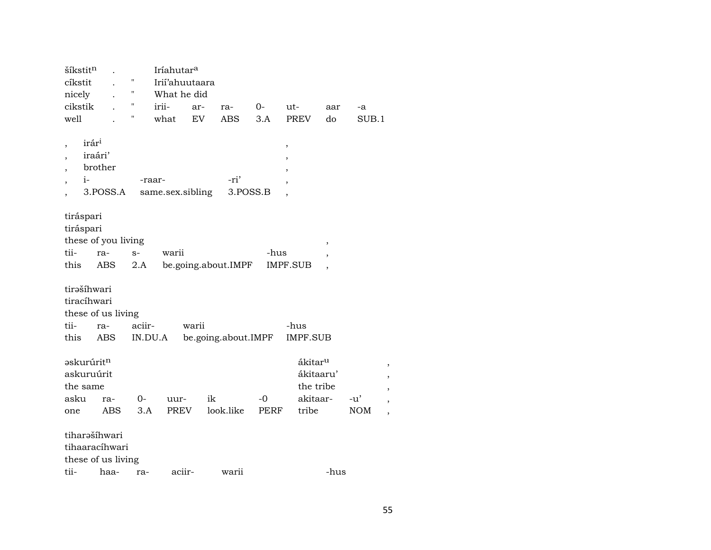| šíkstitn            |         | Iríahutar <sup>a</sup> |       |                     |      |                     |                          |            |   |
|---------------------|---------|------------------------|-------|---------------------|------|---------------------|--------------------------|------------|---|
| cíkstit             | Ħ       | Irií'ahuutaara         |       |                     |      |                     |                          |            |   |
| nicely              | П       | What he did            |       |                     |      |                     |                          |            |   |
| cikstik             | 11      | irii-                  | ar-   | ra-                 | 0-   | ut-                 | aar                      | -a         |   |
| well                | н       | what                   | EV    | <b>ABS</b>          | 3.A  | <b>PREV</b>         | do                       | SUB.1      |   |
|                     |         |                        |       |                     |      |                     |                          |            |   |
| irár <sup>i</sup>   |         |                        |       |                     |      | ,                   |                          |            |   |
| iraári'             |         |                        |       |                     |      |                     |                          |            |   |
| brother             |         |                        |       |                     |      |                     |                          |            |   |
| i-                  | -raar-  |                        |       | -ri'                |      |                     |                          |            |   |
| 3.POSS.A            |         | same.sex.sibling       |       | 3.POSS.B            |      |                     |                          |            |   |
|                     |         |                        |       |                     |      |                     |                          |            |   |
| tiráspari           |         |                        |       |                     |      |                     |                          |            |   |
| tiráspari           |         |                        |       |                     |      |                     |                          |            |   |
| these of you living |         |                        |       |                     |      |                     | ,                        |            |   |
| tii-<br>ra-         | $S-$    | warii                  |       |                     | -hus |                     | ,                        |            |   |
| this<br>ABS         | 2.A     |                        |       | be.going.about.IMPF |      | <b>IMPF.SUB</b>     | $\overline{\phantom{a}}$ |            |   |
|                     |         |                        |       |                     |      |                     |                          |            |   |
| tirašíhwari         |         |                        |       |                     |      |                     |                          |            |   |
| tiracíhwari         |         |                        |       |                     |      |                     |                          |            |   |
| these of us living  |         |                        |       |                     |      |                     |                          |            |   |
| tii-<br>ra-         | aciir-  |                        | warii |                     |      | -hus                |                          |            |   |
| this<br>ABS         | IN.DU.A |                        |       | be.going.about.IMPF |      | IMPF.SUB            |                          |            |   |
|                     |         |                        |       |                     |      |                     |                          |            |   |
| <b>askurúritn</b>   |         |                        |       |                     |      | ákitar <sup>u</sup> |                          |            | , |
| askuruúrit          |         |                        |       |                     |      | ákitaaru'           |                          |            |   |
| the same            |         |                        |       |                     |      | the tribe           |                          |            |   |
| asku<br>ra-         | $0-$    | uur-                   | ik    |                     | -0   | akitaar-            |                          | $-u'$      |   |
| <b>ABS</b><br>one   | 3.A     | PREV                   |       | look.like           | PERF | tribe               |                          | <b>NOM</b> |   |
| tiharašíhwari       |         |                        |       |                     |      |                     |                          |            |   |
| tihaaracíhwari      |         |                        |       |                     |      |                     |                          |            |   |
|                     |         |                        |       |                     |      |                     |                          |            |   |
| these of us living  |         |                        |       |                     |      |                     |                          |            |   |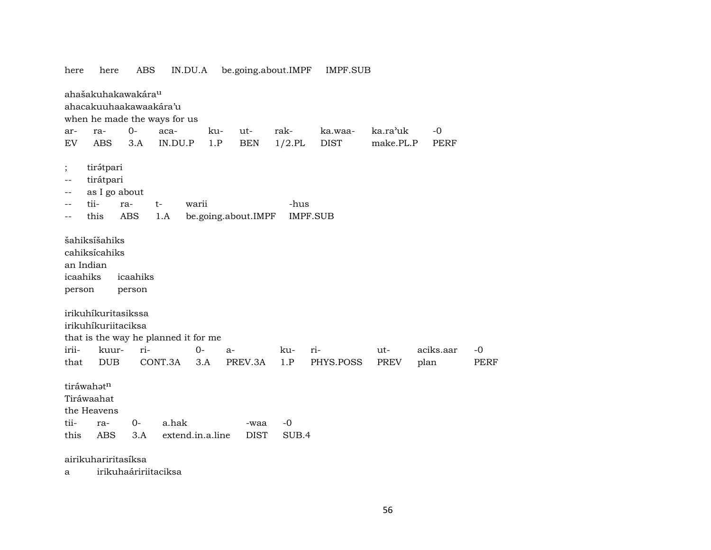| here                                             | here                                                                                                                                        | ABS                       |         | IN.DU.A          | be.going.about.IMPF |               | <b>IMPF.SUB</b>  |             |                   |                     |
|--------------------------------------------------|---------------------------------------------------------------------------------------------------------------------------------------------|---------------------------|---------|------------------|---------------------|---------------|------------------|-------------|-------------------|---------------------|
|                                                  | ahašakuhakawakára <sup>u</sup><br>ahacakuuhaakawaakára'u<br>when he made the ways for us                                                    |                           |         |                  |                     |               |                  |             |                   |                     |
| ar-                                              | ra-                                                                                                                                         | $O -$                     | aca-    | ku-              | ut-                 | rak-          | ka.waa-          | ka.ra'uk    | $-0$              |                     |
| ${\rm EV}$                                       | <b>ABS</b>                                                                                                                                  | 3.A                       | IN.DU.P | 1.P              | <b>BEN</b>          | $1/2$ .PL     | <b>DIST</b>      | make.PL.P   | <b>PERF</b>       |                     |
|                                                  |                                                                                                                                             |                           |         |                  |                     |               |                  |             |                   |                     |
| $\vdots$<br>--                                   | tirátpari<br>tirátpari<br>as I go about                                                                                                     |                           |         |                  |                     |               |                  |             |                   |                     |
| --                                               | tii-                                                                                                                                        | ra-                       | $t-$    | warii            |                     | -hus          |                  |             |                   |                     |
|                                                  | this                                                                                                                                        | <b>ABS</b>                | 1.A     |                  | be.going.about.IMPF |               | <b>IMPF.SUB</b>  |             |                   |                     |
| an Indian<br>icaahiks<br>person<br>irii-<br>that | šahiksíšahiks<br>cahiksícahiks<br>irikuhíkuritasikssa<br>irikuhíkuriitaciksa<br>that is the way he planned it for me<br>kuur-<br><b>DUB</b> | icaahiks<br>person<br>ri- | CONT.3A | $0-$<br>3.A      | $a-$<br>PREV.3A     | ku-<br>1.P    | ri-<br>PHYS.POSS | ut-<br>PREV | aciks.aar<br>plan | $-0$<br><b>PERF</b> |
| tii-<br>this                                     | tiráwahatn<br>Tiráwaahat<br>the Heavens<br>ra-<br><b>ABS</b>                                                                                | $0-$<br>3.A               | a.hak   | extend.in.a.line | -waa<br><b>DIST</b> | $-0$<br>SUB.4 |                  |             |                   |                     |
|                                                  | airikuhariritasíksa                                                                                                                         |                           |         |                  |                     |               |                  |             |                   |                     |
| а                                                |                                                                                                                                             | irikuhaáririitaciksa      |         |                  |                     |               |                  |             |                   |                     |
|                                                  |                                                                                                                                             |                           |         |                  |                     |               |                  |             |                   |                     |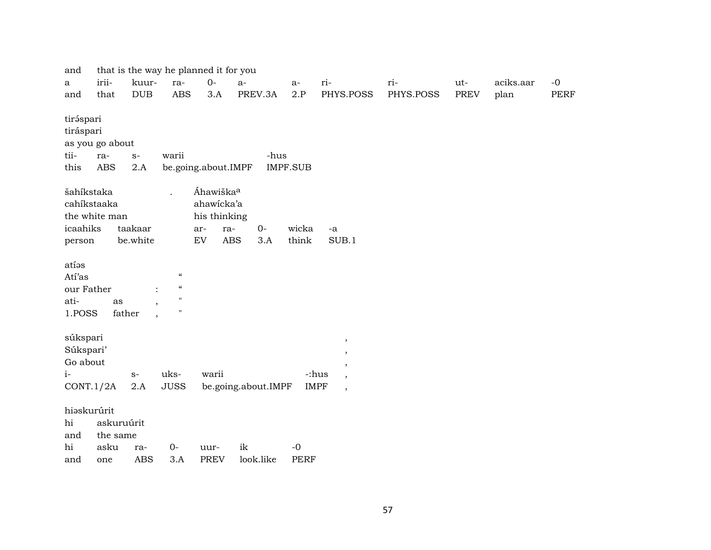| and         |                 |                                    |                                                | that is the way he planned it for you |                     |                 |                                   |           |             |           |             |
|-------------|-----------------|------------------------------------|------------------------------------------------|---------------------------------------|---------------------|-----------------|-----------------------------------|-----------|-------------|-----------|-------------|
| a           | irii-           | kuur-                              | ra-                                            | $0-$                                  | $a-$                | a-              | ri-                               | ri-       | ut-         | aciks.aar | $-0$        |
| and         | that            | DUB                                | <b>ABS</b>                                     | 3.A                                   | PREV.3A             | 2.P             | PHYS.POSS                         | PHYS.POSS | <b>PREV</b> | plan      | <b>PERF</b> |
|             |                 |                                    |                                                |                                       |                     |                 |                                   |           |             |           |             |
| tiráspari   |                 |                                    |                                                |                                       |                     |                 |                                   |           |             |           |             |
| tiráspari   |                 |                                    |                                                |                                       |                     |                 |                                   |           |             |           |             |
|             | as you go about |                                    |                                                |                                       |                     |                 |                                   |           |             |           |             |
| tii-        | ra-             | $S-$                               | warii                                          |                                       | -hus                |                 |                                   |           |             |           |             |
| this        | <b>ABS</b>      | 2.A                                |                                                | be.going.about.IMPF                   |                     | <b>IMPF.SUB</b> |                                   |           |             |           |             |
|             |                 |                                    |                                                |                                       |                     |                 |                                   |           |             |           |             |
| šahíkstaka  |                 |                                    |                                                | Áhawiška <sup>a</sup>                 |                     |                 |                                   |           |             |           |             |
|             | cahíkstaaka     |                                    |                                                | ahawicka'a                            |                     |                 |                                   |           |             |           |             |
|             | the white man   |                                    |                                                | his thinking                          |                     |                 |                                   |           |             |           |             |
| icaahiks    |                 | taakaar                            |                                                | ra-<br>ar-                            | $0-$                | wicka           | $-a$                              |           |             |           |             |
| person      |                 | be.white                           |                                                | ${\rm EV}$                            | <b>ABS</b><br>3.A   | think           | SUB.1                             |           |             |           |             |
|             |                 |                                    |                                                |                                       |                     |                 |                                   |           |             |           |             |
| atíəs       |                 |                                    |                                                |                                       |                     |                 |                                   |           |             |           |             |
| Atí'as      |                 |                                    | $\pmb{\zeta}\pmb{\zeta}$                       |                                       |                     |                 |                                   |           |             |           |             |
| our Father  |                 |                                    | $\pmb{\zeta}\pmb{\zeta}$                       |                                       |                     |                 |                                   |           |             |           |             |
| ati-        | as              |                                    | $\pmb{\mathsf{H}}$<br>$\overline{\phantom{a}}$ |                                       |                     |                 |                                   |           |             |           |             |
| 1.POSS      |                 | father<br>$\overline{\phantom{a}}$ | $\pmb{\mathsf{H}}$                             |                                       |                     |                 |                                   |           |             |           |             |
|             |                 |                                    |                                                |                                       |                     |                 |                                   |           |             |           |             |
| súkspari    |                 |                                    |                                                |                                       |                     |                 | $^\mathrm{,}$                     |           |             |           |             |
| Súkspari'   |                 |                                    |                                                |                                       |                     |                 | $\overline{\phantom{a}}$          |           |             |           |             |
| Go about    |                 |                                    |                                                |                                       |                     |                 | $\overline{\phantom{a}}$          |           |             |           |             |
| $i-$        |                 | $S-$                               | uks-                                           | warii                                 |                     |                 | -:hus<br>$\overline{\phantom{a}}$ |           |             |           |             |
|             | CONT.1/2A       | 2.A                                | <b>JUSS</b>                                    |                                       | be.going.about.IMPF |                 | <b>IMPF</b><br>$\cdot$            |           |             |           |             |
|             |                 |                                    |                                                |                                       |                     |                 |                                   |           |             |           |             |
|             | hiaskurúrit     |                                    |                                                |                                       |                     |                 |                                   |           |             |           |             |
| hi          | askuruúrit      |                                    |                                                |                                       |                     |                 |                                   |           |             |           |             |
| and         | the same        |                                    |                                                |                                       |                     |                 |                                   |           |             |           |             |
| $\hbox{hi}$ | asku            | ra-                                | $0-$                                           | uur-                                  | ik                  | $-0$            |                                   |           |             |           |             |
| and         | one             | <b>ABS</b>                         | 3.A                                            | <b>PREV</b>                           | look.like           | <b>PERF</b>     |                                   |           |             |           |             |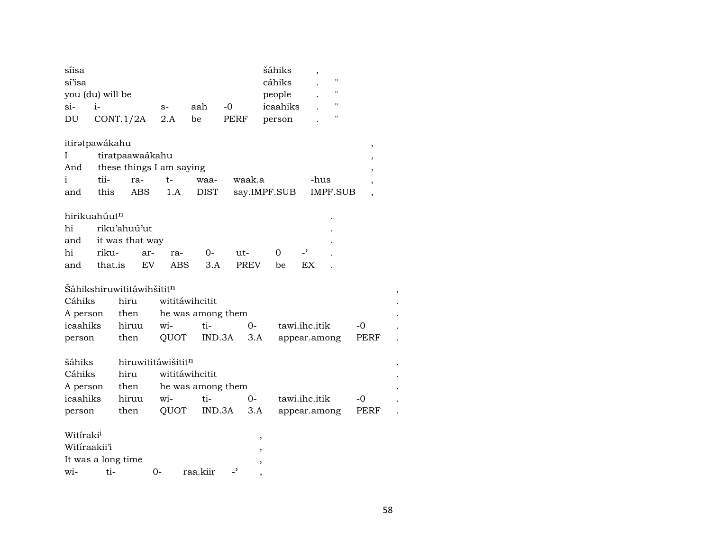| síisa<br>sí'isa<br>you (du) will be |         |                                       |                    |                   |                          | šáhiks<br>cáhiks<br>people | $\blacksquare$<br>$^{\dagger}$ |                |  |
|-------------------------------------|---------|---------------------------------------|--------------------|-------------------|--------------------------|----------------------------|--------------------------------|----------------|--|
| si-                                 | $i-$    |                                       | $S-$               | aah               | $-0$                     | icaahiks                   | н                              |                |  |
| DU                                  |         | CONT.1/2A                             | 2.A                | be                | <b>PERF</b>              | person                     | 11                             |                |  |
| itirətpawákahu                      |         |                                       |                    |                   |                          |                            |                                | $\,$           |  |
| Ι                                   |         | tiratpaawaákahu                       |                    |                   |                          |                            |                                |                |  |
| And                                 |         | these things I am saying              |                    |                   |                          |                            |                                |                |  |
| i                                   | tii-    | ra-                                   | $t-$               | waa-              | waak.a                   |                            | -hus                           |                |  |
| and                                 | this    | <b>ABS</b>                            | 1.A                | <b>DIST</b>       |                          | say.IMPF.SUB               | <b>IMPF.SUB</b>                | $\overline{ }$ |  |
| hirikuahúutn                        |         |                                       |                    |                   |                          |                            |                                |                |  |
| hi                                  |         | riku'ahuú'ut                          |                    |                   |                          |                            |                                |                |  |
| and                                 |         | it was that way                       |                    |                   |                          |                            |                                |                |  |
| hi                                  | riku-   | ar-                                   | ra-                | 0-                | ut-                      | 0                          | $\overline{\phantom{0}}$       |                |  |
| and                                 | that.is | EV                                    | <b>ABS</b>         | 3.A               | <b>PREV</b>              | be                         | <b>EX</b>                      |                |  |
|                                     |         |                                       |                    |                   |                          |                            |                                |                |  |
|                                     |         | Šáhikshiruwititáwihšitit <sup>n</sup> |                    |                   |                          |                            |                                |                |  |
| Cáhiks                              |         | hiru                                  |                    | wititáwihcitit    |                          |                            |                                |                |  |
| A person                            |         | then                                  |                    | he was among them |                          |                            |                                |                |  |
| icaahiks                            |         | hiruu                                 | wi-                | ti-               | $0-$                     |                            | tawi.ihc.itik                  | -0             |  |
| person                              |         | then                                  | QUOT               | IND.3A            | 3.A                      |                            | appear.among                   | <b>PERF</b>    |  |
|                                     |         |                                       |                    |                   |                          |                            |                                |                |  |
| šáhiks                              |         |                                       | hiruwititáwišititn |                   |                          |                            |                                |                |  |
| Cáhiks                              |         | hiru                                  |                    | wititáwihcitit    |                          |                            |                                |                |  |
| A person                            |         | then                                  |                    | he was among them |                          |                            |                                |                |  |
| icaahiks                            |         | hiruu                                 | wi-                | ti-               | $0-$                     |                            | tawi.ihc.itik                  | -0             |  |
| person                              |         | then                                  | QUOT               | IND.3A            | 3.A                      |                            | appear.among                   | PERF           |  |
| Witíraki <sup>i</sup>               |         |                                       |                    |                   |                          |                            |                                |                |  |
| Witiraakii'i                        |         |                                       |                    |                   |                          |                            |                                |                |  |
|                                     |         | It was a long time                    |                    |                   |                          |                            |                                |                |  |
| wi-                                 | ti-     |                                       | $0-$               | raa.kiir          | $\overline{\phantom{0}}$ |                            |                                |                |  |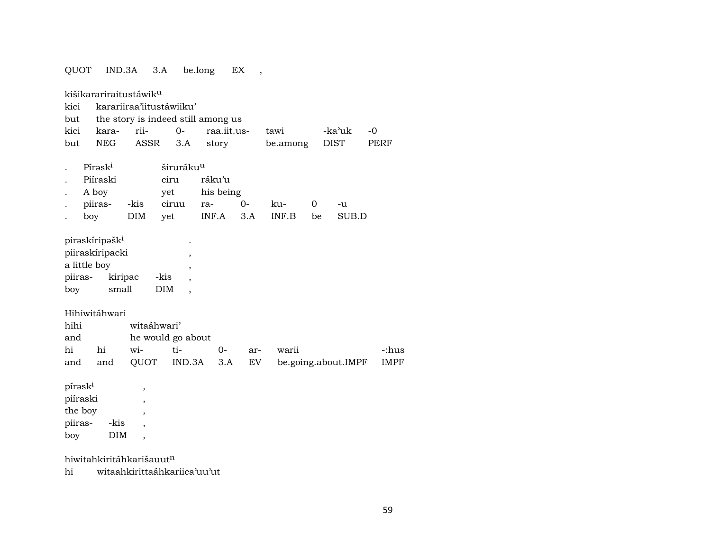QUOT IND.3A 3.A be.long EX , kišikarariraitustáwik<sup>u</sup> kici karariiraa'iitustáwiiku' but the story is indeed still among us kici kara- rii- 0- raa.iit.us- tawi -ka"uk -0 but NEG ASSR 3.A story be.among DIST PERF . Pírask<sup>i</sup> širuráku<sup>u</sup> . Piíraski ciru ráku'u . A boy yet his being . piiras- -kis ciruu ra- 0- ku- 0 -u . boy DIM yet INF.A 3.A INF.B be SUB.D pirəskíripəšk $^{\rm i}$ piiraskíripacki , a little boy , , piiras- kiripac -kis , boy small DIM , Hihiwitáhwari hihi witaáhwari' and he would go about hi hi wi- ti- 0- ar- warii -:hus and and QUOT IND.3A 3.A EV be.going.about.IMPF IMPF  $p$ írəsk $^{i}$ , piíraski , the boy , piiras- -kis , boy DIM ,

hiwitahkiritáhkarišauut<sup>n</sup>

hi witaahkirittaáhkariica'uu'ut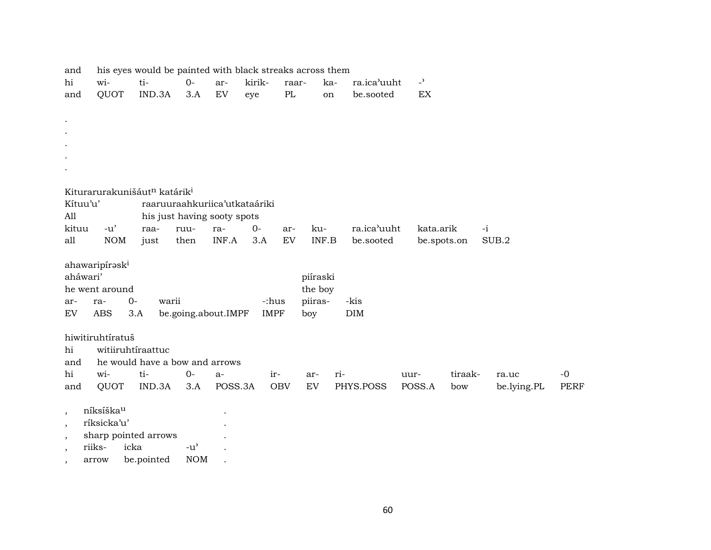| and                      |                                                      |                   |        | his eyes would be painted with black streaks across them |         |        |             |          |             |                            |         |             |             |
|--------------------------|------------------------------------------------------|-------------------|--------|----------------------------------------------------------|---------|--------|-------------|----------|-------------|----------------------------|---------|-------------|-------------|
| hi                       | wi-                                                  | ti-               |        | $0-$                                                     | ar-     | kirik- | raar-       | ka-      | ra.ica'uuht | $\overline{a}$             |         |             |             |
| and                      | QUOT                                                 |                   | IND.3A | 3.A                                                      | EV      | eye    | PL          | on       | be.sooted   | $\mathop{\rm EX}\nolimits$ |         |             |             |
|                          |                                                      |                   |        |                                                          |         |        |             |          |             |                            |         |             |             |
|                          |                                                      |                   |        |                                                          |         |        |             |          |             |                            |         |             |             |
|                          |                                                      |                   |        |                                                          |         |        |             |          |             |                            |         |             |             |
|                          |                                                      |                   |        |                                                          |         |        |             |          |             |                            |         |             |             |
|                          |                                                      |                   |        |                                                          |         |        |             |          |             |                            |         |             |             |
|                          |                                                      |                   |        |                                                          |         |        |             |          |             |                            |         |             |             |
|                          | Kiturarurakunišáut <sup>n</sup> katárik <sup>i</sup> |                   |        |                                                          |         |        |             |          |             |                            |         |             |             |
| Kítuu'u'                 |                                                      |                   |        | raaruuraahkuriica'utkataáriki                            |         |        |             |          |             |                            |         |             |             |
| All                      |                                                      |                   |        | his just having sooty spots                              |         |        |             |          |             |                            |         |             |             |
| kituu                    | $-u'$                                                |                   | raa-   | ruu-                                                     | ra-     | $0-$   | ar-         | ku-      | ra.ica'uuht | kata.arik                  |         | $-i$        |             |
| all                      | <b>NOM</b>                                           |                   | just   | then                                                     | INF.A   | 3.A    | <b>EV</b>   | INF.B    | be.sooted   | be.spots.on                |         | SUB.2       |             |
|                          |                                                      |                   |        |                                                          |         |        |             |          |             |                            |         |             |             |
|                          | ahawaripiraski                                       |                   |        |                                                          |         |        |             |          |             |                            |         |             |             |
| aháwari'                 |                                                      |                   |        |                                                          |         |        |             | piíraski |             |                            |         |             |             |
|                          | he went around                                       |                   |        |                                                          |         |        |             | the boy  |             |                            |         |             |             |
| ar-                      | ra-                                                  | $0-$              | warii  |                                                          |         |        | -:hus       | piiras-  | -kis        |                            |         |             |             |
| EV                       | <b>ABS</b>                                           | 3.A               |        | be.going.about.IMPF                                      |         |        | <b>IMPF</b> | boy      | <b>DIM</b>  |                            |         |             |             |
|                          |                                                      |                   |        |                                                          |         |        |             |          |             |                            |         |             |             |
|                          | hiwitiruhtíratuš                                     |                   |        |                                                          |         |        |             |          |             |                            |         |             |             |
| hi                       |                                                      | witiiruhtíraattuc |        |                                                          |         |        |             |          |             |                            |         |             |             |
| and                      |                                                      |                   |        | he would have a bow and arrows                           |         |        |             |          |             |                            |         |             |             |
| hi                       | wi-                                                  | ti-               |        | $O -$                                                    | a-      |        | ir-         | ar-      | ri-         | uur-                       | tiraak- | ra.uc       | $-0$        |
| and                      | QUOT                                                 |                   | IND.3A | 3.A                                                      | POSS.3A |        | <b>OBV</b>  | EV       | PHYS.POSS   | POSS.A                     | bow     | be.lying.PL | <b>PERF</b> |
|                          | níksíškau                                            |                   |        |                                                          |         |        |             |          |             |                            |         |             |             |
| $\cdot$<br>$\cdot$       | ríksicka'u'                                          |                   |        |                                                          |         |        |             |          |             |                            |         |             |             |
| $\overline{\phantom{a}}$ | sharp pointed arrows                                 |                   |        |                                                          |         |        |             |          |             |                            |         |             |             |
|                          | riiks-                                               | icka              |        | $-u^{\prime}$                                            |         |        |             |          |             |                            |         |             |             |
|                          | arrow                                                | be.pointed        |        | <b>NOM</b>                                               |         |        |             |          |             |                            |         |             |             |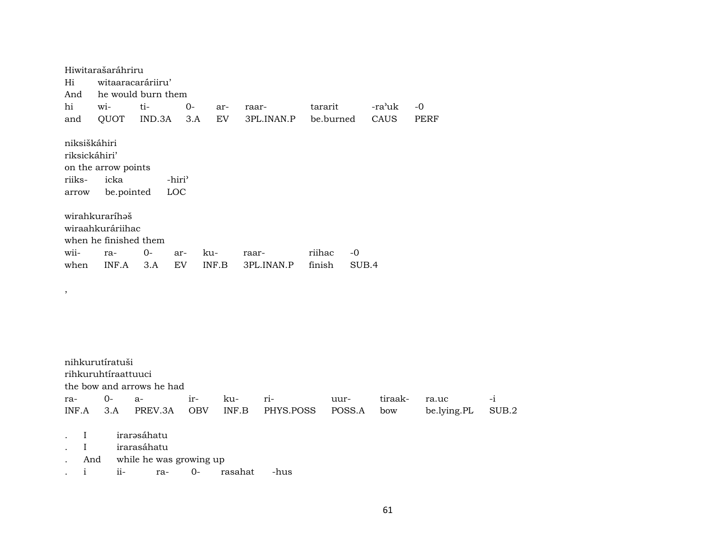Hiwitarašaráhriru witaaracaráriiru' Hi And he would burn them tihi wi- $O$ tararit -ra'uk  $-0$ arraar-QUOT  $IND.3A$  3.A and **EV** 3PL.INAN.P be.burned **CAUS PERF** niksiškáhiri riksickáhiri' on the arrow points riiksicka -hiri<sup>3</sup> be.pointed LOC arrow wirahkuraríhaš wiraahkuráriihac when he finished them wiira- $0$ kuriihac  $-0$ arraar-EV finish SUB.4 when INF.A  $3.A$ INF.B 3PL.INAN.P  $\overline{\phantom{a}}$ nihkurutíratuši rihkuruhtíraattuuci the bow and arrows he had  $0$ irritiraakra $a$ kuuurra.uc INF.A  $3.A$ PREV.3A OBV  $INF.B$ PHYS.POSS be.lying.PL POSS.A bow  $\mathcal{L}^{(1)}$ irarəsáhatu  $\mathbf{I}$ irarasáhatu  $\mathbf{I}$ 

And while he was growing up

 $\mathbf{i}$  $ii$ ra- $0$ rasahat -hus  $-i$ 

SUB.2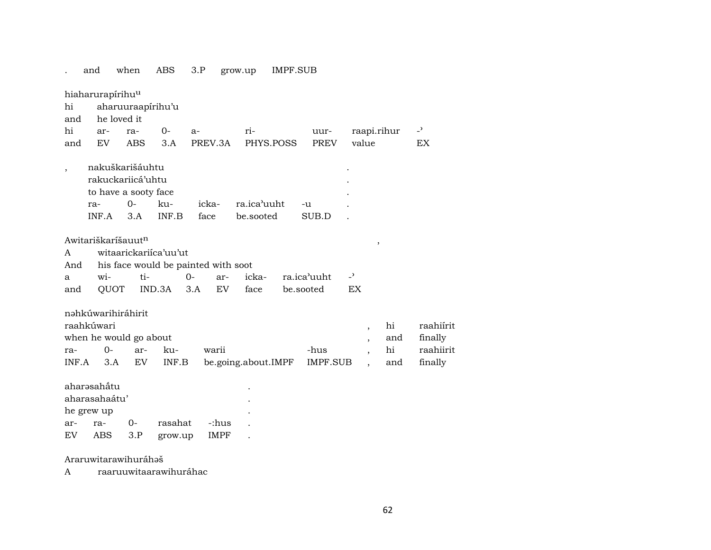|              | and                          | when                                                                        | ABS          | 3.P                                 | grow.up                  | IMPF.SUB      |                 |                                                                                                                       |                                              |
|--------------|------------------------------|-----------------------------------------------------------------------------|--------------|-------------------------------------|--------------------------|---------------|-----------------|-----------------------------------------------------------------------------------------------------------------------|----------------------------------------------|
| hi<br>and    | hiaharurapírihu <sup>u</sup> | aharuuraapírihu'u<br>he loved it                                            |              |                                     |                          |               |                 |                                                                                                                       |                                              |
| hi           | ar-                          | ra-                                                                         | $0-$         | $a-$                                | ri-                      | uur-          |                 | raapi.rihur                                                                                                           | $\overline{\phantom{0}}$                     |
| and          | EV.                          | ABS                                                                         | 3.A          | PREV.3A                             | PHYS.POSS                | PREV          |                 | value                                                                                                                 | EX.                                          |
|              | ra-<br>INF.A                 | nakuškarišáuhtu<br>rakuckariicá'uhtu<br>to have a sooty face<br>$0-$<br>3.A | ku-<br>INF.B | icka-<br>face                       | ra.ica'uuht<br>be.sooted | $-u$<br>SUB.D |                 |                                                                                                                       |                                              |
|              |                              | Awitariškaríšauut <sup>n</sup>                                              |              |                                     |                          |               |                 | $\, ,$                                                                                                                |                                              |
| A            |                              | witaarickariica'uu'ut                                                       |              |                                     |                          |               |                 |                                                                                                                       |                                              |
| And          |                              |                                                                             |              | his face would be painted with soot |                          |               |                 |                                                                                                                       |                                              |
| a            | wi-                          | ti-                                                                         |              | $0-$<br>ar-                         | icka-                    | ra.ica'uuht   | $\overline{z}$  |                                                                                                                       |                                              |
| and          |                              | QUOT                                                                        | IND.3A       | EV<br>3.A                           | face                     | be.sooted     | EX              |                                                                                                                       |                                              |
| ra-<br>INF.A | raahkúwari<br>$0 -$<br>3.A   | nəhkúwarihiráhirit<br>when he would go about<br>ar-<br>EV                   | ku-<br>INF.B | warii                               | be.going.about.IMPF      | -hus          | <b>IMPF.SUB</b> | hi<br>$\overline{\phantom{a}}$<br>and<br>$\cdot$<br>hi<br>$\overline{\phantom{a}}$<br>and<br>$\overline{\phantom{a}}$ | raahiírit<br>finally<br>raahiirit<br>finally |
|              | aharəsahấtu                  |                                                                             |              |                                     |                          |               |                 |                                                                                                                       |                                              |
|              | aharasahaátu'                |                                                                             |              |                                     |                          |               |                 |                                                                                                                       |                                              |
|              | he grew up                   |                                                                             |              |                                     |                          |               |                 |                                                                                                                       |                                              |
| ar-          | ra-                          | 0-                                                                          | rasahat      | -:hus                               |                          |               |                 |                                                                                                                       |                                              |
| EV           | ABS                          | 3.P                                                                         | grow.up      | <b>IMPF</b>                         |                          |               |                 |                                                                                                                       |                                              |
|              |                              |                                                                             |              |                                     |                          |               |                 |                                                                                                                       |                                              |

## Araruwitarawihuráhaš

A raaruuwitaarawihuráhac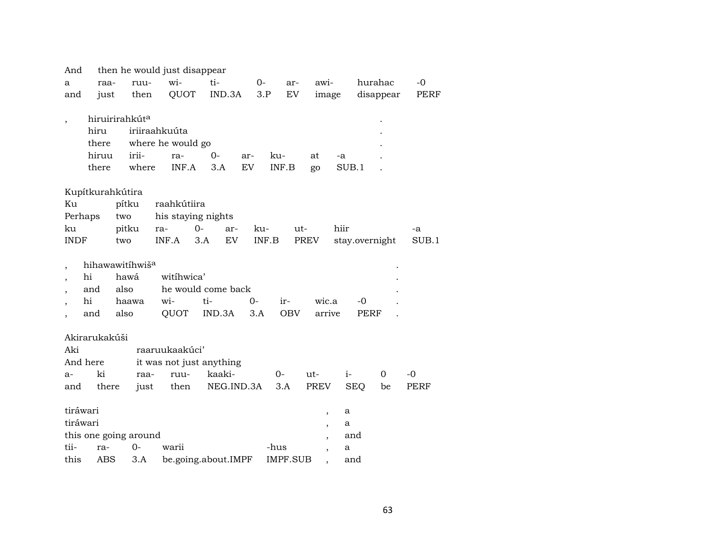| And                      |               |                             | then he would just disappear |                     |       |            |                          |                |           |             |
|--------------------------|---------------|-----------------------------|------------------------------|---------------------|-------|------------|--------------------------|----------------|-----------|-------------|
| a                        | raa-          | ruu-                        | wi-                          | ti-                 | $O-$  | ar-        | awi-                     |                | hurahac   | -0          |
| and                      | just          | then                        | QUOT                         | IND.3A              | 3.P   | EV         | image                    |                | disappear | PERF        |
|                          |               |                             |                              |                     |       |            |                          |                |           |             |
| $\overline{\phantom{a}}$ |               | hiruirirahkút <sup>a</sup>  |                              |                     |       |            |                          |                |           |             |
|                          | hiru          |                             | iriiraahkuúta                |                     |       |            |                          |                |           |             |
|                          | there         |                             | where he would go            |                     |       |            |                          |                |           |             |
|                          | hiruu         | irii-                       | ra-                          | $0 -$               | ar-   | ku-        | at                       | -a             |           |             |
|                          | there         | where                       | INF.A                        | 3.A                 | EV    | INF.B      | go                       | SUB.1          |           |             |
|                          |               |                             |                              |                     |       |            |                          |                |           |             |
|                          |               | Kupítkurahkútira            |                              |                     |       |            |                          |                |           |             |
| Кu                       |               | pítku                       | raahkútiira                  |                     |       |            |                          |                |           |             |
| Perhaps                  |               | two                         |                              | his staying nights  |       |            |                          |                |           |             |
| ku                       |               | pitku                       | ra-                          | $O -$<br>ar-        | ku-   |            | $ut-$                    | hiir           |           | -a          |
| <b>INDF</b>              |               | two                         | INF.A                        | 3.A<br>EV           | INF.B |            | PREV                     | stay.overnight |           | SUB.1       |
|                          |               | hihawawitihwiš <sup>a</sup> |                              |                     |       |            |                          |                |           |             |
|                          | hi            | hawá                        | witihwica'                   |                     |       |            |                          |                |           |             |
|                          | and           | also                        |                              | he would come back  |       |            |                          |                |           |             |
|                          | hi            | haawa                       | wi-                          | ti-                 | $0-$  | ir-        | wic.a                    | $-0$           |           |             |
|                          | and           | also                        | QUOT                         | IND.3A              | 3.A   | <b>OBV</b> | arrive                   | PERF           |           |             |
|                          |               |                             |                              |                     |       |            |                          |                |           |             |
|                          | Akirarukakúši |                             |                              |                     |       |            |                          |                |           |             |
| Aki                      |               |                             | raaruukaakúci'               |                     |       |            |                          |                |           |             |
|                          | And here      |                             | it was not just anything     |                     |       |            |                          |                |           |             |
| $a-$                     | ki            | raa-                        | ruu-                         | kaaki-              |       | $0-$       | $ut-$                    | $i-$           | $\Omega$  | -0          |
| and                      | there         | just                        | then                         | NEG.IND.3A          |       | 3.A        | PREV                     | <b>SEQ</b>     | be        | <b>PERF</b> |
|                          |               |                             |                              |                     |       |            |                          |                |           |             |
| tiráwari                 |               |                             |                              |                     |       |            | $\overline{\phantom{a}}$ | a              |           |             |
| tiráwari                 |               |                             |                              |                     |       |            | ,                        | a              |           |             |
|                          |               | this one going around       |                              |                     |       |            |                          | and            |           |             |
| tii-                     | ra-           | $0-$                        | warii                        |                     |       | -hus       | $\overline{\phantom{a}}$ | a              |           |             |
| this                     | ABS           | 3.A                         |                              | be.going.about.IMPF |       | IMPF.SUB   |                          | and            |           |             |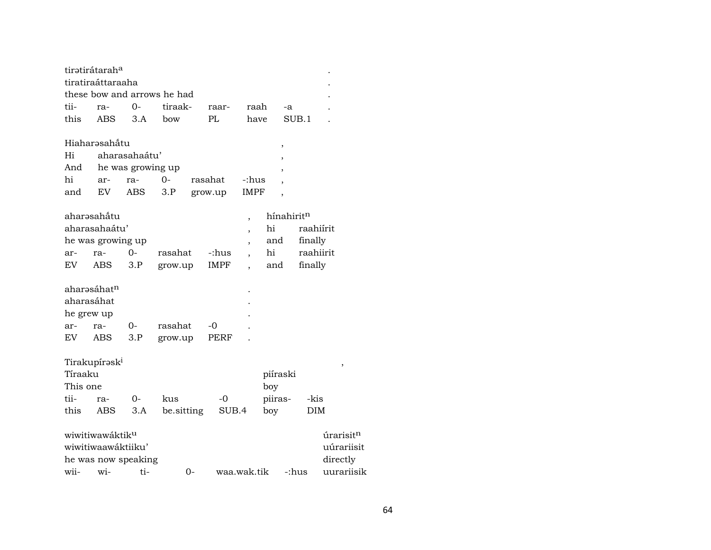|            | tiratirátaraha              |                   |                             |             |                          |          |                          |           |          |                       |
|------------|-----------------------------|-------------------|-----------------------------|-------------|--------------------------|----------|--------------------------|-----------|----------|-----------------------|
|            | tiratiraáttaraaha           |                   |                             |             |                          |          |                          |           |          |                       |
|            |                             |                   | these bow and arrows he had |             |                          |          |                          |           |          |                       |
| tii-       | ra-                         | 0-                | tiraak-                     | raar-       | raah                     |          | -a                       |           |          |                       |
| this       | <b>ABS</b>                  | 3.A               | bow                         | PL          | have                     |          | SUB.1                    |           |          |                       |
|            |                             |                   |                             |             |                          |          |                          |           |          |                       |
|            | Hiaharəsahåtu               |                   |                             |             |                          |          | $\,$                     |           |          |                       |
| Hi         |                             | aharasahaátu'     |                             |             |                          |          |                          |           |          |                       |
| And        |                             | he was growing up |                             |             |                          |          |                          |           |          |                       |
| hi         | ar-                         | ra-               | $0 -$                       | rasahat     | -:hus                    |          |                          |           |          |                       |
| and        | EV.                         | ABS               | 3.P                         | grow.up     | <b>IMPF</b>              |          | $\overline{\phantom{a}}$ |           |          |                       |
|            |                             |                   |                             |             |                          |          |                          |           |          |                       |
|            | aharəsahåtu                 |                   |                             |             | ,                        |          | hínahiritn               |           |          |                       |
|            | aharasahaátu'               |                   |                             |             | $\overline{\phantom{a}}$ | hi       |                          | raahiírit |          |                       |
|            | he was growing up           |                   |                             |             | $\overline{ }$           | and      |                          | finally   |          |                       |
| ar-        | ra-                         | $O -$             | rasahat                     | -:hus       |                          | hi       |                          | raahiirit |          |                       |
| EV         | ABS                         | 3.P               | grow.up                     | IMPF        |                          | and      |                          | finally   |          |                       |
|            |                             |                   |                             |             |                          |          |                          |           |          |                       |
|            | aharasáhatn                 |                   |                             |             |                          |          |                          |           |          |                       |
| aharasáhat |                             |                   |                             |             |                          |          |                          |           |          |                       |
| he grew up |                             |                   |                             |             |                          |          |                          |           |          |                       |
| ar-        | ra-                         | 0-                | rasahat                     | -0          |                          |          |                          |           |          |                       |
| EV         | ABS                         | 3.P               | grow.up                     | PERF        |                          |          |                          |           |          |                       |
|            |                             |                   |                             |             |                          |          |                          |           |          |                       |
|            | Tirakupírask <sup>i</sup>   |                   |                             |             |                          |          |                          |           |          | ,                     |
| Tíraaku    |                             |                   |                             |             |                          | piíraski |                          |           |          |                       |
| This one   |                             |                   |                             |             |                          | boy      |                          |           |          |                       |
| tii-       | ra-                         | $0-$              | kus                         | $-0$        |                          | piiras-  |                          | -kis      |          |                       |
| this       | ABS                         | 3.A               | be sitting                  | SUB.4       |                          | boy      |                          | DIM       |          |                       |
|            |                             |                   |                             |             |                          |          |                          |           |          |                       |
|            | wiwitiwawáktik <sup>u</sup> |                   |                             |             |                          |          |                          |           |          | úrarisit <sup>n</sup> |
|            | wiwitiwaawaktiiku'          |                   |                             |             |                          |          |                          |           |          | uúrariisit            |
|            | he was now speaking         |                   |                             |             |                          |          |                          |           | directly |                       |
| wii-       | wi-                         | ti-               | 0-                          | waa.wak.tik |                          |          | -:hus                    |           |          | uurariisik            |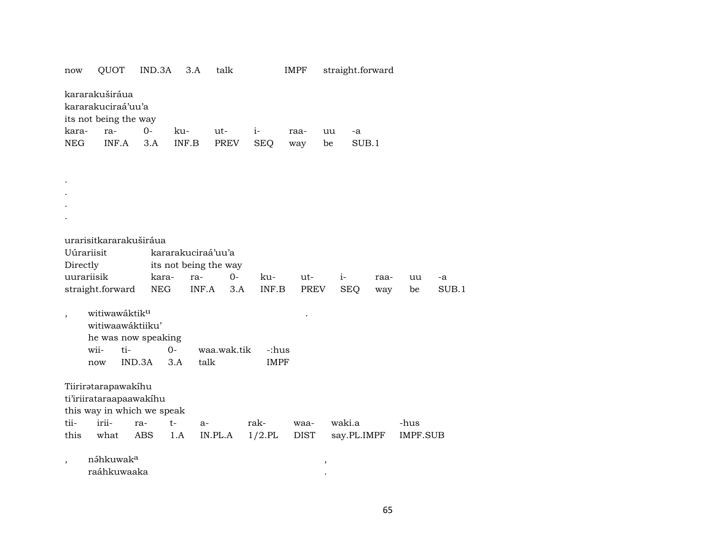| kararakuširáua<br>kararakuciraá'uu'a<br>its not being the way<br>$0-$<br>kara-<br>ra-<br>ku-<br>ut-<br>$i-$<br>raa-<br>uu<br>-a<br>INF.A<br><b>NEG</b><br>INF.B<br>PREV<br><b>SEQ</b><br>SUB.1<br>3.A<br>be<br>way<br>urarisitkararakuširáua<br>Uúrariisit<br>kararakuciraá'uu'a<br>its not being the way<br>Directly<br>uurariisik<br>kara-<br>ra-<br>$0-$<br>ku-<br>ut-<br>$i-$<br>raa-<br>uu<br>-a<br>INF.A<br>straight.forward<br><b>NEG</b><br>INF.B<br>PREV<br><b>SEQ</b><br>SUB.1<br>3.A<br>be<br>way<br>witiwawáktik <sup>u</sup><br>$\,$<br>witiwaawáktiiku'<br>he was now speaking<br>$0-$<br>wii-<br>ti-<br>waa.wak.tik<br>-:hus<br>IND.3A<br>3.A<br>talk<br><b>IMPF</b><br>now<br>Tiiriratarapawakihu<br>ti'iriirataraapaawakihu<br>this way in which we speak<br>irii-<br>$t-$<br>waki.a<br>ra- | now  | QUOT | IND.3A | 3.A  | talk |      | <b>IMPF</b> | straight.forward |      |  |
|--------------------------------------------------------------------------------------------------------------------------------------------------------------------------------------------------------------------------------------------------------------------------------------------------------------------------------------------------------------------------------------------------------------------------------------------------------------------------------------------------------------------------------------------------------------------------------------------------------------------------------------------------------------------------------------------------------------------------------------------------------------------------------------------------------------|------|------|--------|------|------|------|-------------|------------------|------|--|
|                                                                                                                                                                                                                                                                                                                                                                                                                                                                                                                                                                                                                                                                                                                                                                                                              |      |      |        |      |      |      |             |                  |      |  |
|                                                                                                                                                                                                                                                                                                                                                                                                                                                                                                                                                                                                                                                                                                                                                                                                              |      |      |        |      |      |      |             |                  |      |  |
|                                                                                                                                                                                                                                                                                                                                                                                                                                                                                                                                                                                                                                                                                                                                                                                                              |      |      |        |      |      |      |             |                  |      |  |
|                                                                                                                                                                                                                                                                                                                                                                                                                                                                                                                                                                                                                                                                                                                                                                                                              |      |      |        |      |      |      |             |                  |      |  |
|                                                                                                                                                                                                                                                                                                                                                                                                                                                                                                                                                                                                                                                                                                                                                                                                              |      |      |        |      |      |      |             |                  |      |  |
|                                                                                                                                                                                                                                                                                                                                                                                                                                                                                                                                                                                                                                                                                                                                                                                                              |      |      |        |      |      |      |             |                  |      |  |
|                                                                                                                                                                                                                                                                                                                                                                                                                                                                                                                                                                                                                                                                                                                                                                                                              |      |      |        |      |      |      |             |                  |      |  |
|                                                                                                                                                                                                                                                                                                                                                                                                                                                                                                                                                                                                                                                                                                                                                                                                              |      |      |        |      |      |      |             |                  |      |  |
|                                                                                                                                                                                                                                                                                                                                                                                                                                                                                                                                                                                                                                                                                                                                                                                                              |      |      |        |      |      |      |             |                  |      |  |
|                                                                                                                                                                                                                                                                                                                                                                                                                                                                                                                                                                                                                                                                                                                                                                                                              |      |      |        |      |      |      |             |                  |      |  |
|                                                                                                                                                                                                                                                                                                                                                                                                                                                                                                                                                                                                                                                                                                                                                                                                              |      |      |        |      |      |      |             |                  |      |  |
|                                                                                                                                                                                                                                                                                                                                                                                                                                                                                                                                                                                                                                                                                                                                                                                                              |      |      |        |      |      |      |             |                  |      |  |
|                                                                                                                                                                                                                                                                                                                                                                                                                                                                                                                                                                                                                                                                                                                                                                                                              |      |      |        |      |      |      |             |                  |      |  |
|                                                                                                                                                                                                                                                                                                                                                                                                                                                                                                                                                                                                                                                                                                                                                                                                              |      |      |        |      |      |      |             |                  |      |  |
|                                                                                                                                                                                                                                                                                                                                                                                                                                                                                                                                                                                                                                                                                                                                                                                                              |      |      |        |      |      |      |             |                  |      |  |
|                                                                                                                                                                                                                                                                                                                                                                                                                                                                                                                                                                                                                                                                                                                                                                                                              |      |      |        |      |      |      |             |                  |      |  |
|                                                                                                                                                                                                                                                                                                                                                                                                                                                                                                                                                                                                                                                                                                                                                                                                              |      |      |        |      |      |      |             |                  |      |  |
|                                                                                                                                                                                                                                                                                                                                                                                                                                                                                                                                                                                                                                                                                                                                                                                                              |      |      |        |      |      |      |             |                  |      |  |
|                                                                                                                                                                                                                                                                                                                                                                                                                                                                                                                                                                                                                                                                                                                                                                                                              |      |      |        |      |      |      |             |                  |      |  |
|                                                                                                                                                                                                                                                                                                                                                                                                                                                                                                                                                                                                                                                                                                                                                                                                              |      |      |        |      |      |      |             |                  |      |  |
|                                                                                                                                                                                                                                                                                                                                                                                                                                                                                                                                                                                                                                                                                                                                                                                                              |      |      |        |      |      |      |             |                  |      |  |
|                                                                                                                                                                                                                                                                                                                                                                                                                                                                                                                                                                                                                                                                                                                                                                                                              |      |      |        |      |      |      |             |                  |      |  |
|                                                                                                                                                                                                                                                                                                                                                                                                                                                                                                                                                                                                                                                                                                                                                                                                              |      |      |        |      |      |      |             |                  |      |  |
|                                                                                                                                                                                                                                                                                                                                                                                                                                                                                                                                                                                                                                                                                                                                                                                                              |      |      |        |      |      |      |             |                  |      |  |
|                                                                                                                                                                                                                                                                                                                                                                                                                                                                                                                                                                                                                                                                                                                                                                                                              |      |      |        |      |      |      |             |                  |      |  |
|                                                                                                                                                                                                                                                                                                                                                                                                                                                                                                                                                                                                                                                                                                                                                                                                              | tii- |      |        | $a-$ |      | rak- | waa-        |                  | -hus |  |
| IN.PL.A<br>this<br>ABS<br>$1/2$ .PL<br><b>DIST</b><br>say.PL.IMPF<br>IMPF.SUB<br>what<br>1.A                                                                                                                                                                                                                                                                                                                                                                                                                                                                                                                                                                                                                                                                                                                 |      |      |        |      |      |      |             |                  |      |  |
|                                                                                                                                                                                                                                                                                                                                                                                                                                                                                                                                                                                                                                                                                                                                                                                                              |      |      |        |      |      |      |             |                  |      |  |
| náhkuwak <sup>a</sup>                                                                                                                                                                                                                                                                                                                                                                                                                                                                                                                                                                                                                                                                                                                                                                                        |      |      |        |      |      |      |             |                  |      |  |
| $\overline{ }$<br>$\, ,$<br>raáhkuwaaka                                                                                                                                                                                                                                                                                                                                                                                                                                                                                                                                                                                                                                                                                                                                                                      |      |      |        |      |      |      |             |                  |      |  |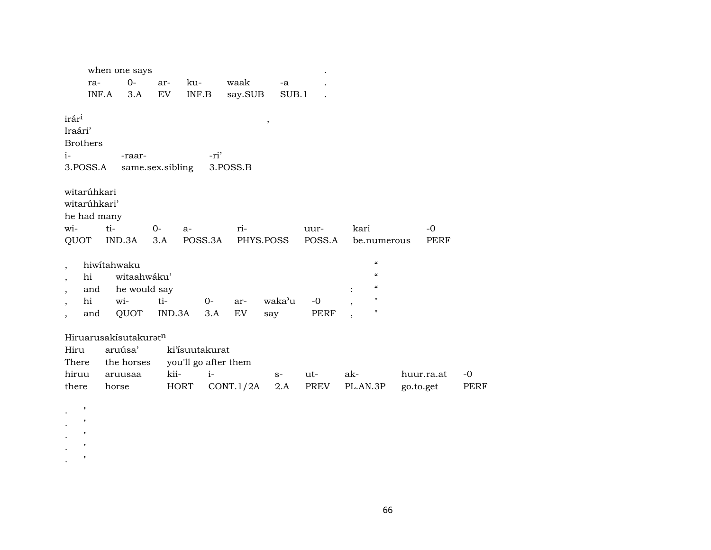|                          |                    | when one says                     |                  |                           |      |           |           |        |          |                            |           |            |             |
|--------------------------|--------------------|-----------------------------------|------------------|---------------------------|------|-----------|-----------|--------|----------|----------------------------|-----------|------------|-------------|
|                          | ra-                | $0-$                              | ar-              | ku-                       |      | waak      | $-a$      |        |          |                            |           |            |             |
|                          | INF.A              | 3.A                               | EV               | $\textsf{INF}.\textsf{B}$ |      | say.SUB   | SUB.1     |        |          |                            |           |            |             |
| irár <sup>i</sup>        |                    |                                   |                  |                           |      |           |           |        |          |                            |           |            |             |
| Iraári'                  |                    |                                   |                  |                           |      |           | $\, ,$    |        |          |                            |           |            |             |
| <b>Brothers</b>          |                    |                                   |                  |                           |      |           |           |        |          |                            |           |            |             |
| $i-$                     |                    | -raar-                            |                  |                           | -ri' |           |           |        |          |                            |           |            |             |
| 3.POSS.A                 |                    |                                   | same.sex.sibling |                           |      | 3.POSS.B  |           |        |          |                            |           |            |             |
|                          |                    |                                   |                  |                           |      |           |           |        |          |                            |           |            |             |
| witarúhkari              |                    |                                   |                  |                           |      |           |           |        |          |                            |           |            |             |
| witarúhkari'             |                    |                                   |                  |                           |      |           |           |        |          |                            |           |            |             |
| he had many              |                    |                                   |                  |                           |      |           |           |        |          |                            |           |            |             |
| wi-                      |                    | ti-                               | $O -$            | $a-$                      |      | ri-       |           | uur-   | kari     |                            |           | $-0$       |             |
| QUOT                     |                    | IND.3A                            | 3.A              | POSS.3A                   |      |           | PHYS.POSS | POSS.A |          | be.numerous                |           | PERF       |             |
|                          |                    |                                   |                  |                           |      |           |           |        |          |                            |           |            |             |
| $\overline{\phantom{a}}$ |                    | hiwitahwaku                       |                  |                           |      |           |           |        |          | $\boldsymbol{\mathcal{C}}$ |           |            |             |
| $\overline{\phantom{a}}$ | hi                 | witaahwáku'                       |                  |                           |      |           |           |        |          | $\mathcal{C}$              |           |            |             |
| $\overline{\phantom{a}}$ | and                | he would say                      |                  |                           |      |           |           |        |          | $\mathcal{C}$              |           |            |             |
| $\overline{\phantom{a}}$ | hi                 | wi-                               | ti-              |                           | $0-$ | ar-       | waka'u    | $-0$   |          | $\mathbf H$                |           |            |             |
| $\overline{\phantom{a}}$ | and                | QUOT                              | IND.3A           |                           | 3.A  | EV        | say       | PERF   |          | $\mathbf H$                |           |            |             |
|                          |                    |                                   |                  |                           |      |           |           |        |          |                            |           |            |             |
|                          |                    | Hiruarusakísutakurat <sup>n</sup> |                  |                           |      |           |           |        |          |                            |           |            |             |
| Hiru                     |                    | aruúsa'                           |                  | ki'isuutakurat            |      |           |           |        |          |                            |           |            |             |
| There                    |                    | the horses                        |                  | you'll go after them      |      |           |           |        |          |                            |           |            |             |
| hiruu                    |                    | aruusaa                           | kii-             |                           | $i-$ |           | $S-$      | $ut-$  | ak-      |                            |           | huur.ra.at | $-0$        |
| there                    |                    | horse                             |                  | <b>HORT</b>               |      | CONT.1/2A | 2.A       | PREV   | PL.AN.3P |                            | go.to.get |            | <b>PERF</b> |
|                          | $\pmb{\mathsf{H}}$ |                                   |                  |                           |      |           |           |        |          |                            |           |            |             |
|                          | п                  |                                   |                  |                           |      |           |           |        |          |                            |           |            |             |
|                          | $\pmb{\mathsf{H}}$ |                                   |                  |                           |      |           |           |        |          |                            |           |            |             |
|                          |                    |                                   |                  |                           |      |           |           |        |          |                            |           |            |             |

. <br> <br> $\sim$   $^{-0}$  $\cdot$  "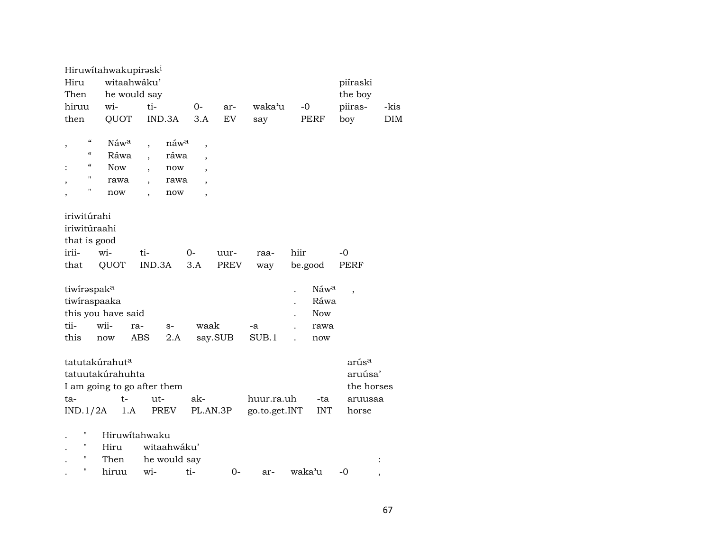| Hiru<br>Then<br>hiruu<br>then                                                                                                                                                      | Hiruwitahwakupirask <sup>i</sup><br>witaahwáku'<br>he would say<br>wi-<br>QUOT | ti-<br>IND.3A                                                                                                          | 0-<br>3.A                                                                                                                                | ar-<br>EV    | waka'u<br>say               | $-0$            | <b>PERF</b>                        | piíraski<br>the boy<br>piiras-<br>boy                          | -kis<br><b>DIM</b> |
|------------------------------------------------------------------------------------------------------------------------------------------------------------------------------------|--------------------------------------------------------------------------------|------------------------------------------------------------------------------------------------------------------------|------------------------------------------------------------------------------------------------------------------------------------------|--------------|-----------------------------|-----------------|------------------------------------|----------------------------------------------------------------|--------------------|
| $\boldsymbol{\zeta}\boldsymbol{\zeta}$<br>,<br>$\boldsymbol{\zeta}\boldsymbol{\zeta}$<br>$\boldsymbol{\zeta}\boldsymbol{\zeta}$<br>"<br>$\blacksquare$<br>$\overline{\phantom{a}}$ | Náwa<br>Ráwa<br>Now<br>rawa<br>now                                             | náwa<br>ráwa<br>now<br>$\overline{\phantom{a}}$<br>rawa<br>$\overline{\phantom{a}}$<br>now<br>$\overline{\phantom{a}}$ | $\overline{\phantom{a}}$<br>$\overline{\phantom{a}}$<br>$\overline{\phantom{a}}$<br>$\overline{\phantom{a}}$<br>$\overline{\phantom{a}}$ |              |                             |                 |                                    |                                                                |                    |
| iriwitúrahi<br>iriwitúraahi<br>that is good<br>irii-<br>that                                                                                                                       | wi-<br><b>QUOT</b>                                                             | ti-<br>IND.3A                                                                                                          | 0-<br>3.A                                                                                                                                | uur-<br>PREV | raa-<br>way                 | hiir<br>be.good |                                    | -0<br>PERF                                                     |                    |
| tiwiraspaka<br>tiwiraspaaka<br>tii-<br>this                                                                                                                                        | this you have said<br>wii-<br>now                                              | ra-<br>$S-$<br><b>ABS</b><br>2.A                                                                                       | waak                                                                                                                                     | say.SUB      | -a<br>SUB.1                 |                 | Náwa<br>Ráwa<br>Now<br>rawa<br>now |                                                                |                    |
| tatutakúrahut <sup>a</sup><br>ta-<br>IND.1/2A<br>П                                                                                                                                 | tatuutakúrahuhta<br>$t -$<br>1.A<br>Hiruwitahwaku                              | I am going to go after them<br>ut-<br>PREV                                                                             | ak-<br>PL.AN.3P                                                                                                                          |              | huur.ra.uh<br>go.to.get.INT |                 | -ta<br><b>INT</b>                  | arús <sup>a</sup><br>aruúsa'<br>the horses<br>aruusaa<br>horse |                    |
| н<br>Н<br>$\pmb{\mathsf{H}}$                                                                                                                                                       | Hiru<br>Then<br>hiruu                                                          | witaahwáku'<br>he would say<br>wi-                                                                                     | ti-                                                                                                                                      | $0-$         | ar-                         | waka'u          |                                    | -0                                                             | ,                  |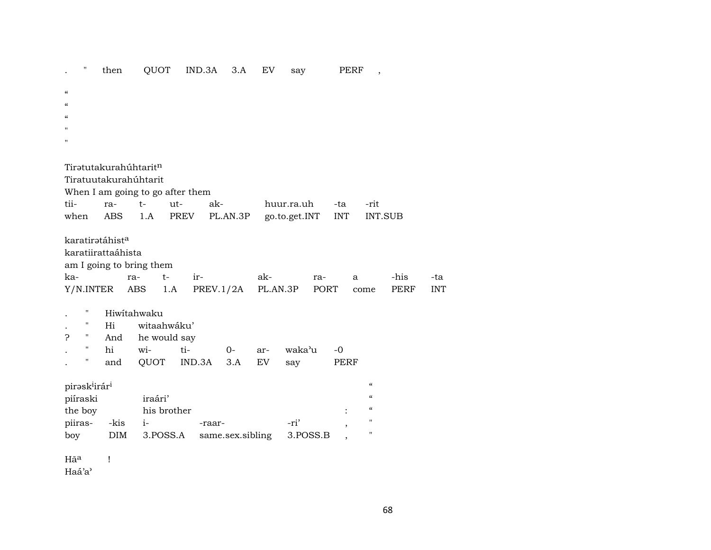QUOT IND.3A 3.A EV PERF,  $\pmb{\mathsf{H}}$ then say  $\cdot$  $\alpha$  $\alpha$  $\alpha$  $\mathbf{u}$ Tirətutakurahúhtarit<sup>n</sup> Tiratuutakurahúhtarit When I am going to go after them tiira $t$ utakhuur.ra.uh -ta -rit PL.AN.3P go.to.get.INT **INT** INT.SUB when ABS  $1.A$ PREV karatirətáhist<sup>a</sup> karatiirattaáhista am I going to bring them kara $t$ irak--his ra- $\mathbf{a}$ -ta Y/N.INTER ABS  $1.A$ PREV.1/2A PL.AN.3P **PORT PERF INT** come Hiwitahwaku  $\pmb{\mathsf{H}}$  $\mathbb{R}^{\mathbb{Z}}$ witaahwáku'  $\boldsymbol{\mathsf{H}}$ Hi  $\sim$  11 And he would say  $\mathbf{S}$  $\boldsymbol{\mathsf{H}}$ ti- $-0$ hi wi- $0$ arwaka'u  $\ddot{\phantom{0}}$ OUOT IND.3A  $3.A$ PERF  $\boldsymbol{\mathsf{H}}$ and  ${\rm EV}$ say  $\mathbf{r}$ pirəsk<sup>i</sup>irár<sup>i</sup>  $\alpha$ piíraski iraári'  $\alpha$  $\boldsymbol{\mathfrak{c}}$ the boy his brother  $\ddot{\cdot}$ piiras--kis  $i-$ -ri' Ħ -raar-3.POSS.A same.sex.sibling 3.POSS.B  $\mathbf{u}$ boy  $DIM$  $\overline{\phantom{a}}$ Hã<sup>a</sup>  $\mathbf{I}$ Haá'a'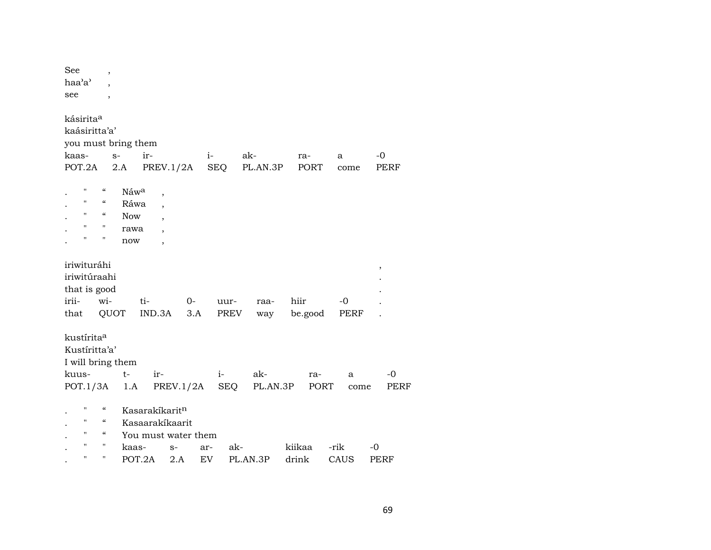| See<br>$\overline{ }$                                                        |                             |
|------------------------------------------------------------------------------|-----------------------------|
| haa'a'                                                                       |                             |
| see<br>$\overline{\phantom{a}}$                                              |                             |
|                                                                              |                             |
| kásirita <sup>a</sup>                                                        |                             |
| kaásiritta'a'                                                                |                             |
| you must bring them                                                          |                             |
| ir-<br>ak-<br>kaas-<br>$S-$<br>$i-$                                          | $-0$<br>ra-<br>a            |
| POT.2A<br>PREV.1/2A<br>SEQ<br>PL.AN.3P<br>2.A                                | <b>PORT</b><br>PERF<br>come |
|                                                                              |                             |
| н<br>$\mathcal{C}\mathcal{C}$<br>Náwa<br>$\overline{\phantom{a}}$            |                             |
| $\mathbf{H}$<br>$\mathcal{C}$<br>Ráwa<br>$\overline{\phantom{a}}$            |                             |
| $\boldsymbol{\zeta}\boldsymbol{\zeta}$<br>$\pmb{\mathsf{H}}$<br><b>Now</b>   |                             |
| $\pmb{\mathsf{H}}$<br>$\pmb{\mathsf{H}}$<br>rawa<br>$\overline{\phantom{a}}$ |                             |
| 11<br>$\pmb{\mathsf{H}}$<br>now<br>$\overline{ }$                            |                             |
|                                                                              |                             |
| iriwituráhi                                                                  | $\,$                        |
| iriwitúraahi                                                                 |                             |
| that is good                                                                 |                             |
| irii-<br>wi-<br>ti-<br>$0-$<br>uur-<br>raa-                                  | hiir<br>-0                  |
| QUOT<br>IND.3A<br>3.A<br>PREV<br>that<br>way                                 | be.good<br>PERF             |
|                                                                              |                             |
| kustírita <sup>a</sup>                                                       |                             |
| Kustíritta'a'                                                                |                             |
| I will bring them                                                            |                             |
| $t-$<br>ak-<br>ir-<br>$i-$<br>kuus-                                          | $-0$<br>ra-<br>a            |
|                                                                              |                             |
| POT.1/3A<br>PREV.1/2A<br>SEQ<br>PL.AN.3P<br>1.A                              | PORT<br>PERF<br>come        |
| $\mathbf{H}$<br>$\mathcal{C}\mathcal{C}$<br>Kasarakíkarit <sup>n</sup>       |                             |
| $\boldsymbol{\zeta}\boldsymbol{\zeta}$<br>Kasaarakíkaarit<br>11              |                             |
| 11<br>$\boldsymbol{\zeta}\boldsymbol{\zeta}$<br>You must water them          |                             |
| н<br>н                                                                       |                             |
| ak-<br>kaas-<br>$S-$<br>ar-                                                  | kiikaa<br>-rik<br>-0        |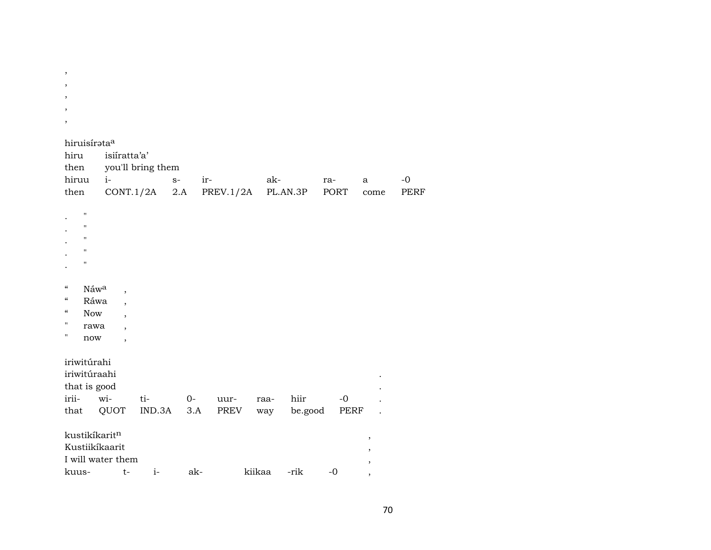| ,                                                                                                                              |                                                                                                               |               |              |                  |             |                 |              |           |                     |
|--------------------------------------------------------------------------------------------------------------------------------|---------------------------------------------------------------------------------------------------------------|---------------|--------------|------------------|-------------|-----------------|--------------|-----------|---------------------|
| ,                                                                                                                              |                                                                                                               |               |              |                  |             |                 |              |           |                     |
| $\cdot$                                                                                                                        |                                                                                                               |               |              |                  |             |                 |              |           |                     |
| $\cdot$                                                                                                                        |                                                                                                               |               |              |                  |             |                 |              |           |                     |
| hiruisírataa<br>hiru<br>then<br>hiruu<br>then                                                                                  | isiíratta'a'<br>you'll bring them<br>$i-$                                                                     | CONT.1/2A     | $S-$<br>2.A  | ir-<br>PREV.1/2A | ak-         | PL.AN.3P        | ra-<br>PORT  | a<br>come | $-o$<br><b>PERF</b> |
| п<br>п<br>п<br>$\mathbf{H}$<br>$\mathbf{H}$                                                                                    |                                                                                                               |               |              |                  |             |                 |              |           |                     |
| Náwa<br>"<br>$\mathcal{C}\mathcal{C}$<br>Ráwa<br>$\boldsymbol{\zeta}\boldsymbol{\zeta}$<br><b>Now</b><br>П<br>rawa<br>п<br>now | $\overline{\phantom{a}}$<br>,<br>$\ddot{\phantom{0}}$<br>$\overline{\phantom{a}}$<br>$\overline{\phantom{a}}$ |               |              |                  |             |                 |              |           |                     |
| iriwitúrahi<br>iriwitúraahi<br>that is good<br>irii-<br>that                                                                   | wi-<br>QUOT                                                                                                   | ti-<br>IND.3A | $O -$<br>3.A | uur-<br>PREV     | raa-<br>way | hiir<br>be.good | $-0$<br>PERF |           |                     |
| kustikíkaritn<br>Kustiikíkaarit<br>I will water them                                                                           |                                                                                                               |               |              |                  |             |                 |              | $\,$      |                     |
| kuus-                                                                                                                          | $t-$                                                                                                          | $i-$          | ak-          |                  | kiikaa      | -rik            | $-0$         | $\cdot$   |                     |

 $\overline{\phantom{a}}$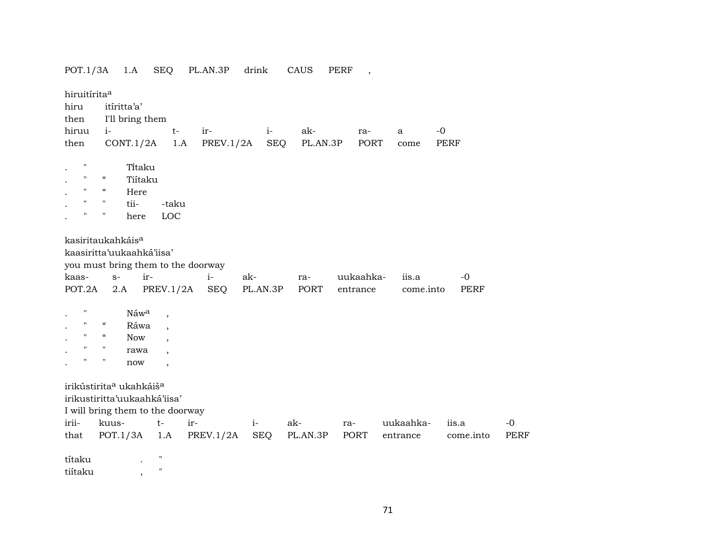| POT.1/3A                                        |                                        | 1.A             | <b>SEQ</b>                       | PL.AN.3P                           | drink      | CAUS     | <b>PERF</b> | $\overline{\phantom{a}}$ |           |             |
|-------------------------------------------------|----------------------------------------|-----------------|----------------------------------|------------------------------------|------------|----------|-------------|--------------------------|-----------|-------------|
| hiruitírita <sup>a</sup>                        |                                        |                 |                                  |                                    |            |          |             |                          |           |             |
| hiru                                            |                                        | itíritta'a'     |                                  |                                    |            |          |             |                          |           |             |
| then                                            |                                        | I'll bring them |                                  |                                    |            |          |             |                          |           |             |
| hiruu                                           | $i-$                                   |                 |                                  | ir-                                | $i-$       | ak-      | ra-         | a                        | $-0$      |             |
| then                                            |                                        | CONT.1/2A       | $t-$<br>1.A                      | PREV.1/2A                          | <b>SEQ</b> | PL.AN.3P |             | PORT<br>come             | PERF      |             |
|                                                 |                                        |                 |                                  |                                    |            |          |             |                          |           |             |
| п                                               |                                        | Titaku          |                                  |                                    |            |          |             |                          |           |             |
| $\mathbf{H}$                                    | $\boldsymbol{\mathcal{C}}$             | Tiítaku         |                                  |                                    |            |          |             |                          |           |             |
| $\mathbf H$                                     | $\epsilon\epsilon$                     | Here            |                                  |                                    |            |          |             |                          |           |             |
| $\mathbf{H}$                                    | $\pmb{\Pi}$                            | tii-            | -taku                            |                                    |            |          |             |                          |           |             |
| $\blacksquare$                                  | $\pmb{\mathsf{H}}$                     | here            | LOC                              |                                    |            |          |             |                          |           |             |
| kasiritaukahkáis <sup>a</sup>                   |                                        |                 |                                  |                                    |            |          |             |                          |           |             |
| kaasiritta'uukaahká'iisa'                       |                                        |                 |                                  |                                    |            |          |             |                          |           |             |
|                                                 |                                        |                 |                                  | you must bring them to the doorway |            |          |             |                          |           |             |
| kaas-                                           | $S-$                                   | ir-             |                                  | $i-$                               | ak-        | ra-      | uukaahka-   | iis.a                    | $-0$      |             |
| POT.2A                                          | 2.A                                    |                 | PREV.1/2A                        | <b>SEQ</b>                         | PL.AN.3P   | PORT     | entrance    | come.into                | PERF      |             |
|                                                 |                                        |                 |                                  |                                    |            |          |             |                          |           |             |
| $\pmb{\mathsf{H}}$                              |                                        | Náwa            | $\overline{\phantom{a}}$         |                                    |            |          |             |                          |           |             |
| $\mathbf{H}$                                    | $\boldsymbol{\zeta}\boldsymbol{\zeta}$ | Ráwa            | $\overline{\phantom{a}}$         |                                    |            |          |             |                          |           |             |
| $\mathbf H$                                     | $\mathcal{C}\mathcal{C}$               | <b>Now</b>      |                                  |                                    |            |          |             |                          |           |             |
| $\mathbf{H}$                                    | $\mathbf{H}$                           | rawa            | $\overline{\phantom{a}}$         |                                    |            |          |             |                          |           |             |
| н                                               | $\blacksquare$                         | now             | $\overline{\phantom{a}}$         |                                    |            |          |             |                          |           |             |
| irikústirita <sup>a</sup> ukahkáiš <sup>a</sup> |                                        |                 |                                  |                                    |            |          |             |                          |           |             |
| irikustiritta'uukaahká'iisa'                    |                                        |                 |                                  |                                    |            |          |             |                          |           |             |
|                                                 |                                        |                 | I will bring them to the doorway |                                    |            |          |             |                          |           |             |
| irii-                                           | kuus-                                  |                 | $t-$                             | ir-                                | $i-$       | ak-      | ra-         | uukaahka-                | iis.a     | $-0$        |
| that                                            |                                        | POT.1/3A        | 1.A                              | PREV.1/2A                          | SEQ        | PL.AN.3P | PORT        | entrance                 | come.into | <b>PERF</b> |
| títaku                                          |                                        |                 | $\pmb{\mathsf{H}}$               |                                    |            |          |             |                          |           |             |
| tiítaku                                         |                                        | $^\mathrm{,}$   | $\pmb{\mathsf{H}}$               |                                    |            |          |             |                          |           |             |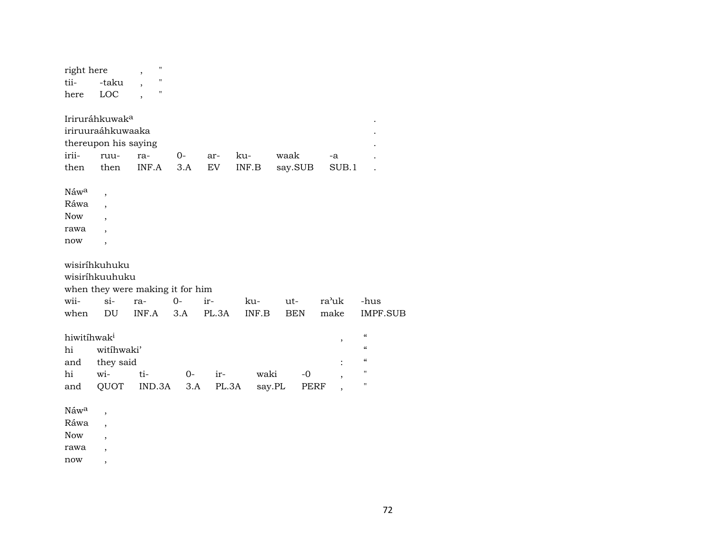| right here              |                            | $\pmb{\mathsf{H}}$<br>$\overline{\phantom{a}}$ |       |       |                                                     |            |                |                                        |  |
|-------------------------|----------------------------|------------------------------------------------|-------|-------|-----------------------------------------------------|------------|----------------|----------------------------------------|--|
| tii-                    | -taku                      | $\pmb{\mathsf{H}}$<br>$\overline{\phantom{a}}$ |       |       |                                                     |            |                |                                        |  |
| here                    | LOC                        | $\pmb{\mathsf{H}}$                             |       |       |                                                     |            |                |                                        |  |
|                         |                            |                                                |       |       |                                                     |            |                |                                        |  |
|                         | Iriruráhkuwak <sup>a</sup> |                                                |       |       |                                                     |            |                |                                        |  |
|                         | iriruuraáhkuwaaka          |                                                |       |       |                                                     |            |                |                                        |  |
|                         | thereupon his saying       |                                                |       |       |                                                     |            |                |                                        |  |
| irii-                   | ruu-                       | ra-                                            | $0 -$ | ar-   | ku-                                                 | waak       | -a             |                                        |  |
| then                    | then                       | INF.A                                          | 3.A   | EV    | $\ensuremath{\mathsf{INF}}.\ensuremath{\mathsf{B}}$ | say.SUB    | SUB.1          |                                        |  |
|                         |                            |                                                |       |       |                                                     |            |                |                                        |  |
| Náw <sup>a</sup>        | $\overline{\phantom{a}}$   |                                                |       |       |                                                     |            |                |                                        |  |
| Ráwa                    | $\overline{\phantom{a}}$   |                                                |       |       |                                                     |            |                |                                        |  |
| <b>Now</b>              | $\overline{ }$             |                                                |       |       |                                                     |            |                |                                        |  |
| rawa                    | $\overline{\phantom{a}}$   |                                                |       |       |                                                     |            |                |                                        |  |
| now                     | $\overline{\phantom{a}}$   |                                                |       |       |                                                     |            |                |                                        |  |
|                         | wisiríhkuhuku              |                                                |       |       |                                                     |            |                |                                        |  |
|                         | wisiríhkuuhuku             |                                                |       |       |                                                     |            |                |                                        |  |
|                         |                            | when they were making it for him               |       |       |                                                     |            |                |                                        |  |
| wii-                    | $si-$                      | ra-                                            | $O -$ | ir-   | ku-                                                 | ut-        | ra'uk          | -hus                                   |  |
| when                    | DU                         | INF.A                                          | 3.A   | PL.3A | INF.B                                               | <b>BEN</b> | make           | <b>IMPF.SUB</b>                        |  |
|                         |                            |                                                |       |       |                                                     |            |                |                                        |  |
| hiwitíhwak <sup>i</sup> |                            |                                                |       |       |                                                     |            | ,              | $\boldsymbol{\mathcal{C}}$             |  |
| hi                      | witihwaki'                 |                                                |       |       |                                                     |            |                | $\boldsymbol{\zeta}\boldsymbol{\zeta}$ |  |
| and                     | they said                  |                                                |       |       |                                                     |            |                | $\epsilon$                             |  |
| hi                      | wi-                        | ti-                                            | $0-$  | ir-   | waki                                                | $-0$       | $\overline{ }$ | $\pmb{\mathsf{H}}$                     |  |
| and                     | QUOT                       | IND.3A                                         | 3.A   | PL.3A | say.PL                                              | PERF       |                | $\mathbf{H}$                           |  |
|                         |                            |                                                |       |       |                                                     |            |                |                                        |  |
| Náwa                    | $\overline{ }$             |                                                |       |       |                                                     |            |                |                                        |  |
| Ráwa                    | $\overline{ }$             |                                                |       |       |                                                     |            |                |                                        |  |
| <b>Now</b>              | $\overline{\phantom{a}}$   |                                                |       |       |                                                     |            |                |                                        |  |
|                         |                            |                                                |       |       |                                                     |            |                |                                        |  |

rawa ,

now ,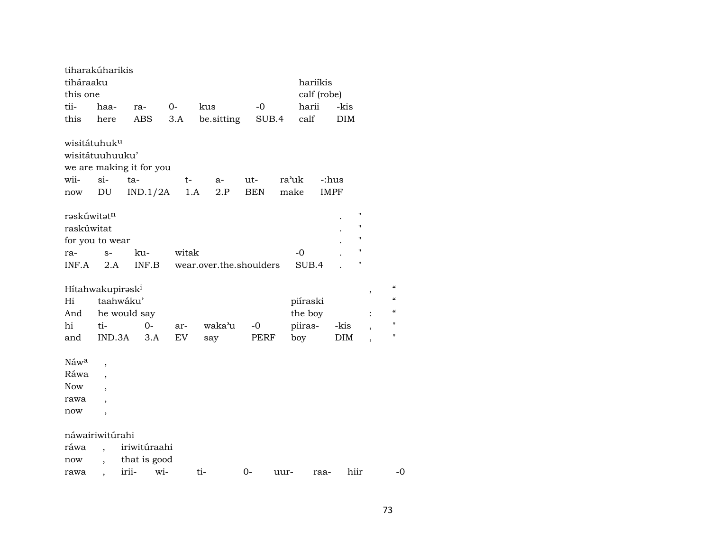| tiharakúharikis              |                          |                          |       |                         |            |       |             |            |                          |                          |
|------------------------------|--------------------------|--------------------------|-------|-------------------------|------------|-------|-------------|------------|--------------------------|--------------------------|
| tiháraaku                    |                          |                          |       |                         |            |       | hariíkis    |            |                          |                          |
| this one                     |                          |                          |       |                         |            |       | calf (robe) |            |                          |                          |
| tii-                         | haa-                     | ra-                      | $0-$  | kus                     | $-0$       |       | harii       | -kis       |                          |                          |
| this                         | here                     | ABS                      | 3.A   | be.sitting              | SUB.4      |       | calf        | DIM        |                          |                          |
| wisitátuhuk <sup>u</sup>     |                          |                          |       |                         |            |       |             |            |                          |                          |
| wisitátuuhuuku'              |                          |                          |       |                         |            |       |             |            |                          |                          |
|                              |                          | we are making it for you |       |                         |            |       |             |            |                          |                          |
| wii-                         | $si-$                    | ta-                      | t-    | a-                      | ut-        | ra'uk | -:hus       |            |                          |                          |
| $\operatorname{now}$         | DU                       | IND.1/2A                 | 1.A   | 2.P                     | <b>BEN</b> | make  | <b>IMPF</b> |            |                          |                          |
| rəskúwitətn                  |                          |                          |       |                         |            |       |             |            | п                        |                          |
| raskúwitat                   |                          |                          |       |                         |            |       |             |            | П                        |                          |
| for you to wear              |                          |                          |       |                         |            |       |             |            | Ħ                        |                          |
| ra-                          | $S-$                     | ku-                      | witak |                         |            | $-0$  |             |            | п                        |                          |
| INF.A                        | 2.A                      | INF.B                    |       | wear.over.the.shoulders |            |       | SUB.4       |            | п                        |                          |
| Hítahwakupirask <sup>i</sup> |                          |                          |       |                         |            |       |             |            | ,                        | $\pmb{\zeta}\pmb{\zeta}$ |
| Hi                           | taahwáku'                |                          |       |                         |            |       | piíraski    |            |                          | $\pmb{\zeta}\pmb{\zeta}$ |
| And                          |                          | he would say             |       |                         |            |       | the boy     |            | $\ddot{\cdot}$           | $\pmb{\zeta}\pmb{\zeta}$ |
| hi                           | ti-                      | $0-$                     | ar-   | waka'u                  | $-0$       |       | piiras-     | -kis       |                          | $^{\prime\prime}$        |
| and                          | IND.3A                   | 3.A                      | EV    | say                     | PERF       | boy   |             | <b>DIM</b> | $\overline{\phantom{a}}$ | "                        |
| Náwa                         | $\overline{\phantom{a}}$ |                          |       |                         |            |       |             |            |                          |                          |
| Ráwa                         | $\overline{\phantom{a}}$ |                          |       |                         |            |       |             |            |                          |                          |
| Now                          | $\overline{\phantom{a}}$ |                          |       |                         |            |       |             |            |                          |                          |
| rawa                         | $\overline{\phantom{a}}$ |                          |       |                         |            |       |             |            |                          |                          |
| now                          | $\overline{\phantom{a}}$ |                          |       |                         |            |       |             |            |                          |                          |
| náwairiwitúrahi              |                          |                          |       |                         |            |       |             |            |                          |                          |
| ráwa                         | $\ddot{\phantom{0}}$     | iriwitúraahi             |       |                         |            |       |             |            |                          |                          |
| now                          |                          | that is good             |       |                         |            |       |             |            |                          |                          |
| rawa                         |                          | irii-<br>wi-             |       | ti-                     | 0-         | uur-  | raa-        | hiir       |                          | -0                       |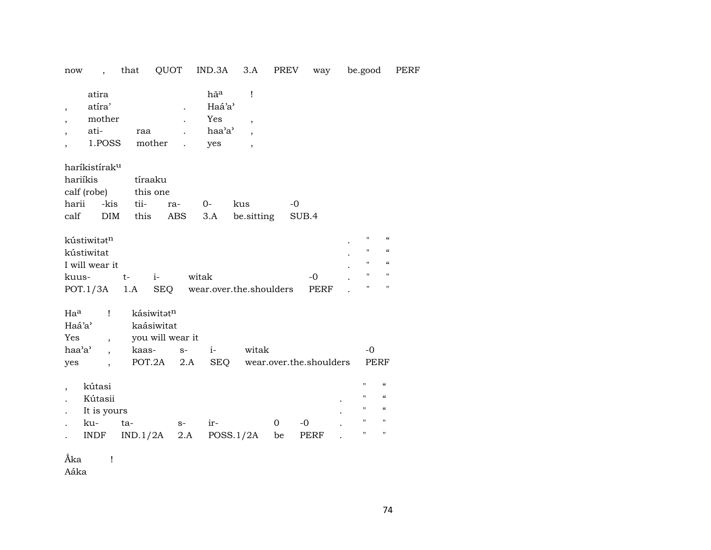now , that QUOT IND.3A 3.A PREV way be.good PERF

| atira  |        | hã <sup>a</sup> |  |
|--------|--------|-----------------|--|
| atíra' |        | Haá'a'          |  |
| mother |        | Yes             |  |
| ati-   | raa    | haa'a'          |  |
| 1.POSS | mother | yes             |  |

haríkistírakµ

| hariíkis |  | tíraaku                |  |                                    |               |  |  |  |  |  |
|----------|--|------------------------|--|------------------------------------|---------------|--|--|--|--|--|
|          |  | calf (robe) this one   |  |                                    |               |  |  |  |  |  |
|          |  | harii -kis tii- ra- 0- |  | kus                                | $\sim$ $\sim$ |  |  |  |  |  |
| calf     |  |                        |  | DIM this ABS 3.A be. sitting SUB.4 |               |  |  |  |  |  |

| kústiwitət <sup>n</sup> |    |     |                         |                |              | $\alpha$          |
|-------------------------|----|-----|-------------------------|----------------|--------------|-------------------|
| kústiwitat              |    |     |                         |                | н.           | $\alpha$          |
| I will wear it          |    |     |                         |                | н.           | $\epsilon$        |
| kuus-                   | t- |     | witak                   | $\overline{a}$ | $\mathbf{H}$ | $^{\prime\prime}$ |
| $POT.1/3A$ 1.A          |    | SEO | wear.over.the.shoulders | PERF           | $\mathbf{H}$ | $^{\prime\prime}$ |

| $Ha^a$ | kásiwitət <sup>n</sup> |  |                         |       |
|--------|------------------------|--|-------------------------|-------|
| Haá'a' | kaásiwitat             |  |                         |       |
| Yes    | you will wear it       |  |                         |       |
| haa'a' | kaas- s-               |  | witak                   | $-()$ |
| yes    | POT.2A 2.A SEO         |  | wear.over.the.shoulders | PERF  |

| kútasi      |          |      |           |          |             |           | $^{\prime\prime}$ | $\epsilon$ |
|-------------|----------|------|-----------|----------|-------------|-----------|-------------------|------------|
| Kútasii     |          |      |           |          |             | $\bullet$ | $^{\prime\prime}$ | $\epsilon$ |
| It is yours |          |      |           |          |             | $\bullet$ | $^{\prime\prime}$ | $\epsilon$ |
| ku-         | ta-      | $S-$ | $ir-$     | $\Omega$ | -0          | $\bullet$ | "                 | п.         |
| <b>INDF</b> | IND.1/2A | 2.A  | POSS.1/2A | be       | <b>PERF</b> |           | "                 | п.         |

Ñka !

Aáka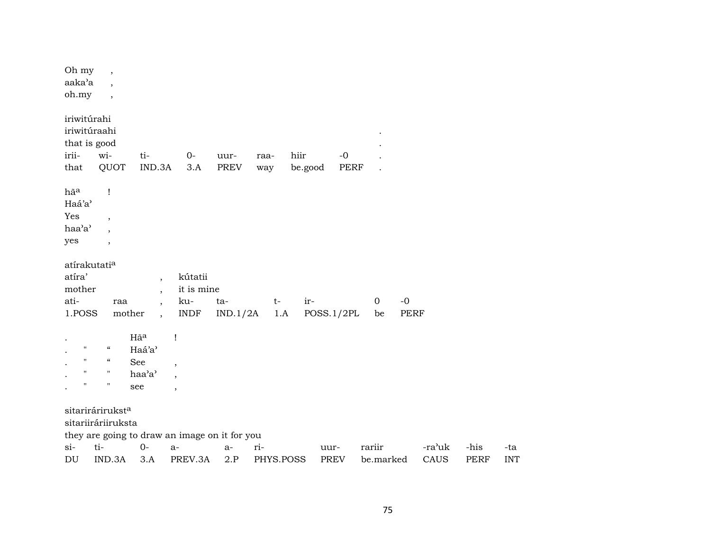| Oh my<br>aaka'a<br>oh.my                                         | $\,$<br>$\overline{\phantom{a}}$<br>$\overline{\phantom{a}}$                                     |                                                                                                              |                                                                                       |                     |             |                 |                     |                                   |        |             |            |
|------------------------------------------------------------------|--------------------------------------------------------------------------------------------------|--------------------------------------------------------------------------------------------------------------|---------------------------------------------------------------------------------------|---------------------|-------------|-----------------|---------------------|-----------------------------------|--------|-------------|------------|
| iriwitúrahi<br>iriwitúraahi<br>that is good<br>irii-<br>that     | wi-<br>QUOT                                                                                      | ti-<br>IND.3A                                                                                                | $O-$<br>3.A                                                                           | uur-<br><b>PREV</b> | raa-<br>way | hiir<br>be.good | $-0$<br><b>PERF</b> |                                   |        |             |            |
| hãa<br>Haá'a'<br>Yes<br>haa'a'<br>yes                            | $\mathbf{I}$<br>$\overline{\phantom{a}}$<br>,<br>$\overline{\phantom{a}}$                        |                                                                                                              |                                                                                       |                     |             |                 |                     |                                   |        |             |            |
| atírakutati <sup>a</sup><br>atíra'<br>mother<br>ati-<br>1.POSS   | raa<br>mother                                                                                    | $\overline{\phantom{a}}$<br>$\overline{\phantom{a}}$<br>$\overline{\phantom{a}}$<br>$\overline{\phantom{a}}$ | kútatii<br>it is mine<br>ku-<br><b>INDF</b>                                           | ta-<br>IND.1/2A     | $t-$<br>1.A | ir-             | POSS.1/2PL          | $-0$<br>$\mathbf 0$<br>PERF<br>be |        |             |            |
| $\mathbf{H}$<br>$\mathbf H$<br>$\mathbf H$<br>$\pmb{\mathsf{H}}$ | $\mathcal{C}\mathcal{C}$<br>$\mathcal{C}\mathcal{C}$<br>$\pmb{\mathsf{H}}$<br>$\pmb{\mathsf{H}}$ | Hãa<br>Haá'a'<br>See<br>haa'a'<br>see                                                                        | 1<br>$\overline{\phantom{a}}$<br>$\overline{\phantom{a}}$<br>$\overline{\phantom{a}}$ |                     |             |                 |                     |                                   |        |             |            |
| $si-$                                                            | sitarirárirukst <sup>a</sup><br>sitariiráriiruksta<br>ti-                                        | $0-$                                                                                                         | they are going to draw an image on it for you<br>$a-$                                 | $a-$                | ri-         |                 | uur-                | rariir                            | -ra'uk | -his        | -ta        |
| DU                                                               | IND.3A                                                                                           | 3.A                                                                                                          | PREV.3A                                                                               | 2.P                 | PHYS.POSS   |                 | <b>PREV</b>         | be.marked                         | CAUS   | <b>PERF</b> | <b>INT</b> |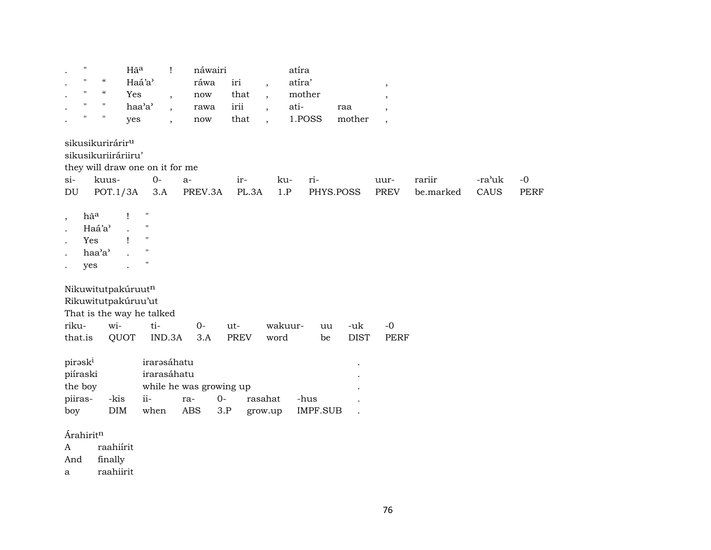| $\ddot{\phantom{a}}$ | $^{\prime\prime}$               | Hã <sup>a</sup>           | náwairi      |  | atíra                |     |  |
|----------------------|---------------------------------|---------------------------|--------------|--|----------------------|-----|--|
|                      | $\mathcal{U}$ and $\mathcal{U}$ | Haá'a'                    | ráwa iri     |  | atíra'               |     |  |
|                      | $\mathcal{U}$ $\mathcal{U}$     | Yes                       | , now that , |  | mother               |     |  |
|                      | $\mathbf{u}$ and $\mathbf{u}$   | haa'a' , rawa irii , ati- |              |  |                      | raa |  |
|                      | $\mathbf{u}$ $\mathbf{u}$       | ves                       | now          |  | that , 1.POSS mother |     |  |

sikusikurirárir<sup>u</sup>

sikusikuriiráriiru'

they will draw one on it for me

| $Si-$ | kuus- | $O-$ |  | ku- r1- |                                                                      | uur- | rarur | -ra'uk -0 |  |
|-------|-------|------|--|---------|----------------------------------------------------------------------|------|-------|-----------|--|
|       |       |      |  |         | DU POT.1/3A 3.A PREV.3A PL.3A 1.P PHYS.POSS PREV be.marked CAUS PERF |      |       |           |  |

- ,  $h\tilde{a}^a$  ! "
- . Haá'a' . "
- . Yes ! "
- . haa'a' . "
- . yes . "

Nikuwitutpakúruutn

Rikuwitutpakúruu'ut

That is the way he talked

|  |  | that.is QUOT IND.3A 3.A PREV word be DIST PERF |  |  |
|--|--|------------------------------------------------|--|--|

| pirəsk <sup>i</sup> |      | irarəsáhatu             |         |        |         |          |  |
|---------------------|------|-------------------------|---------|--------|---------|----------|--|
| piíraski            |      | irarasáhatu             |         |        |         |          |  |
| the boy             |      | while he was growing up |         |        |         |          |  |
| piiras-             | -kis | $i$ i –                 | ra-     | $()$ - | rasahat | -hus     |  |
| boy                 | DIM. | when                    | ABS 3.P |        | grow.up | IMPF.SUB |  |

Árahirit<sup>n</sup>

A raahiírit

And finally

a raahiirit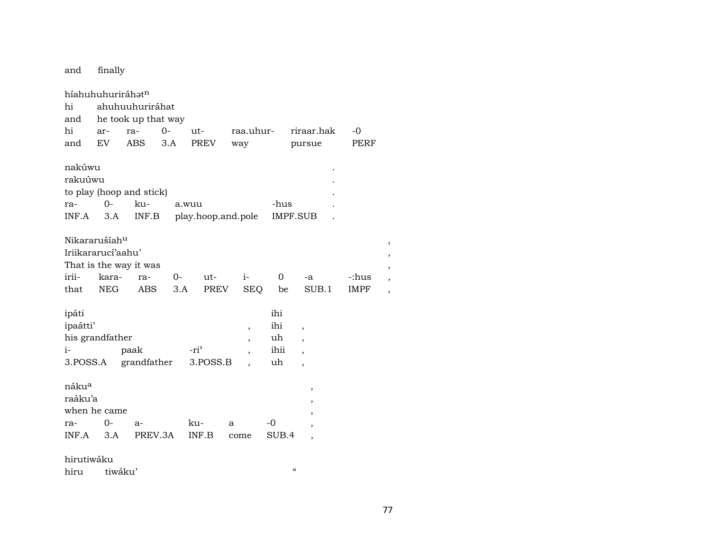finally and

híahuhuhuriráhatn ahuhuuhuriráhat hi he took up that way and  $-0$ hi arra- $O$ utraa.uhurriraar.hak  $3.A$ **PREV EV ABS** pursue **PERF** and way nakúwu rakuúwu to play (hoop and stick)  $O$ kuraa.wuu -hus INF.A  $3.A$  $INF.B$ play.hoop.and.pole IMPF.SUB  $\ddot{\phantom{a}}$ Nikararušíah<sup>u</sup> Iriikararucí'aahu' That is the way it was iriikarara- $0$ ut $i \overline{0}$ -:hus  $-a$ **NEG**  $3.A$ **PREV SEQ** be SUB.1 that **ABS IMPF** ipáti ihi ipaátti' ihi  $\overline{\phantom{a}}$ his grandfather uh  $\cdot$  $i$ paak  $-ri$ <sup>2</sup> ihii  $\ddot{\phantom{0}}$  $\cdot$ 3.POSS.A grandfather 3.POSS.B uh  $\ddot{\phantom{a}}$  $\cdot$ nákua  $\overline{\phantom{a}}$ raáku'a  $\overline{\phantom{a}}$ when he came  $\overline{\phantom{a}}$  $-0$ ra- $O$  $a$ ku- $\mathbf{a}$  $\overline{\phantom{a}}$ INF.A  $3.A$ PREV.3A INF.B SUB.4 come  $\overline{\phantom{a}}$ 

hirutiwáku

tiwáku' hiru

 $\boldsymbol{\mathcal{U}}$ 

 $\overline{\phantom{a}}$ 

 $\overline{\phantom{a}}$ 

 $\cdot$ 

 $\ddot{\phantom{a}}$ 

 $\overline{\phantom{a}}$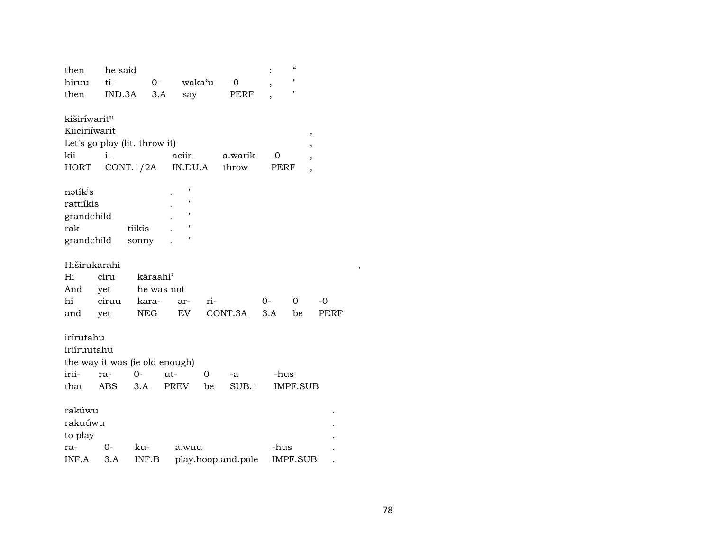| then                           | he said |                      |         |     |                    |      | $\pmb{\zeta}\pmb{\zeta}$ |      |
|--------------------------------|---------|----------------------|---------|-----|--------------------|------|--------------------------|------|
| hiruu                          | ti-     | $O -$                | waka'u  |     | $-0$               |      | $\blacksquare$           |      |
| then                           | IND.3A  | 3.A                  | say     |     | PERF               |      | "                        |      |
|                                |         |                      |         |     |                    |      |                          |      |
| kiširíwaritn                   |         |                      |         |     |                    |      |                          |      |
| Kiiciriíwarit                  |         |                      |         |     |                    |      | ,                        |      |
| Let's go play (lit. throw it)  |         |                      |         |     |                    |      |                          |      |
| kii-                           | $i-$    |                      | aciir-  |     | a.warik            | $-0$ | ,                        |      |
| HORT                           |         | CONT.1/2A            | IN.DU.A |     | throw              | PERF | $\overline{\phantom{a}}$ |      |
|                                |         |                      | П       |     |                    |      |                          |      |
| nətík <sup>i</sup> s           |         |                      | Ħ       |     |                    |      |                          |      |
| rattiíkis                      |         |                      | 11      |     |                    |      |                          |      |
| grandchild                     |         |                      | Н       |     |                    |      |                          |      |
| rak-                           |         | tiikis               |         |     |                    |      |                          |      |
| grandchild                     |         | sonny                | Н       |     |                    |      |                          |      |
| Hiširukarahi                   |         |                      |         |     |                    |      |                          |      |
| Hi                             | ciru    | káraahi <sup>3</sup> |         |     |                    |      |                          |      |
| And                            | yet     | he was not           |         |     |                    |      |                          |      |
| hi                             | ciruu   | kara-                | ar-     | ri- |                    | 0-   | 0                        | $-0$ |
| and                            | yet     | NEG                  | EV      |     | CONT.3A            | 3.A  | be                       | PERF |
|                                |         |                      |         |     |                    |      |                          |      |
| irírutahu                      |         |                      |         |     |                    |      |                          |      |
| iriíruutahu                    |         |                      |         |     |                    |      |                          |      |
| the way it was (ie old enough) |         |                      |         |     |                    |      |                          |      |
| irii-                          | ra-     | 0-                   | ut-     | 0   | -a                 | -hus |                          |      |
| that                           | ABS     | 3.A                  | PREV    | be  | SUB.1              |      | <b>IMPF.SUB</b>          |      |
|                                |         |                      |         |     |                    |      |                          |      |
| rakúwu                         |         |                      |         |     |                    |      |                          |      |
| rakuúwu                        |         |                      |         |     |                    |      |                          |      |
| to play                        |         |                      |         |     |                    |      |                          |      |
| ra-                            | 0-      | ku-                  | a.wuu   |     |                    | -hus |                          |      |
| INF.A                          | 3.A     | INF.B                |         |     | play.hoop.and.pole |      | <b>IMPF.SUB</b>          |      |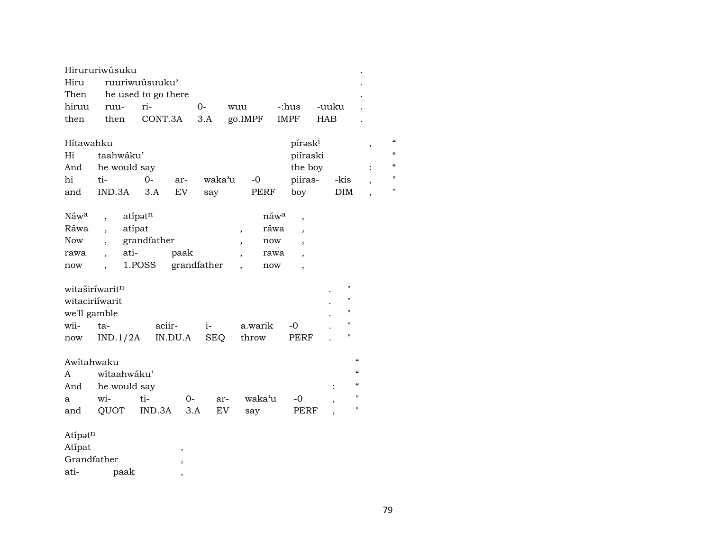|                                                       | Hirururiwúsuku                                                     |                                          |                    |                                                      |                                                                                            |                                                                                                                              |                                                 |                                                                   |  |  |
|-------------------------------------------------------|--------------------------------------------------------------------|------------------------------------------|--------------------|------------------------------------------------------|--------------------------------------------------------------------------------------------|------------------------------------------------------------------------------------------------------------------------------|-------------------------------------------------|-------------------------------------------------------------------|--|--|
| Hiru                                                  | ruuriwuúsuuku'                                                     |                                          |                    |                                                      |                                                                                            |                                                                                                                              |                                                 |                                                                   |  |  |
| Then                                                  | he used to go there                                                |                                          |                    |                                                      |                                                                                            |                                                                                                                              |                                                 |                                                                   |  |  |
| hiruu                                                 | ruu-                                                               | ri-                                      | 0-                 | wuu                                                  | -:hus                                                                                      | -uuku                                                                                                                        |                                                 |                                                                   |  |  |
| then                                                  | then                                                               | CONT.3A                                  | 3.A                | go.IMPF                                              | <b>IMPF</b>                                                                                | <b>HAB</b>                                                                                                                   |                                                 |                                                                   |  |  |
| Hítawahku<br>Hi<br>And<br>hi<br>and                   | taahwáku'<br>he would say<br>ti-<br>IND.3A                         | $0-$<br>ar-<br><b>EV</b><br>3.A          | waka'u<br>say      | $-0$<br><b>PERF</b>                                  | píraski<br>piíraski<br>the boy<br>piiras-<br>boy                                           | -kis<br><b>DIM</b>                                                                                                           | ,<br>$\ddot{\cdot}$<br>$\overline{\phantom{a}}$ | $\mathcal{C}$<br>$\epsilon$<br>$\epsilon$<br>11<br>$\blacksquare$ |  |  |
| Náw <sup>a</sup><br>Ráwa<br><b>Now</b><br>rawa<br>now | atípat<br>$\ddot{\phantom{0}}$<br>ati-<br>$\overline{\phantom{a}}$ | atípatn<br>grandfather<br>paak<br>1.POSS | grandfather        | $\overline{\phantom{a}}$<br>$\overline{\phantom{a}}$ | náw <sup>a</sup><br>,<br>ráwa<br>$\cdot$<br>now<br>rawa<br>now<br>$\overline{\phantom{a}}$ |                                                                                                                              |                                                 |                                                                   |  |  |
| we'll gamble<br>wii-<br>now                           | witaširíwaritn<br>witaciriíwarit<br>ta-<br>IND.1/2A                | aciir-<br>IN.DU.A                        | $i-$<br><b>SEQ</b> | a.warik<br>throw                                     | -0<br>PERF                                                                                 | н<br>11<br>$\pmb{\mathsf{H}}$<br>п<br>н                                                                                      |                                                 |                                                                   |  |  |
| Awitahwaku<br>A<br>And<br>a<br>and                    | wítaahwáku'<br>he would say<br>wi-<br>QUOT                         | ti-<br>0-<br>IND.3A                      | ar-<br>EV<br>3.A   | waka'u<br>say                                        | -0<br>PERF                                                                                 | $\mathcal{C}$<br>$\mathcal{C}\mathcal{C}$<br>$\mathcal{C}\mathcal{C}$<br>п<br>$\overline{\phantom{a}}$<br>$\pmb{\mathsf{H}}$ |                                                 |                                                                   |  |  |
| Atipatn<br>Atípat<br>Grandfather<br>ati-              | paak                                                               | $\, ,$<br>,                              |                    |                                                      |                                                                                            |                                                                                                                              |                                                 |                                                                   |  |  |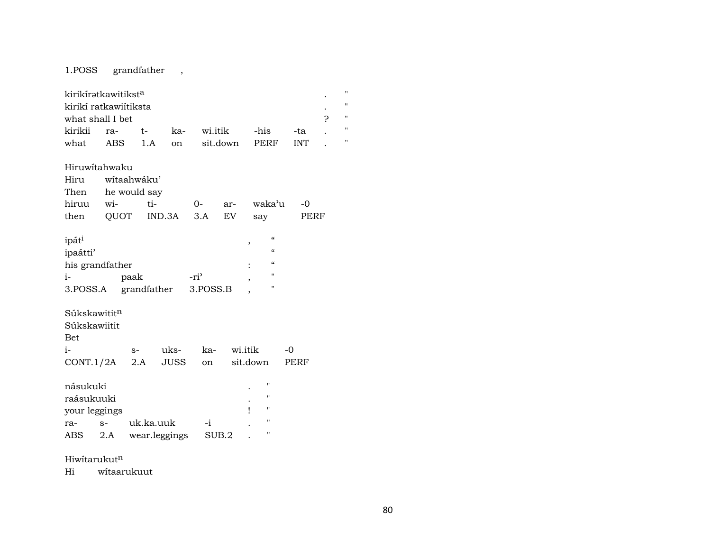1.POSS grandfather ,

| kirikíratkawitikst <sup>a</sup><br>kirikí ratkawiítiksta<br>what shall I bet |                |              |               |          |         |                         |            | $^{\prime}$<br>$^{\prime}$<br>$\blacksquare$<br>Ċ. |  |  |  |
|------------------------------------------------------------------------------|----------------|--------------|---------------|----------|---------|-------------------------|------------|----------------------------------------------------|--|--|--|
| kirikii                                                                      | ra-            | $t-$         | ka-           | wi.itik  |         | -his                    | -ta        | Ħ                                                  |  |  |  |
| what                                                                         | <b>ABS</b>     | 1.A          | on            | sit.down |         | PERF                    | <b>INT</b> | Ħ                                                  |  |  |  |
| Hiruwitahwaku                                                                |                |              |               |          |         |                         |            |                                                    |  |  |  |
| Hiru                                                                         |                | wítaahwáku'  |               |          |         |                         |            |                                                    |  |  |  |
| Then                                                                         |                | he would say |               |          |         |                         |            |                                                    |  |  |  |
| hiruu wi-                                                                    |                | ti-          |               | $0-$     | ar-     | waka'u                  | $-0$       |                                                    |  |  |  |
| then                                                                         | QUOT           |              | IND.3A        | 3.A      | EV.     | say                     | PERF       |                                                    |  |  |  |
| ipát <sup>i</sup>                                                            |                |              |               |          |         | $\epsilon\epsilon$<br>, |            |                                                    |  |  |  |
| ipaátti'                                                                     |                |              |               |          |         | $\epsilon\epsilon$      |            |                                                    |  |  |  |
| his grandfather                                                              |                |              |               |          |         | $\epsilon$              |            |                                                    |  |  |  |
| $i-$                                                                         |                | paak         |               | $-ri^2$  |         | $^{\prime\prime}$       |            |                                                    |  |  |  |
| 3.POSS.A                                                                     |                | grandfather  |               | 3.POSS.B |         | 11                      |            |                                                    |  |  |  |
| Súkskawititn                                                                 |                |              |               |          |         |                         |            |                                                    |  |  |  |
| Súkskawiitit                                                                 |                |              |               |          |         |                         |            |                                                    |  |  |  |
| <b>Bet</b>                                                                   |                |              |               |          |         |                         |            |                                                    |  |  |  |
| $1-$                                                                         |                | $S-$         | uks-          | ka-      | wi.itik |                         | $-0$       |                                                    |  |  |  |
| CONT.1/2A                                                                    |                | 2.A          | JUSS          | on       |         | sit.down                | PERF       |                                                    |  |  |  |
|                                                                              | násukuki<br>11 |              |               |          |         |                         |            |                                                    |  |  |  |
| raásukuuki                                                                   |                |              |               |          |         | 11                      |            |                                                    |  |  |  |
| your leggings                                                                |                |              |               |          |         | $\blacksquare$          |            |                                                    |  |  |  |
| $S-$<br>ra-                                                                  |                | uk.ka.uuk    |               | $-i$     |         | $\pmb{\mathsf{H}}$      |            |                                                    |  |  |  |
| ABS                                                                          | 2.A            |              | wear.leggings | SUB.2    |         | "                       |            |                                                    |  |  |  |

Hiwítarukut<sup>n</sup>

Hi wítaarukuut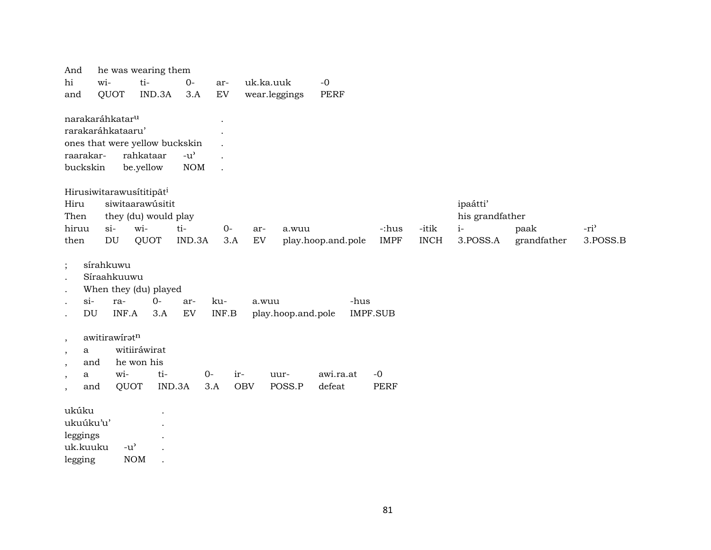| And                         |           |               | he was wearing them            |               |         |            |                    |                    |                 |             |                 |             |                  |
|-----------------------------|-----------|---------------|--------------------------------|---------------|---------|------------|--------------------|--------------------|-----------------|-------------|-----------------|-------------|------------------|
| hi                          | wi-       |               | ti-                            | $0-$          | ar-     |            | uk.ka.uuk          | $-0$               |                 |             |                 |             |                  |
| and                         | QUOT      |               | IND.3A                         | 3.A           | EV      |            | wear.leggings      | <b>PERF</b>        |                 |             |                 |             |                  |
|                             |           |               |                                |               |         |            |                    |                    |                 |             |                 |             |                  |
| narakaráhkatar <sup>u</sup> |           |               |                                |               |         |            |                    |                    |                 |             |                 |             |                  |
| rarakaráhkataaru'           |           |               |                                |               |         |            |                    |                    |                 |             |                 |             |                  |
|                             |           |               | ones that were yellow buckskin |               |         |            |                    |                    |                 |             |                 |             |                  |
| raarakar-                   |           |               | rahkataar                      | $-u^{\prime}$ |         |            |                    |                    |                 |             |                 |             |                  |
| buckskin                    |           |               | be.yellow                      | <b>NOM</b>    | $\cdot$ |            |                    |                    |                 |             |                 |             |                  |
|                             |           |               |                                |               |         |            |                    |                    |                 |             |                 |             |                  |
|                             |           |               | Hirusiwitarawusítitipāti       |               |         |            |                    |                    |                 |             |                 |             |                  |
| Hiru                        |           |               | siwitaarawúsitit               |               |         |            |                    |                    |                 |             | ipaátti'        |             |                  |
| Then                        |           |               | they (du) would play           |               |         |            |                    |                    |                 |             | his grandfather |             |                  |
| hiruu                       | $\sin$    |               | wi-                            | ti-           | $0-$    | ar-        | a.wuu              |                    | -:hus           | -itik       | $i-$            | paak        | -ri <sup>3</sup> |
| then                        | DU        |               | QUOT                           | IND.3A        | 3.A     | ${\rm EV}$ |                    | play.hoop.and.pole | <b>IMPF</b>     | <b>INCH</b> | 3.POSS.A        | grandfather | 3.POSS.B         |
|                             | sírahkuwu |               |                                |               |         |            |                    |                    |                 |             |                 |             |                  |
| $\vdots$                    |           | Síraahkuuwu   |                                |               |         |            |                    |                    |                 |             |                 |             |                  |
|                             |           |               |                                |               |         |            |                    |                    |                 |             |                 |             |                  |
| $\bullet$                   |           |               | When they (du) played          |               |         |            |                    |                    |                 |             |                 |             |                  |
| $si$ -<br>$\bullet$         |           | ra-<br>INF.A  | $0-$                           | ar-           | ku-     |            | a.wuu              | -hus               |                 |             |                 |             |                  |
| DU                          |           |               | 3.A                            | EV            | INF.B   |            | play.hoop.and.pole |                    | <b>IMPF.SUB</b> |             |                 |             |                  |
|                             |           | awitirawiratn |                                |               |         |            |                    |                    |                 |             |                 |             |                  |
| $\cdot$<br>a                |           |               | witiiráwirat                   |               |         |            |                    |                    |                 |             |                 |             |                  |
| $\cdot$<br>and              |           |               | he won his                     |               |         |            |                    |                    |                 |             |                 |             |                  |
| $\,$<br>a                   |           | wi-           | ti-                            |               | $O -$   | ir-        | uur-               | awi.ra.at          | $-0$            |             |                 |             |                  |
| $\cdot$<br>and<br>$\cdot$   |           | QUOT          |                                | IND.3A        | 3.A     | <b>OBV</b> | POSS.P             | defeat             | <b>PERF</b>     |             |                 |             |                  |
|                             |           |               |                                |               |         |            |                    |                    |                 |             |                 |             |                  |
| ukúku                       |           |               |                                |               |         |            |                    |                    |                 |             |                 |             |                  |
| ukuúku'u'                   |           |               |                                |               |         |            |                    |                    |                 |             |                 |             |                  |
| leggings                    |           |               |                                |               |         |            |                    |                    |                 |             |                 |             |                  |
| uk.kuuku                    |           | $-u^{\prime}$ |                                |               |         |            |                    |                    |                 |             |                 |             |                  |

NOM . legging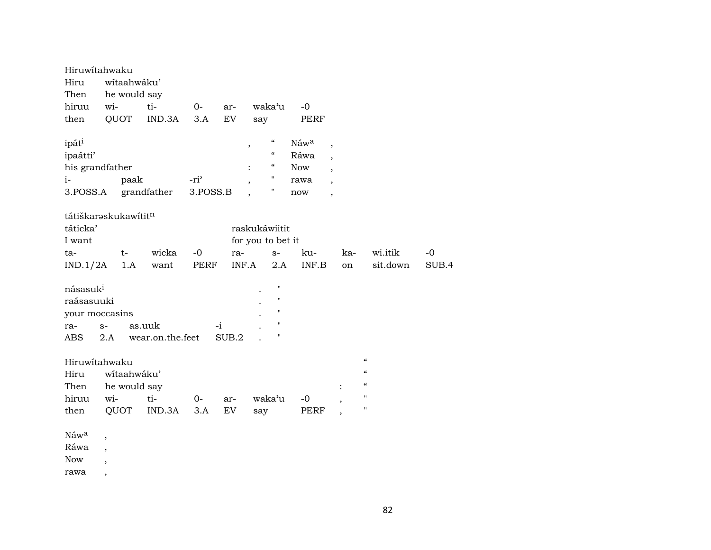| Hiruwitahwaku<br>Hiru<br>Then    |                          | wítaahwáku'<br>he would say |                  |                  |       |                                             |             |                          |                          |       |
|----------------------------------|--------------------------|-----------------------------|------------------|------------------|-------|---------------------------------------------|-------------|--------------------------|--------------------------|-------|
| hiruu                            | wi-                      |                             | ti-              | $0-$             | ar-   | waka'u                                      | $-0$        |                          |                          |       |
| then                             | QUOT                     |                             | IND.3A           | 3.A              | EV    | say                                         | <b>PERF</b> |                          |                          |       |
| ipáti                            |                          |                             |                  |                  |       | $\boldsymbol{\zeta}\boldsymbol{\zeta}$<br>, | Náwa        | $\overline{\phantom{a}}$ |                          |       |
| ipaátti'                         |                          |                             |                  |                  |       | $\boldsymbol{\zeta}\boldsymbol{\zeta}$      | Ráwa        | $\overline{\phantom{a}}$ |                          |       |
| his grandfather                  |                          |                             |                  |                  |       | $\epsilon\epsilon$                          | <b>Now</b>  | $\cdot$                  |                          |       |
| $i-$                             |                          | paak                        |                  | -ri <sup>3</sup> |       | π                                           | rawa        |                          |                          |       |
| 3.POSS.A                         |                          |                             | grandfather      | 3.POSS.B         |       |                                             | now         | $\overline{\phantom{a}}$ |                          |       |
| tátiškarəskukawitit <sup>n</sup> |                          |                             |                  |                  |       |                                             |             |                          |                          |       |
| táticka'                         |                          |                             |                  |                  |       | raskukáwiitit                               |             |                          |                          |       |
| I want                           |                          |                             |                  |                  |       | for you to bet it                           |             |                          |                          |       |
| ta-                              |                          | $t-$                        | wicka            | $-0$             | ra-   | $S-$                                        | ku-         | ka-                      | wi.itik                  | $-0$  |
| IND.1/2A                         |                          | 1.A                         | want             | PERF             | INF.A | 2.A                                         | INF.B       | on                       | sit.down                 | SUB.4 |
| násasuk <sup>i</sup>             |                          |                             |                  |                  |       | $\mathbf{H}$                                |             |                          |                          |       |
| raásasuuki                       |                          |                             |                  |                  |       | $\pmb{\mathsf{H}}$                          |             |                          |                          |       |
| your moccasins                   |                          |                             |                  |                  |       | $\mathbf{H}$                                |             |                          |                          |       |
| ra-                              | $S-$                     |                             | as.uuk           |                  | -i    | $\pmb{\mathsf{H}}$                          |             |                          |                          |       |
| ABS                              | 2.A                      |                             | wear.on.the.feet |                  | SUB.2 | П                                           |             |                          |                          |       |
|                                  |                          |                             |                  |                  |       |                                             |             |                          |                          |       |
| Hiruwitahwaku                    |                          |                             |                  |                  |       |                                             |             |                          | $\mathcal{C}\mathcal{C}$ |       |
| Hiru                             |                          | wítaahwáku'                 |                  |                  |       |                                             |             |                          | $\mathcal{C}$            |       |
| Then                             |                          | he would say                |                  |                  |       |                                             |             |                          | $\mathcal{C}$            |       |
| hiruu                            | wi-                      |                             | ti-              | $0-$             | ar-   | waka'u                                      | $-0$        |                          | п                        |       |
| then                             |                          | QUOT                        | IND.3A           | 3.A              | EV    | say                                         | <b>PERF</b> |                          | н                        |       |
|                                  |                          |                             |                  |                  |       |                                             |             |                          |                          |       |
| Náwa                             | $\,$                     |                             |                  |                  |       |                                             |             |                          |                          |       |
| Ráwa                             |                          |                             |                  |                  |       |                                             |             |                          |                          |       |
| <b>Now</b>                       |                          |                             |                  |                  |       |                                             |             |                          |                          |       |
| rawa                             | $\overline{\phantom{a}}$ |                             |                  |                  |       |                                             |             |                          |                          |       |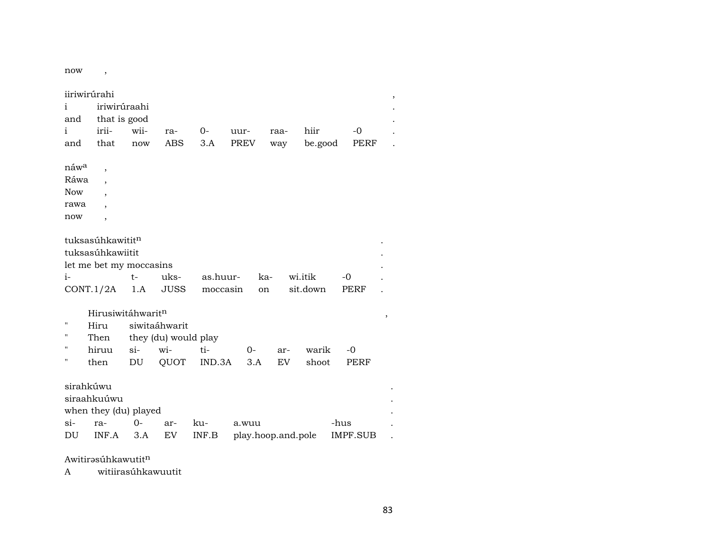now ,

| iiriwirúrahi<br>,  |                              |               |                      |              |                             |      |          |                         |        |  |
|--------------------|------------------------------|---------------|----------------------|--------------|-----------------------------|------|----------|-------------------------|--------|--|
| i                  | iriwirúraahi                 |               |                      |              |                             |      |          |                         |        |  |
| and                | that is good                 |               |                      |              |                             |      |          |                         |        |  |
| $\mathbf{i}$       | irii-                        | wii-          | ra-                  | $0-$         | uur-                        | raa- | hiir     | $-0$                    |        |  |
| and                | that                         | now           | <b>ABS</b>           | 3.A          | <b>PREV</b>                 | way  | be.good  | PERF                    |        |  |
|                    |                              |               |                      |              |                             |      |          |                         |        |  |
| náw <sup>a</sup>   | $\overline{ }$               |               |                      |              |                             |      |          |                         |        |  |
| Ráwa               |                              |               |                      |              |                             |      |          |                         |        |  |
| <b>Now</b>         | $\overline{\phantom{a}}$     |               |                      |              |                             |      |          |                         |        |  |
| rawa               |                              |               |                      |              |                             |      |          |                         |        |  |
| now                | $\overline{\phantom{a}}$     |               |                      |              |                             |      |          |                         |        |  |
|                    |                              |               |                      |              |                             |      |          |                         |        |  |
|                    | tuksasúhkawitit <sup>n</sup> |               |                      |              |                             |      |          |                         |        |  |
| tuksasúhkawiitit   |                              |               |                      |              |                             |      |          |                         |        |  |
|                    | let me bet my moccasins      |               |                      |              |                             |      |          |                         |        |  |
| $i-$               |                              | $t-$          | uks-                 | as.huur-     | ka-                         |      | wi.itik  | $-0$                    |        |  |
| CONT.1/2A          |                              | 1.A           | JUSS                 | moccasin     | on                          |      | sit.down | PERF                    |        |  |
|                    |                              |               |                      |              |                             |      |          |                         |        |  |
|                    | Hirusiwitáhwaritn            |               |                      |              |                             |      |          |                         | $\, ,$ |  |
| $\pmb{\mathsf{H}}$ | Hiru                         | siwitaáhwarit |                      |              |                             |      |          |                         |        |  |
| 11                 | Then                         |               | they (du) would play |              |                             |      |          |                         |        |  |
| п                  | hiruu                        | $\sin$        | wi-                  | ti-          | $0-$                        | ar-  | warik    | $-0$                    |        |  |
| п                  | then                         | DU            | QUOT                 | IND.3A       | 3.A                         | EV   | shoot    | PERF                    |        |  |
|                    |                              |               |                      |              |                             |      |          |                         |        |  |
| sirahkúwu          |                              |               |                      |              |                             |      |          |                         |        |  |
|                    | siraahkuúwu                  |               |                      |              |                             |      |          |                         |        |  |
|                    |                              |               |                      |              |                             |      |          |                         |        |  |
|                    | when they (du) played        |               |                      |              |                             |      |          |                         |        |  |
| $\sin$<br>DU       | ra-<br>INF.A                 | $0-$<br>3.A   | ar-<br>EV            | ku-<br>INF.B | a.wuu<br>play.hoop.and.pole |      |          | -hus<br><b>IMPF.SUB</b> |        |  |

 $A$ witirəsúhkawutit $<sup>n</sup>$ </sup>

A witiirasúhkawuutit